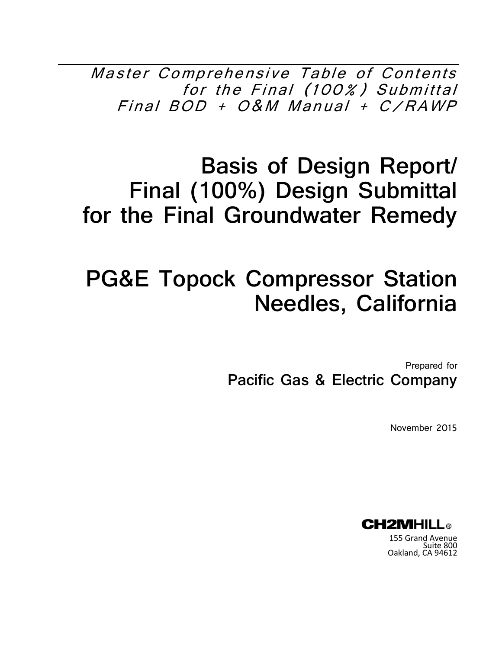Master Comprehensive Table of Contents for the Final (100%) Submittal Final BOD + O&M Manual + C/RAWP

# **Basis of Design Report/ Final (100%) Design Submittal for the Final Groundwater Remedy**

# **PG&E Topock Compressor Station Needles, California**

Prepared for **Pacific Gas & Electric Company** 

November 2015



155 Grand Avenue Suite 800 Oakland, CA 94612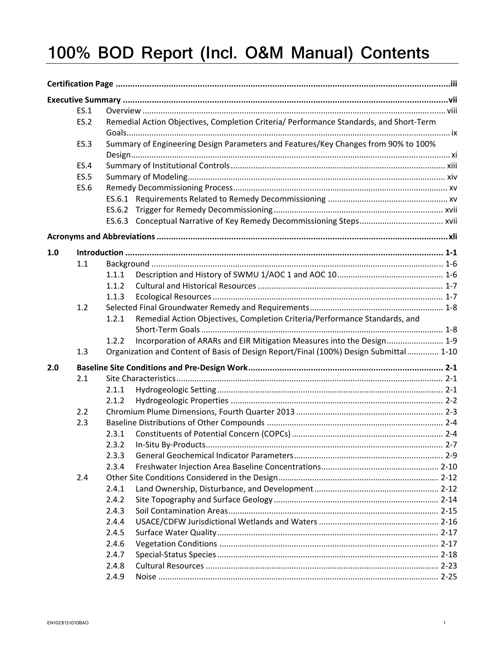# 100% BOD Report (Incl. O&M Manual) Contents

|     | ES.1        |       |                                                                                        |  |
|-----|-------------|-------|----------------------------------------------------------------------------------------|--|
|     | <b>ES.2</b> |       | Remedial Action Objectives, Completion Criteria/ Performance Standards, and Short-Term |  |
|     |             |       |                                                                                        |  |
|     | <b>ES.3</b> |       | Summary of Engineering Design Parameters and Features/Key Changes from 90% to 100%     |  |
|     |             |       |                                                                                        |  |
|     | <b>ES.4</b> |       |                                                                                        |  |
|     | <b>ES.5</b> |       |                                                                                        |  |
|     | <b>ES.6</b> |       |                                                                                        |  |
|     |             |       |                                                                                        |  |
|     |             |       |                                                                                        |  |
|     |             |       |                                                                                        |  |
|     |             |       |                                                                                        |  |
| 1.0 |             |       |                                                                                        |  |
|     | 1.1         |       |                                                                                        |  |
|     |             | 1.1.1 |                                                                                        |  |
|     |             | 1.1.2 |                                                                                        |  |
|     |             | 1.1.3 |                                                                                        |  |
|     | 1.2         |       |                                                                                        |  |
|     |             | 1.2.1 | Remedial Action Objectives, Completion Criteria/Performance Standards, and             |  |
|     |             |       |                                                                                        |  |
|     |             | 1.2.2 | Incorporation of ARARs and EIR Mitigation Measures into the Design 1-9                 |  |
|     | 1.3         |       | Organization and Content of Basis of Design Report/Final (100%) Design Submittal  1-10 |  |
| 2.0 |             |       |                                                                                        |  |
|     | 2.1         |       |                                                                                        |  |
|     |             | 2.1.1 |                                                                                        |  |
|     |             | 2.1.2 |                                                                                        |  |
|     | 2.2         |       |                                                                                        |  |
|     | 2.3         |       |                                                                                        |  |
|     |             | 2.3.1 |                                                                                        |  |
|     |             | 2.3.2 | In-Situ By-Products                                                                    |  |
|     |             | 2.3.3 |                                                                                        |  |
|     |             | 2.3.4 |                                                                                        |  |
|     | 2.4         |       |                                                                                        |  |
|     |             | 2.4.1 |                                                                                        |  |
|     |             | 2.4.2 |                                                                                        |  |
|     |             | 2.4.3 |                                                                                        |  |
|     |             | 2.4.4 |                                                                                        |  |
|     |             | 2.4.5 |                                                                                        |  |
|     |             | 2.4.6 |                                                                                        |  |
|     |             | 2.4.7 |                                                                                        |  |
|     |             | 2.4.8 |                                                                                        |  |
|     |             | 2.4.9 |                                                                                        |  |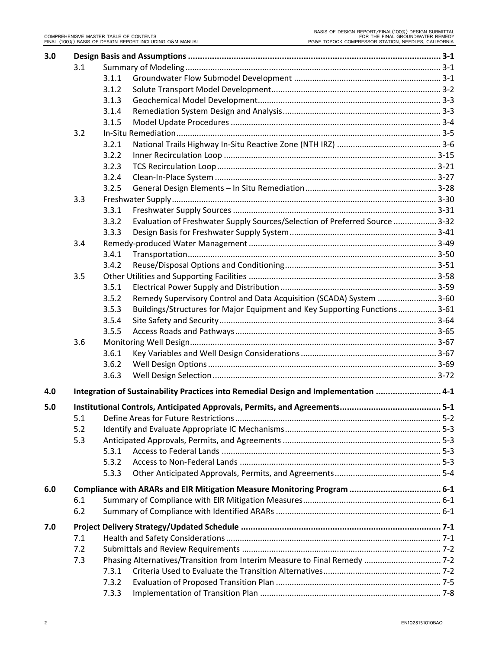| 3.0 |     |       |                                                                                      |  |
|-----|-----|-------|--------------------------------------------------------------------------------------|--|
|     | 3.1 |       |                                                                                      |  |
|     |     | 3.1.1 |                                                                                      |  |
|     |     | 3.1.2 |                                                                                      |  |
|     |     | 3.1.3 |                                                                                      |  |
|     |     | 3.1.4 |                                                                                      |  |
|     |     | 3.1.5 |                                                                                      |  |
|     | 3.2 |       |                                                                                      |  |
|     |     | 3.2.1 |                                                                                      |  |
|     |     | 3.2.2 |                                                                                      |  |
|     |     | 3.2.3 |                                                                                      |  |
|     |     | 3.2.4 |                                                                                      |  |
|     |     | 3.2.5 |                                                                                      |  |
|     | 3.3 |       |                                                                                      |  |
|     |     | 3.3.1 |                                                                                      |  |
|     |     | 3.3.2 | Evaluation of Freshwater Supply Sources/Selection of Preferred Source  3-32          |  |
|     |     | 3.3.3 |                                                                                      |  |
|     | 3.4 |       |                                                                                      |  |
|     |     | 3.4.1 |                                                                                      |  |
|     |     | 3.4.2 |                                                                                      |  |
|     | 3.5 |       |                                                                                      |  |
|     |     | 3.5.1 |                                                                                      |  |
|     |     | 3.5.2 | Remedy Supervisory Control and Data Acquisition (SCADA) System  3-60                 |  |
|     |     | 3.5.3 | Buildings/Structures for Major Equipment and Key Supporting Functions  3-61          |  |
|     |     | 3.5.4 |                                                                                      |  |
|     |     | 3.5.5 |                                                                                      |  |
|     |     |       |                                                                                      |  |
|     | 3.6 | 3.6.1 |                                                                                      |  |
|     |     |       |                                                                                      |  |
|     |     | 3.6.2 |                                                                                      |  |
|     |     | 3.6.3 |                                                                                      |  |
| 4.0 |     |       | Integration of Sustainability Practices into Remedial Design and Implementation  4-1 |  |
| 5.0 |     |       |                                                                                      |  |
|     | 5.1 |       |                                                                                      |  |
|     | 5.2 |       |                                                                                      |  |
|     | 5.3 |       |                                                                                      |  |
|     |     | 5.3.1 |                                                                                      |  |
|     |     | 5.3.2 |                                                                                      |  |
|     |     | 5.3.3 |                                                                                      |  |
| 6.0 |     |       |                                                                                      |  |
|     | 6.1 |       |                                                                                      |  |
|     | 6.2 |       |                                                                                      |  |
| 7.0 |     |       |                                                                                      |  |
|     | 7.1 |       |                                                                                      |  |
|     | 7.2 |       |                                                                                      |  |
|     | 7.3 |       |                                                                                      |  |
|     |     | 7.3.1 |                                                                                      |  |
|     |     | 7.3.2 |                                                                                      |  |
|     |     | 7.3.3 |                                                                                      |  |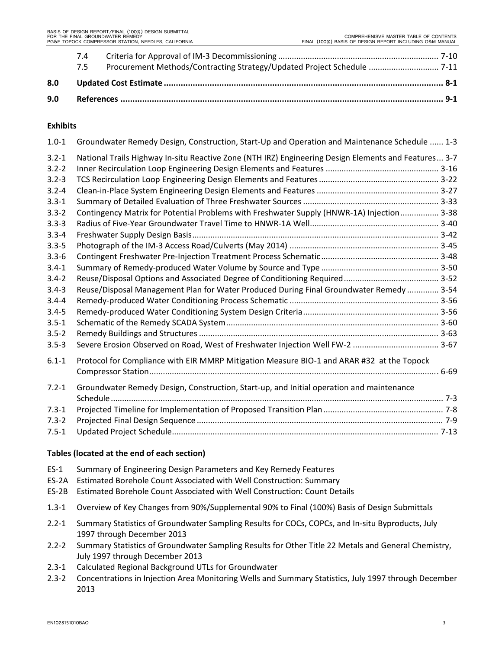|     | 7.4<br>7.5 | Procurement Methods/Contracting Strategy/Updated Project Schedule  7-11 |  |
|-----|------------|-------------------------------------------------------------------------|--|
| 8.0 |            |                                                                         |  |
| 9.0 |            |                                                                         |  |

# **Exhibits**

| $1.0 - 1$ | Groundwater Remedy Design, Construction, Start-Up and Operation and Maintenance Schedule  1-3        |  |
|-----------|------------------------------------------------------------------------------------------------------|--|
| $3.2 - 1$ | National Trails Highway In-situ Reactive Zone (NTH IRZ) Engineering Design Elements and Features 3-7 |  |
| $3.2 - 2$ |                                                                                                      |  |
| $3.2 - 3$ |                                                                                                      |  |
| $3.2 - 4$ |                                                                                                      |  |
| $3.3 - 1$ |                                                                                                      |  |
| $3.3 - 2$ | Contingency Matrix for Potential Problems with Freshwater Supply (HNWR-1A) Injection 3-38            |  |
| $3.3 - 3$ |                                                                                                      |  |
| $3.3 - 4$ |                                                                                                      |  |
| $3.3 - 5$ |                                                                                                      |  |
| $3.3 - 6$ |                                                                                                      |  |
| $3.4 - 1$ |                                                                                                      |  |
| $3.4 - 2$ |                                                                                                      |  |
| $3.4 - 3$ | Reuse/Disposal Management Plan for Water Produced During Final Groundwater Remedy  3-54              |  |
| $3.4 - 4$ |                                                                                                      |  |
| $3.4 - 5$ |                                                                                                      |  |
| $3.5 - 1$ |                                                                                                      |  |
| $3.5 - 2$ |                                                                                                      |  |
| $3.5 - 3$ | Severe Erosion Observed on Road, West of Freshwater Injection Well FW-2  3-67                        |  |
| $6.1 - 1$ | Protocol for Compliance with EIR MMRP Mitigation Measure BIO-1 and ARAR #32 at the Topock            |  |
|           |                                                                                                      |  |
| $7.2 - 1$ | Groundwater Remedy Design, Construction, Start-up, and Initial operation and maintenance             |  |
|           |                                                                                                      |  |
| $7.3 - 1$ |                                                                                                      |  |
| $7.3 - 2$ |                                                                                                      |  |
| $7.5 - 1$ |                                                                                                      |  |

# **Tables (located at the end of each section)**

- ES‐1 Summary of Engineering Design Parameters and Key Remedy Features
- ES‐2A Estimated Borehole Count Associated with Well Construction: Summary
- ES‐2B Estimated Borehole Count Associated with Well Construction: Count Details
- 1.3‐1 Overview of Key Changes from 90%/Supplemental 90% to Final (100%) Basis of Design Submittals
- 2.2‐1 Summary Statistics of Groundwater Sampling Results for COCs, COPCs, and In‐situ Byproducts, July 1997 through December 2013
- 2.2‐2 Summary Statistics of Groundwater Sampling Results for Other Title 22 Metals and General Chemistry, July 1997 through December 2013
- 2.3‐1 Calculated Regional Background UTLs for Groundwater
- 2.3‐2 Concentrations in Injection Area Monitoring Wells and Summary Statistics, July 1997 through December 2013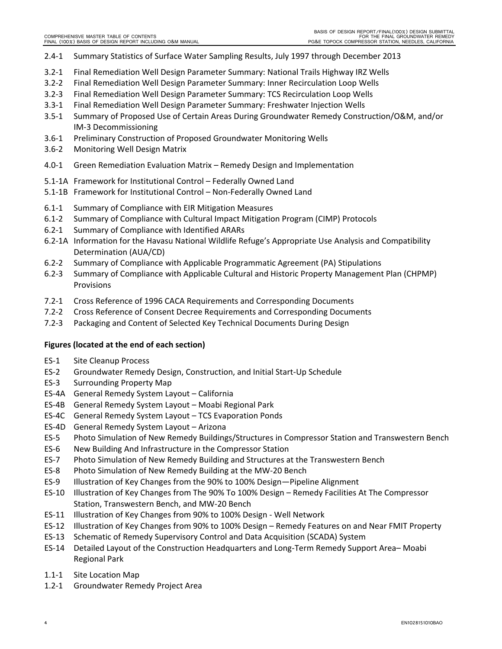- 2.4‐1 Summary Statistics of Surface Water Sampling Results, July 1997 through December 2013
- 3.2‐1 Final Remediation Well Design Parameter Summary: National Trails Highway IRZ Wells
- 3.2‐2 Final Remediation Well Design Parameter Summary: Inner Recirculation Loop Wells
- 3.2‐3 Final Remediation Well Design Parameter Summary: TCS Recirculation Loop Wells
- 3.3‐1 Final Remediation Well Design Parameter Summary: Freshwater Injection Wells
- 3.5‐1 Summary of Proposed Use of Certain Areas During Groundwater Remedy Construction/O&M, and/or IM‐3 Decommissioning
- 3.6‐1 Preliminary Construction of Proposed Groundwater Monitoring Wells
- 3.6‐2 Monitoring Well Design Matrix
- 4.0‐1 Green Remediation Evaluation Matrix Remedy Design and Implementation
- 5.1‐1A Framework for Institutional Control Federally Owned Land
- 5.1‐1B Framework for Institutional Control Non‐Federally Owned Land
- 6.1‐1 Summary of Compliance with EIR Mitigation Measures
- 6.1‐2 Summary of Compliance with Cultural Impact Mitigation Program (CIMP) Protocols
- 6.2‐1 Summary of Compliance with Identified ARARs
- 6.2‐1A Information for the Havasu National Wildlife Refuge's Appropriate Use Analysis and Compatibility Determination (AUA/CD)
- 6.2‐2 Summary of Compliance with Applicable Programmatic Agreement (PA) Stipulations
- 6.2‐3 Summary of Compliance with Applicable Cultural and Historic Property Management Plan (CHPMP) Provisions
- 7.2‐1 Cross Reference of 1996 CACA Requirements and Corresponding Documents
- 7.2‐2 Cross Reference of Consent Decree Requirements and Corresponding Documents
- 7.2‐3 Packaging and Content of Selected Key Technical Documents During Design

# **Figures (located at the end of each section)**

- ES‐1 Site Cleanup Process
- ES‐2 Groundwater Remedy Design, Construction, and Initial Start‐Up Schedule
- ES‐3 Surrounding Property Map
- ES‐4A General Remedy System Layout California
- ES‐4B General Remedy System Layout Moabi Regional Park
- ES‐4C General Remedy System Layout TCS Evaporation Ponds
- ES‐4D General Remedy System Layout Arizona
- ES‐5 Photo Simulation of New Remedy Buildings/Structures in Compressor Station and Transwestern Bench
- ES‐6 New Building And Infrastructure in the Compressor Station
- ES‐7 Photo Simulation of New Remedy Building and Structures at the Transwestern Bench
- ES‐8 Photo Simulation of New Remedy Building at the MW‐20 Bench
- ES‐9 Illustration of Key Changes from the 90% to 100% Design—Pipeline Alignment
- ES‐10 Illustration of Key Changes from The 90% To 100% Design Remedy Facilities At The Compressor Station, Transwestern Bench, and MW‐20 Bench
- ES‐11 Illustration of Key Changes from 90% to 100% Design ‐ Well Network
- ES‐12 Illustration of Key Changes from 90% to 100% Design Remedy Features on and Near FMIT Property
- ES‐13 Schematic of Remedy Supervisory Control and Data Acquisition (SCADA) System
- ES‐14 Detailed Layout of the Construction Headquarters and Long‐Term Remedy Support Area– Moabi Regional Park
- 1.1‐1 Site Location Map
- 1.2‐1 Groundwater Remedy Project Area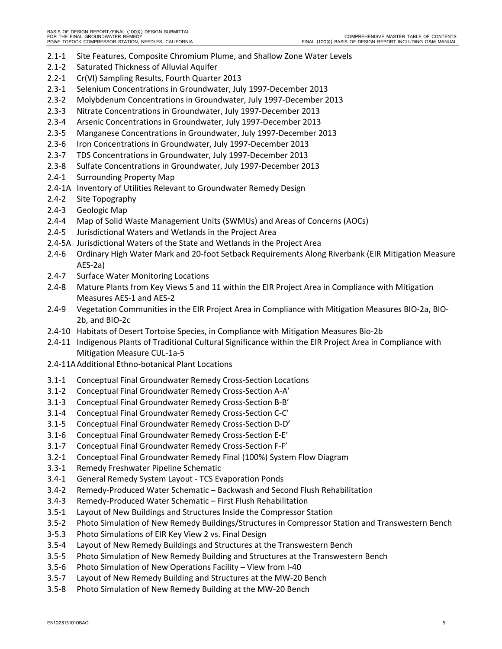- 2.1‐1 Site Features, Composite Chromium Plume, and Shallow Zone Water Levels
- 2.1‐2 Saturated Thickness of Alluvial Aquifer
- 2.2‐1 Cr(VI) Sampling Results, Fourth Quarter 2013
- 2.3‐1 Selenium Concentrations in Groundwater, July 1997‐December 2013
- 2.3‐2 Molybdenum Concentrations in Groundwater, July 1997‐December 2013
- 2.3‐3 Nitrate Concentrations in Groundwater, July 1997‐December 2013
- 2.3‐4 Arsenic Concentrations in Groundwater, July 1997‐December 2013
- 2.3‐5 Manganese Concentrations in Groundwater, July 1997‐December 2013
- 2.3‐6 Iron Concentrations in Groundwater, July 1997‐December 2013
- 2.3‐7 TDS Concentrations in Groundwater, July 1997‐December 2013
- 2.3‐8 Sulfate Concentrations in Groundwater, July 1997‐December 2013
- 2.4‐1 Surrounding Property Map
- 2.4‐1A Inventory of Utilities Relevant to Groundwater Remedy Design
- 2.4‐2 Site Topography
- 2.4‐3 Geologic Map
- 2.4‐4 Map of Solid Waste Management Units (SWMUs) and Areas of Concerns (AOCs)
- 2.4‐5 Jurisdictional Waters and Wetlands in the Project Area
- 2.4‐5A Jurisdictional Waters of the State and Wetlands in the Project Area
- 2.4‐6 Ordinary High Water Mark and 20‐foot Setback Requirements Along Riverbank (EIR Mitigation Measure AES‐2a)
- 2.4‐7 Surface Water Monitoring Locations
- 2.4‐8 Mature Plants from Key Views 5 and 11 within the EIR Project Area in Compliance with Mitigation Measures AES‐1 and AES‐2
- 2.4‐9 Vegetation Communities in the EIR Project Area in Compliance with Mitigation Measures BIO‐2a, BIO‐ 2b, and BIO‐2c
- 2.4‐10 Habitats of Desert Tortoise Species, in Compliance with Mitigation Measures Bio‐2b
- 2.4‐11 Indigenous Plants of Traditional Cultural Significance within the EIR Project Area in Compliance with Mitigation Measure CUL‐1a‐5
- 2.4‐11AAdditional Ethno‐botanical Plant Locations
- 3.1‐1 Conceptual Final Groundwater Remedy Cross‐Section Locations
- 3.1‐2 Conceptual Final Groundwater Remedy Cross‐Section A‐A'
- 3.1‐3 Conceptual Final Groundwater Remedy Cross‐Section B‐B'
- 3.1‐4 Conceptual Final Groundwater Remedy Cross‐Section C‐C'
- 3.1‐5 Conceptual Final Groundwater Remedy Cross‐Section D‐D'
- 3.1‐6 Conceptual Final Groundwater Remedy Cross‐Section E‐E'
- 3.1‐7 Conceptual Final Groundwater Remedy Cross‐Section F‐F'
- 3.2‐1 Conceptual Final Groundwater Remedy Final (100%) System Flow Diagram
- 3.3‐1 Remedy Freshwater Pipeline Schematic
- 3.4‐1 General Remedy System Layout ‐ TCS Evaporation Ponds
- 3.4‐2 Remedy‐Produced Water Schematic Backwash and Second Flush Rehabilitation
- 3.4‐3 Remedy‐Produced Water Schematic First Flush Rehabilitation
- 3.5‐1 Layout of New Buildings and Structures Inside the Compressor Station
- 3.5‐2 Photo Simulation of New Remedy Buildings/Structures in Compressor Station and Transwestern Bench
- 3‐5.3 Photo Simulations of EIR Key View 2 vs. Final Design
- 3.5‐4 Layout of New Remedy Buildings and Structures at the Transwestern Bench
- 3.5‐5 Photo Simulation of New Remedy Building and Structures at the Transwestern Bench
- 3.5‐6 Photo Simulation of New Operations Facility View from I‐40
- 3.5‐7 Layout of New Remedy Building and Structures at the MW‐20 Bench
- 3.5‐8 Photo Simulation of New Remedy Building at the MW‐20 Bench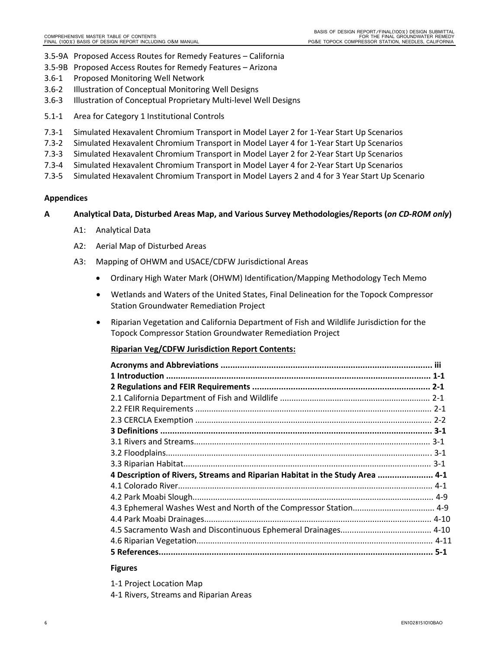- 3.5‐9A Proposed Access Routes for Remedy Features California
- 3.5‐9B Proposed Access Routes for Remedy Features Arizona
- 3.6‐1 Proposed Monitoring Well Network
- 3.6‐2 Illustration of Conceptual Monitoring Well Designs
- 3.6‐3 Illustration of Conceptual Proprietary Multi‐level Well Designs
- 5.1‐1 Area for Category 1 Institutional Controls
- 7.3‐1 Simulated Hexavalent Chromium Transport in Model Layer 2 for 1‐Year Start Up Scenarios
- 7.3‐2 Simulated Hexavalent Chromium Transport in Model Layer 4 for 1‐Year Start Up Scenarios
- 7.3‐3 Simulated Hexavalent Chromium Transport in Model Layer 2 for 2‐Year Start Up Scenarios
- 7.3‐4 Simulated Hexavalent Chromium Transport in Model Layer 4 for 2‐Year Start Up Scenarios
- 7.3‐5 Simulated Hexavalent Chromium Transport in Model Layers 2 and 4 for 3 Year Start Up Scenario

# **Appendices**

# **A Analytical Data, Disturbed Areas Map, and Various Survey Methodologies/Reports (***on CD‐ROM only***)**

- A1: Analytical Data
- A2: Aerial Map of Disturbed Areas
- A3: Mapping of OHWM and USACE/CDFW Jurisdictional Areas
	- Ordinary High Water Mark (OHWM) Identification/Mapping Methodology Tech Memo
	- Wetlands and Waters of the United States, Final Delineation for the Topock Compressor Station Groundwater Remediation Project
	- Riparian Vegetation and California Department of Fish and Wildlife Jurisdiction for the Topock Compressor Station Groundwater Remediation Project

# **Riparian Veg/CDFW Jurisdiction Report Contents:**

| 4-1-4 Description of Rivers, Streams and Riparian Habitat in the Study Area  4-1 |  |
|----------------------------------------------------------------------------------|--|
|                                                                                  |  |
|                                                                                  |  |
|                                                                                  |  |
|                                                                                  |  |
|                                                                                  |  |
|                                                                                  |  |
|                                                                                  |  |
|                                                                                  |  |

#### **Figures**

1‐1 Project Location Map

4‐1 Rivers, Streams and Riparian Areas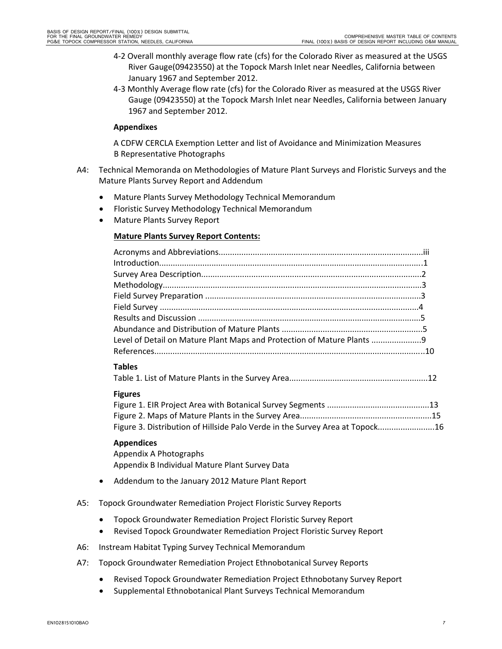- 4‐2 Overall monthly average flow rate (cfs) for the Colorado River as measured at the USGS River Gauge(09423550) at the Topock Marsh Inlet near Needles, California between January 1967 and September 2012.
- 4‐3 Monthly Average flow rate (cfs) for the Colorado River as measured at the USGS River Gauge (09423550) at the Topock Marsh Inlet near Needles, California between January 1967 and September 2012.

#### **Appendixes**

A CDFW CERCLA Exemption Letter and list of Avoidance and Minimization Measures B Representative Photographs

- A4: Technical Memoranda on Methodologies of Mature Plant Surveys and Floristic Surveys and the Mature Plants Survey Report and Addendum
	- Mature Plants Survey Methodology Technical Memorandum
	- Floristic Survey Methodology Technical Memorandum
	- Mature Plants Survey Report

#### **Mature Plants Survey Report Contents:**

| Level of Detail on Mature Plant Maps and Protection of Mature Plants 9 |  |
|------------------------------------------------------------------------|--|
|                                                                        |  |
|                                                                        |  |

#### **Tables**

Table 1. List of Mature Plants in the Survey Area.............................................................12

#### **Figures**

Figure 1. EIR Project Area with Botanical Survey Segments .............................................13 Figure 2. Maps of Mature Plants in the Survey Area..........................................................15 Figure 3. Distribution of Hillside Palo Verde in the Survey Area at Topock.........................16

#### **Appendices**

Appendix A Photographs Appendix B Individual Mature Plant Survey Data

- Addendum to the January 2012 Mature Plant Report
- A5: Topock Groundwater Remediation Project Floristic Survey Reports
	- Topock Groundwater Remediation Project Floristic Survey Report
	- Revised Topock Groundwater Remediation Project Floristic Survey Report
- A6: Instream Habitat Typing Survey Technical Memorandum
- A7: Topock Groundwater Remediation Project Ethnobotanical Survey Reports
	- Revised Topock Groundwater Remediation Project Ethnobotany Survey Report
	- Supplemental Ethnobotanical Plant Surveys Technical Memorandum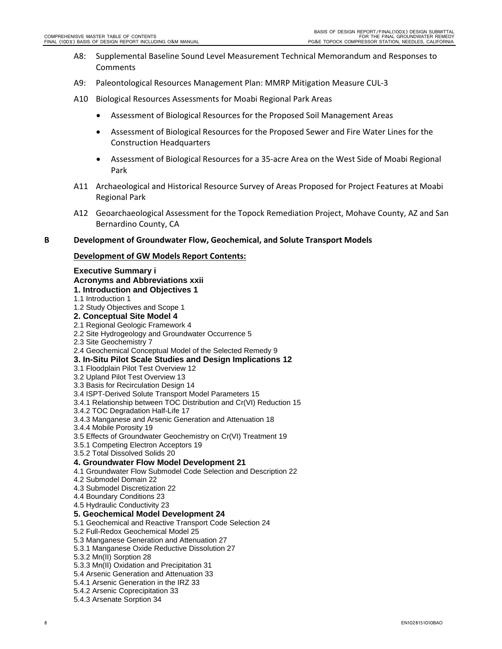- A8: Supplemental Baseline Sound Level Measurement Technical Memorandum and Responses to Comments
- A9: Paleontological Resources Management Plan: MMRP Mitigation Measure CUL‐3
- A10 Biological Resources Assessments for Moabi Regional Park Areas
	- Assessment of Biological Resources for the Proposed Soil Management Areas
	- Assessment of Biological Resources for the Proposed Sewer and Fire Water Lines for the Construction Headquarters
	- Assessment of Biological Resources for a 35‐acre Area on the West Side of Moabi Regional Park
- A11 Archaeological and Historical Resource Survey of Areas Proposed for Project Features at Moabi Regional Park
- A12 Geoarchaeological Assessment for the Topock Remediation Project, Mohave County, AZ and San Bernardino County, CA

#### **B Development of Groundwater Flow, Geochemical, and Solute Transport Models**

#### **Development of GW Models Report Contents:**

#### **Executive Summary i Acronyms and Abbreviations xxii 1. Introduction and Objectives 1**  1.1 Introduction 1 1.2 Study Objectives and Scope 1 **2. Conceptual Site Model 4**  2.1 Regional Geologic Framework 4 2.2 Site Hydrogeology and Groundwater Occurrence 5 2.3 Site Geochemistry 7 2.4 Geochemical Conceptual Model of the Selected Remedy 9 **3. In-Situ Pilot Scale Studies and Design Implications 12**  3.1 Floodplain Pilot Test Overview 12 3.2 Upland Pilot Test Overview 13 3.3 Basis for Recirculation Design 14 3.4 ISPT-Derived Solute Transport Model Parameters 15 3.4.1 Relationship between TOC Distribution and Cr(VI) Reduction 15 3.4.2 TOC Degradation Half-Life 17 3.4.3 Manganese and Arsenic Generation and Attenuation 18 3.4.4 Mobile Porosity 19 3.5 Effects of Groundwater Geochemistry on Cr(VI) Treatment 19 3.5.1 Competing Electron Acceptors 19 3.5.2 Total Dissolved Solids 20 **4. Groundwater Flow Model Development 21**  4.1 Groundwater Flow Submodel Code Selection and Description 22 4.2 Submodel Domain 22 4.3 Submodel Discretization 22 4.4 Boundary Conditions 23 4.5 Hydraulic Conductivity 23 **5. Geochemical Model Development 24**  5.1 Geochemical and Reactive Transport Code Selection 24 5.2 Full-Redox Geochemical Model 25 5.3 Manganese Generation and Attenuation 27 5.3.1 Manganese Oxide Reductive Dissolution 27 5.3.2 Mn(II) Sorption 28 5.3.3 Mn(II) Oxidation and Precipitation 31 5.4 Arsenic Generation and Attenuation 33 5.4.1 Arsenic Generation in the IRZ 33 5.4.2 Arsenic Coprecipitation 33 5.4.3 Arsenate Sorption 34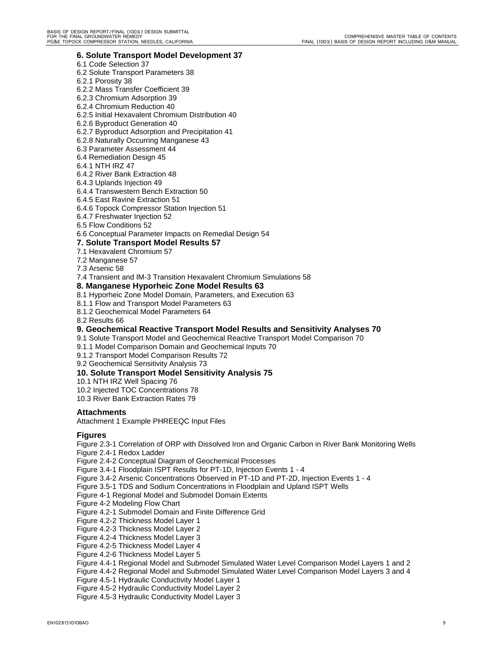#### **6. Solute Transport Model Development 37**

- 6.1 Code Selection 37
- 6.2 Solute Transport Parameters 38
- 6.2.1 Porosity 38
- 6.2.2 Mass Transfer Coefficient 39
- 6.2.3 Chromium Adsorption 39
- 6.2.4 Chromium Reduction 40

#### 6.2.5 Initial Hexavalent Chromium Distribution 40

- 6.2.6 Byproduct Generation 40
- 6.2.7 Byproduct Adsorption and Precipitation 41
- 6.2.8 Naturally Occurring Manganese 43
- 6.3 Parameter Assessment 44
- 6.4 Remediation Design 45
- 6.4.1 NTH IRZ 47
- 6.4.2 River Bank Extraction 48
- 6.4.3 Uplands Injection 49

#### 6.4.4 Transwestern Bench Extraction 50

- 6.4.5 East Ravine Extraction 51
- 6.4.6 Topock Compressor Station Injection 51
- 6.4.7 Freshwater Injection 52
- 6.5 Flow Conditions 52
- 6.6 Conceptual Parameter Impacts on Remedial Design 54

#### **7. Solute Transport Model Results 57**

- 7.1 Hexavalent Chromium 57
- 7.2 Manganese 57

7.3 Arsenic 58

7.4 Transient and IM-3 Transition Hexavalent Chromium Simulations 58

#### **8. Manganese Hyporheic Zone Model Results 63**

- 8.1 Hyporheic Zone Model Domain, Parameters, and Execution 63
- 8.1.1 Flow and Transport Model Parameters 63
- 8.1.2 Geochemical Model Parameters 64
- 8.2 Results 66

#### **9. Geochemical Reactive Transport Model Results and Sensitivity Analyses 70**

- 9.1 Solute Transport Model and Geochemical Reactive Transport Model Comparison 70
- 9.1.1 Model Comparison Domain and Geochemical Inputs 70
- 9.1.2 Transport Model Comparison Results 72

9.2 Geochemical Sensitivity Analysis 73

#### **10. Solute Transport Model Sensitivity Analysis 75**

- 10.1 NTH IRZ Well Spacing 76
- 10.2 Injected TOC Concentrations 78
- 10.3 River Bank Extraction Rates 79

#### **Attachments**

Attachment 1 Example PHREEQC Input Files

#### **Figures**

Figure 2.3-1 Correlation of ORP with Dissolved Iron and Organic Carbon in River Bank Monitoring Wells

Figure 2.4-1 Redox Ladder

Figure 2.4-2 Conceptual Diagram of Geochemical Processes

- Figure 3.4-1 Floodplain ISPT Results for PT-1D, Injection Events 1 4
- Figure 3.4-2 Arsenic Concentrations Observed in PT-1D and PT-2D, Injection Events 1 4
- Figure 3.5-1 TDS and Sodium Concentrations in Floodplain and Upland ISPT Wells
- Figure 4-1 Regional Model and Submodel Domain Extents
- Figure 4-2 Modeling Flow Chart
- Figure 4.2-1 Submodel Domain and Finite Difference Grid
- Figure 4.2-2 Thickness Model Layer 1
- Figure 4.2-3 Thickness Model Layer 2
- Figure 4.2-4 Thickness Model Layer 3
- Figure 4.2-5 Thickness Model Layer 4
- Figure 4.2-6 Thickness Model Layer 5
- Figure 4.4-1 Regional Model and Submodel Simulated Water Level Comparison Model Layers 1 and 2

Figure 4.4-2 Regional Model and Submodel Simulated Water Level Comparison Model Layers 3 and 4

- Figure 4.5-1 Hydraulic Conductivity Model Layer 1
- Figure 4.5-2 Hydraulic Conductivity Model Layer 2

Figure 4.5-3 Hydraulic Conductivity Model Layer 3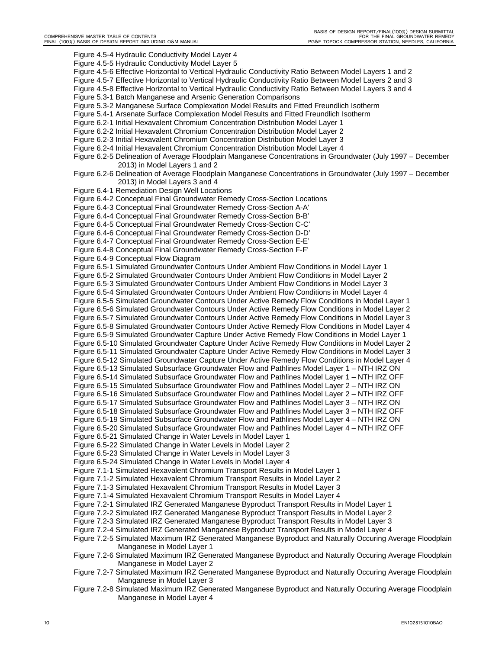Figure 4.5-4 Hydraulic Conductivity Model Layer 4 Figure 4.5-5 Hydraulic Conductivity Model Layer 5 Figure 4.5-6 Effective Horizontal to Vertical Hydraulic Conductivity Ratio Between Model Layers 1 and 2 Figure 4.5-7 Effective Horizontal to Vertical Hydraulic Conductivity Ratio Between Model Layers 2 and 3 Figure 4.5-8 Effective Horizontal to Vertical Hydraulic Conductivity Ratio Between Model Layers 3 and 4 Figure 5.3-1 Batch Manganese and Arsenic Generation Comparisons Figure 5.3-2 Manganese Surface Complexation Model Results and Fitted Freundlich Isotherm Figure 5.4-1 Arsenate Surface Complexation Model Results and Fitted Freundlich Isotherm Figure 6.2-1 Initial Hexavalent Chromium Concentration Distribution Model Layer 1 Figure 6.2-2 Initial Hexavalent Chromium Concentration Distribution Model Layer 2 Figure 6.2-3 Initial Hexavalent Chromium Concentration Distribution Model Layer 3 Figure 6.2-4 Initial Hexavalent Chromium Concentration Distribution Model Layer 4 Figure 6.2-5 Delineation of Average Floodplain Manganese Concentrations in Groundwater (July 1997 – December 2013) in Model Layers 1 and 2 Figure 6.2-6 Delineation of Average Floodplain Manganese Concentrations in Groundwater (July 1997 – December 2013) in Model Layers 3 and 4 Figure 6.4-1 Remediation Design Well Locations Figure 6.4-2 Conceptual Final Groundwater Remedy Cross-Section Locations Figure 6.4-3 Conceptual Final Groundwater Remedy Cross-Section A-A' Figure 6.4-4 Conceptual Final Groundwater Remedy Cross-Section B-B' Figure 6.4-5 Conceptual Final Groundwater Remedy Cross-Section C-C' Figure 6.4-6 Conceptual Final Groundwater Remedy Cross-Section D-D' Figure 6.4-7 Conceptual Final Groundwater Remedy Cross-Section E-E' Figure 6.4-8 Conceptual Final Groundwater Remedy Cross-Section F-F' Figure 6.4-9 Conceptual Flow Diagram Figure 6.5-1 Simulated Groundwater Contours Under Ambient Flow Conditions in Model Layer 1 Figure 6.5-2 Simulated Groundwater Contours Under Ambient Flow Conditions in Model Layer 2 Figure 6.5-3 Simulated Groundwater Contours Under Ambient Flow Conditions in Model Layer 3 Figure 6.5-4 Simulated Groundwater Contours Under Ambient Flow Conditions in Model Layer 4 Figure 6.5-5 Simulated Groundwater Contours Under Active Remedy Flow Conditions in Model Layer 1 Figure 6.5-6 Simulated Groundwater Contours Under Active Remedy Flow Conditions in Model Layer 2 Figure 6.5-7 Simulated Groundwater Contours Under Active Remedy Flow Conditions in Model Layer 3 Figure 6.5-8 Simulated Groundwater Contours Under Active Remedy Flow Conditions in Model Layer 4 Figure 6.5-9 Simulated Groundwater Capture Under Active Remedy Flow Conditions in Model Layer 1 Figure 6.5-10 Simulated Groundwater Capture Under Active Remedy Flow Conditions in Model Layer 2 Figure 6.5-11 Simulated Groundwater Capture Under Active Remedy Flow Conditions in Model Layer 3 Figure 6.5-12 Simulated Groundwater Capture Under Active Remedy Flow Conditions in Model Layer 4 Figure 6.5-13 Simulated Subsurface Groundwater Flow and Pathlines Model Layer 1 – NTH IRZ ON Figure 6.5-14 Simulated Subsurface Groundwater Flow and Pathlines Model Layer 1 – NTH IRZ OFF Figure 6.5-15 Simulated Subsurface Groundwater Flow and Pathlines Model Layer 2 – NTH IRZ ON Figure 6.5-16 Simulated Subsurface Groundwater Flow and Pathlines Model Layer 2 – NTH IRZ OFF Figure 6.5-17 Simulated Subsurface Groundwater Flow and Pathlines Model Layer 3 – NTH IRZ ON Figure 6.5-18 Simulated Subsurface Groundwater Flow and Pathlines Model Layer 3 – NTH IRZ OFF Figure 6.5-19 Simulated Subsurface Groundwater Flow and Pathlines Model Layer 4 – NTH IRZ ON Figure 6.5-20 Simulated Subsurface Groundwater Flow and Pathlines Model Layer 4 – NTH IRZ OFF Figure 6.5-21 Simulated Change in Water Levels in Model Layer 1 Figure 6.5-22 Simulated Change in Water Levels in Model Layer 2 Figure 6.5-23 Simulated Change in Water Levels in Model Layer 3 Figure 6.5-24 Simulated Change in Water Levels in Model Layer 4 Figure 7.1-1 Simulated Hexavalent Chromium Transport Results in Model Layer 1 Figure 7.1-2 Simulated Hexavalent Chromium Transport Results in Model Layer 2 Figure 7.1-3 Simulated Hexavalent Chromium Transport Results in Model Layer 3 Figure 7.1-4 Simulated Hexavalent Chromium Transport Results in Model Layer 4 Figure 7.2-1 Simulated IRZ Generated Manganese Byproduct Transport Results in Model Layer 1 Figure 7.2-2 Simulated IRZ Generated Manganese Byproduct Transport Results in Model Layer 2 Figure 7.2-3 Simulated IRZ Generated Manganese Byproduct Transport Results in Model Layer 3 Figure 7.2-4 Simulated IRZ Generated Manganese Byproduct Transport Results in Model Layer 4 Figure 7.2-5 Simulated Maximum IRZ Generated Manganese Byproduct and Naturally Occuring Average Floodplain Manganese in Model Layer 1 Figure 7.2-6 Simulated Maximum IRZ Generated Manganese Byproduct and Naturally Occuring Average Floodplain Manganese in Model Layer 2 Figure 7.2-7 Simulated Maximum IRZ Generated Manganese Byproduct and Naturally Occuring Average Floodplain Manganese in Model Layer 3 Figure 7.2-8 Simulated Maximum IRZ Generated Manganese Byproduct and Naturally Occuring Average Floodplain Manganese in Model Layer 4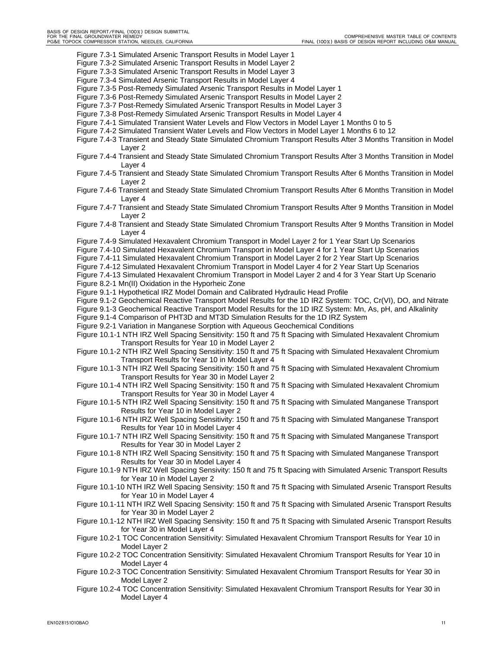PG&E TOPOCK COMPRESSOR STATION, NEEDLES, CALIFORNIA FINAL FINAL (100%) BASIS OF DESIGN REPORT INCLUDING O&M MANUAL Figure 7.3-1 Simulated Arsenic Transport Results in Model Layer 1 Figure 7.3-2 Simulated Arsenic Transport Results in Model Layer 2 Figure 7.3-3 Simulated Arsenic Transport Results in Model Layer 3 Figure 7.3-4 Simulated Arsenic Transport Results in Model Layer 4 Figure 7.3-5 Post-Remedy Simulated Arsenic Transport Results in Model Layer 1 Figure 7.3-6 Post-Remedy Simulated Arsenic Transport Results in Model Layer 2 Figure 7.3-7 Post-Remedy Simulated Arsenic Transport Results in Model Layer 3 Figure 7.3-8 Post-Remedy Simulated Arsenic Transport Results in Model Layer 4 Figure 7.4-1 Simulated Transient Water Levels and Flow Vectors in Model Layer 1 Months 0 to 5 Figure 7.4-2 Simulated Transient Water Levels and Flow Vectors in Model Layer 1 Months 6 to 12 Figure 7.4-3 Transient and Steady State Simulated Chromium Transport Results After 3 Months Transition in Model Layer 2 Figure 7.4-4 Transient and Steady State Simulated Chromium Transport Results After 3 Months Transition in Model Layer 4 Figure 7.4-5 Transient and Steady State Simulated Chromium Transport Results After 6 Months Transition in Model Layer 2 Figure 7.4-6 Transient and Steady State Simulated Chromium Transport Results After 6 Months Transition in Model Layer 4 Figure 7.4-7 Transient and Steady State Simulated Chromium Transport Results After 9 Months Transition in Model Layer 2 Figure 7.4-8 Transient and Steady State Simulated Chromium Transport Results After 9 Months Transition in Model Layer 4 Figure 7.4-9 Simulated Hexavalent Chromium Transport in Model Layer 2 for 1 Year Start Up Scenarios Figure 7.4-10 Simulated Hexavalent Chromium Transport in Model Layer 4 for 1 Year Start Up Scenarios Figure 7.4-11 Simulated Hexavalent Chromium Transport in Model Layer 2 for 2 Year Start Up Scenarios Figure 7.4-12 Simulated Hexavalent Chromium Transport in Model Layer 4 for 2 Year Start Up Scenarios Figure 7.4-13 Simulated Hexavalent Chromium Transport in Model Layer 2 and 4 for 3 Year Start Up Scenario Figure 8.2-1 Mn(II) Oxidation in the Hyporheic Zone Figure 9.1-1 Hypothetical IRZ Model Domain and Calibrated Hydraulic Head Profile Figure 9.1-2 Geochemical Reactive Transport Model Results for the 1D IRZ System: TOC, Cr(VI), DO, and Nitrate Figure 9.1-3 Geochemical Reactive Transport Model Results for the 1D IRZ System: Mn, As, pH, and Alkalinity Figure 9.1-4 Comparison of PHT3D and MT3D Simulation Results for the 1D IRZ System Figure 9.2-1 Variation in Manganese Sorption with Aqueous Geochemical Conditions Figure 10.1-1 NTH IRZ Well Spacing Sensitivity: 150 ft and 75 ft Spacing with Simulated Hexavalent Chromium Transport Results for Year 10 in Model Layer 2 Figure 10.1-2 NTH IRZ Well Spacing Sensitivity: 150 ft and 75 ft Spacing with Simulated Hexavalent Chromium Transport Results for Year 10 in Model Layer 4 Figure 10.1-3 NTH IRZ Well Spacing Sensitivity: 150 ft and 75 ft Spacing with Simulated Hexavalent Chromium Transport Results for Year 30 in Model Layer 2 Figure 10.1-4 NTH IRZ Well Spacing Sensitivity: 150 ft and 75 ft Spacing with Simulated Hexavalent Chromium Transport Results for Year 30 in Model Layer 4 Figure 10.1-5 NTH IRZ Well Spacing Sensitivity: 150 ft and 75 ft Spacing with Simulated Manganese Transport Results for Year 10 in Model Layer 2 Figure 10.1-6 NTH IRZ Well Spacing Sensitivity: 150 ft and 75 ft Spacing with Simulated Manganese Transport Results for Year 10 in Model Layer 4 Figure 10.1-7 NTH IRZ Well Spacing Sensitivity: 150 ft and 75 ft Spacing with Simulated Manganese Transport Results for Year 30 in Model Layer 2 Figure 10.1-8 NTH IRZ Well Spacing Sensitivity: 150 ft and 75 ft Spacing with Simulated Manganese Transport Results for Year 30 in Model Layer 4 Figure 10.1-9 NTH IRZ Well Spacing Sensivity: 150 ft and 75 ft Spacing with Simulated Arsenic Transport Results for Year 10 in Model Layer 2 Figure 10.1-10 NTH IRZ Well Spacing Sensivity: 150 ft and 75 ft Spacing with Simulated Arsenic Transport Results for Year 10 in Model Layer 4 Figure 10.1-11 NTH IRZ Well Spacing Sensivity: 150 ft and 75 ft Spacing with Simulated Arsenic Transport Results for Year 30 in Model Layer 2 Figure 10.1-12 NTH IRZ Well Spacing Sensivity: 150 ft and 75 ft Spacing with Simulated Arsenic Transport Results for Year 30 in Model Layer 4 Figure 10.2-1 TOC Concentration Sensitivity: Simulated Hexavalent Chromium Transport Results for Year 10 in Model Layer 2 Figure 10.2-2 TOC Concentration Sensitivity: Simulated Hexavalent Chromium Transport Results for Year 10 in Model Layer 4 Figure 10.2-3 TOC Concentration Sensitivity: Simulated Hexavalent Chromium Transport Results for Year 30 in Model Layer 2 Figure 10.2-4 TOC Concentration Sensitivity: Simulated Hexavalent Chromium Transport Results for Year 30 in Model Layer 4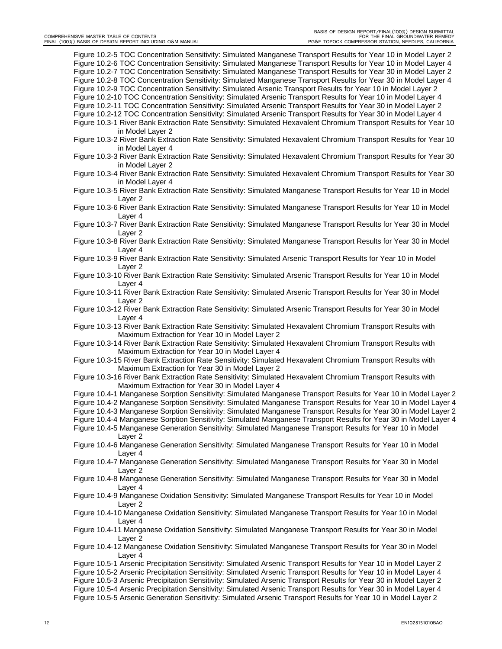Figure 10.2-5 TOC Concentration Sensitivity: Simulated Manganese Transport Results for Year 10 in Model Layer 2 Figure 10.2-6 TOC Concentration Sensitivity: Simulated Manganese Transport Results for Year 10 in Model Layer 4 Figure 10.2-7 TOC Concentration Sensitivity: Simulated Manganese Transport Results for Year 30 in Model Layer 2 Figure 10.2-8 TOC Concentration Sensitivity: Simulated Manganese Transport Results for Year 30 in Model Layer 4 Figure 10.2-9 TOC Concentration Sensitivity: Simulated Arsenic Transport Results for Year 10 in Model Layer 2 Figure 10.2-10 TOC Concentration Sensitivity: Simulated Arsenic Transport Results for Year 10 in Model Layer 4 Figure 10.2-11 TOC Concentration Sensitivity: Simulated Arsenic Transport Results for Year 30 in Model Layer 2 Figure 10.2-12 TOC Concentration Sensitivity: Simulated Arsenic Transport Results for Year 30 in Model Layer 4 Figure 10.3-1 River Bank Extraction Rate Sensitivity: Simulated Hexavalent Chromium Transport Results for Year 10 in Model Layer 2

- Figure 10.3-2 River Bank Extraction Rate Sensitivity: Simulated Hexavalent Chromium Transport Results for Year 10 in Model Layer 4
- Figure 10.3-3 River Bank Extraction Rate Sensitivity: Simulated Hexavalent Chromium Transport Results for Year 30 in Model Layer 2
- Figure 10.3-4 River Bank Extraction Rate Sensitivity: Simulated Hexavalent Chromium Transport Results for Year 30 in Model Layer 4
- Figure 10.3-5 River Bank Extraction Rate Sensitivity: Simulated Manganese Transport Results for Year 10 in Model Layer 2
- Figure 10.3-6 River Bank Extraction Rate Sensitivity: Simulated Manganese Transport Results for Year 10 in Model Layer 4
- Figure 10.3-7 River Bank Extraction Rate Sensitivity: Simulated Manganese Transport Results for Year 30 in Model Layer 2
- Figure 10.3-8 River Bank Extraction Rate Sensitivity: Simulated Manganese Transport Results for Year 30 in Model Layer 4
- Figure 10.3-9 River Bank Extraction Rate Sensitivity: Simulated Arsenic Transport Results for Year 10 in Model Layer 2
- Figure 10.3-10 River Bank Extraction Rate Sensitivity: Simulated Arsenic Transport Results for Year 10 in Model Layer 4
- Figure 10.3-11 River Bank Extraction Rate Sensitivity: Simulated Arsenic Transport Results for Year 30 in Model Layer 2
- Figure 10.3-12 River Bank Extraction Rate Sensitivity: Simulated Arsenic Transport Results for Year 30 in Model Layer 4
- Figure 10.3-13 River Bank Extraction Rate Sensitivity: Simulated Hexavalent Chromium Transport Results with Maximum Extraction for Year 10 in Model Layer 2
- Figure 10.3-14 River Bank Extraction Rate Sensitivity: Simulated Hexavalent Chromium Transport Results with Maximum Extraction for Year 10 in Model Layer 4
- Figure 10.3-15 River Bank Extraction Rate Sensitivity: Simulated Hexavalent Chromium Transport Results with Maximum Extraction for Year 30 in Model Layer 2
- Figure 10.3-16 River Bank Extraction Rate Sensitivity: Simulated Hexavalent Chromium Transport Results with Maximum Extraction for Year 30 in Model Layer 4
- Figure 10.4-1 Manganese Sorption Sensitivity: Simulated Manganese Transport Results for Year 10 in Model Layer 2
- Figure 10.4-2 Manganese Sorption Sensitivity: Simulated Manganese Transport Results for Year 10 in Model Layer 4
- Figure 10.4-3 Manganese Sorption Sensitivity: Simulated Manganese Transport Results for Year 30 in Model Layer 2
- Figure 10.4-4 Manganese Sorption Sensitivity: Simulated Manganese Transport Results for Year 30 in Model Layer 4
- Figure 10.4-5 Manganese Generation Sensitivity: Simulated Manganese Transport Results for Year 10 in Model Layer 2
- Figure 10.4-6 Manganese Generation Sensitivity: Simulated Manganese Transport Results for Year 10 in Model Layer 4
- Figure 10.4-7 Manganese Generation Sensitivity: Simulated Manganese Transport Results for Year 30 in Model Layer 2
- Figure 10.4-8 Manganese Generation Sensitivity: Simulated Manganese Transport Results for Year 30 in Model Layer 4
- Figure 10.4-9 Manganese Oxidation Sensitivity: Simulated Manganese Transport Results for Year 10 in Model Layer 2
- Figure 10.4-10 Manganese Oxidation Sensitivity: Simulated Manganese Transport Results for Year 10 in Model Layer 4
- Figure 10.4-11 Manganese Oxidation Sensitivity: Simulated Manganese Transport Results for Year 30 in Model Layer 2
- Figure 10.4-12 Manganese Oxidation Sensitivity: Simulated Manganese Transport Results for Year 30 in Model Layer 4
- Figure 10.5-1 Arsenic Precipitation Sensitivity: Simulated Arsenic Transport Results for Year 10 in Model Layer 2
- Figure 10.5-2 Arsenic Precipitation Sensitivity: Simulated Arsenic Transport Results for Year 10 in Model Layer 4

Figure 10.5-3 Arsenic Precipitation Sensitivity: Simulated Arsenic Transport Results for Year 30 in Model Layer 2

- Figure 10.5-4 Arsenic Precipitation Sensitivity: Simulated Arsenic Transport Results for Year 30 in Model Layer 4
- Figure 10.5-5 Arsenic Generation Sensitivity: Simulated Arsenic Transport Results for Year 10 in Model Layer 2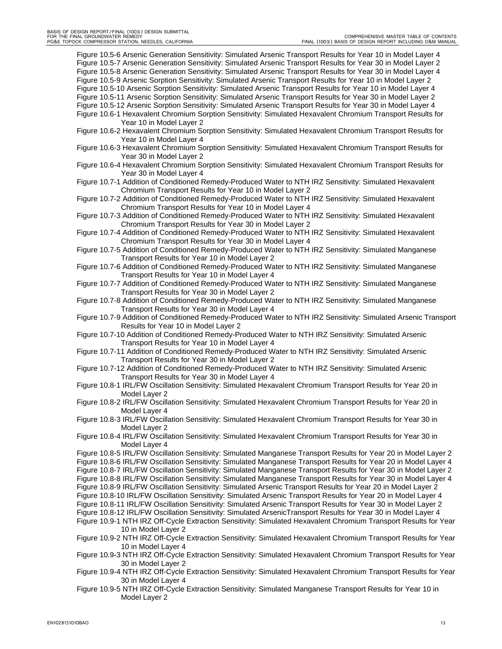Figure 10.5-6 Arsenic Generation Sensitivity: Simulated Arsenic Transport Results for Year 10 in Model Layer 4 Figure 10.5-7 Arsenic Generation Sensitivity: Simulated Arsenic Transport Results for Year 30 in Model Layer 2 Figure 10.5-8 Arsenic Generation Sensitivity: Simulated Arsenic Transport Results for Year 30 in Model Layer 4 Figure 10.5-9 Arsenic Sorption Sensitivity: Simulated Arsenic Transport Results for Year 10 in Model Layer 2 Figure 10.5-10 Arsenic Sorption Sensitivity: Simulated Arsenic Transport Results for Year 10 in Model Layer 4 Figure 10.5-11 Arsenic Sorption Sensitivity: Simulated Arsenic Transport Results for Year 30 in Model Layer 2 Figure 10.5-12 Arsenic Sorption Sensitivity: Simulated Arsenic Transport Results for Year 30 in Model Layer 4 Figure 10.6-1 Hexavalent Chromium Sorption Sensitivity: Simulated Hexavalent Chromium Transport Results for Year 10 in Model Layer 2

- Figure 10.6-2 Hexavalent Chromium Sorption Sensitivity: Simulated Hexavalent Chromium Transport Results for Year 10 in Model Layer 4
- Figure 10.6-3 Hexavalent Chromium Sorption Sensitivity: Simulated Hexavalent Chromium Transport Results for Year 30 in Model Layer 2
- Figure 10.6-4 Hexavalent Chromium Sorption Sensitivity: Simulated Hexavalent Chromium Transport Results for Year 30 in Model Layer 4
- Figure 10.7-1 Addition of Conditioned Remedy-Produced Water to NTH IRZ Sensitivity: Simulated Hexavalent Chromium Transport Results for Year 10 in Model Layer 2

Figure 10.7-2 Addition of Conditioned Remedy-Produced Water to NTH IRZ Sensitivity: Simulated Hexavalent Chromium Transport Results for Year 10 in Model Layer 4

Figure 10.7-3 Addition of Conditioned Remedy-Produced Water to NTH IRZ Sensitivity: Simulated Hexavalent Chromium Transport Results for Year 30 in Model Layer 2

Figure 10.7-4 Addition of Conditioned Remedy-Produced Water to NTH IRZ Sensitivity: Simulated Hexavalent Chromium Transport Results for Year 30 in Model Layer 4

Figure 10.7-5 Addition of Conditioned Remedy-Produced Water to NTH IRZ Sensitivity: Simulated Manganese Transport Results for Year 10 in Model Layer 2

Figure 10.7-6 Addition of Conditioned Remedy-Produced Water to NTH IRZ Sensitivity: Simulated Manganese Transport Results for Year 10 in Model Layer 4

Figure 10.7-7 Addition of Conditioned Remedy-Produced Water to NTH IRZ Sensitivity: Simulated Manganese Transport Results for Year 30 in Model Layer 2

Figure 10.7-8 Addition of Conditioned Remedy-Produced Water to NTH IRZ Sensitivity: Simulated Manganese Transport Results for Year 30 in Model Layer 4

Figure 10.7-9 Addition of Conditioned Remedy-Produced Water to NTH IRZ Sensitivity: Simulated Arsenic Transport Results for Year 10 in Model Layer 2

Figure 10.7-10 Addition of Conditioned Remedy-Produced Water to NTH IRZ Sensitivity: Simulated Arsenic Transport Results for Year 10 in Model Layer 4

Figure 10.7-11 Addition of Conditioned Remedy-Produced Water to NTH IRZ Sensitivity: Simulated Arsenic Transport Results for Year 30 in Model Layer 2

Figure 10.7-12 Addition of Conditioned Remedy-Produced Water to NTH IRZ Sensitivity: Simulated Arsenic Transport Results for Year 30 in Model Layer 4

Figure 10.8-1 IRL/FW Oscillation Sensitivity: Simulated Hexavalent Chromium Transport Results for Year 20 in Model Layer 2

Figure 10.8-2 IRL/FW Oscillation Sensitivity: Simulated Hexavalent Chromium Transport Results for Year 20 in Model Layer 4

Figure 10.8-3 IRL/FW Oscillation Sensitivity: Simulated Hexavalent Chromium Transport Results for Year 30 in Model Layer 2

Figure 10.8-4 IRL/FW Oscillation Sensitivity: Simulated Hexavalent Chromium Transport Results for Year 30 in Model Layer 4

Figure 10.8-5 IRL/FW Oscillation Sensitivity: Simulated Manganese Transport Results for Year 20 in Model Layer 2

Figure 10.8-6 IRL/FW Oscillation Sensitivity: Simulated Manganese Transport Results for Year 20 in Model Layer 4

- Figure 10.8-7 IRL/FW Oscillation Sensitivity: Simulated Manganese Transport Results for Year 30 in Model Layer 2
- Figure 10.8-8 IRL/FW Oscillation Sensitivity: Simulated Manganese Transport Results for Year 30 in Model Layer 4
- Figure 10.8-9 IRL/FW Oscillation Sensitivity: Simulated Arsenic Transport Results for Year 20 in Model Layer 2
- Figure 10.8-10 IRL/FW Oscillation Sensitivity: Simulated Arsenic Transport Results for Year 20 in Model Layer 4 Figure 10.8-11 IRL/FW Oscillation Sensitivity: Simulated Arsenic Transport Results for Year 30 in Model Layer 2

Figure 10.8-12 IRL/FW Oscillation Sensitivity: Simulated ArsenicTransport Results for Year 30 in Model Layer 4 Figure 10.9-1 NTH IRZ Off-Cycle Extraction Sensitivity: Simulated Hexavalent Chromium Transport Results for Year

10 in Model Layer 2

Figure 10.9-2 NTH IRZ Off-Cycle Extraction Sensitivity: Simulated Hexavalent Chromium Transport Results for Year 10 in Model Layer 4

Figure 10.9-3 NTH IRZ Off-Cycle Extraction Sensitivity: Simulated Hexavalent Chromium Transport Results for Year 30 in Model Layer 2

Figure 10.9-4 NTH IRZ Off-Cycle Extraction Sensitivity: Simulated Hexavalent Chromium Transport Results for Year 30 in Model Layer 4

Figure 10.9-5 NTH IRZ Off-Cycle Extraction Sensitivity: Simulated Manganese Transport Results for Year 10 in Model Layer 2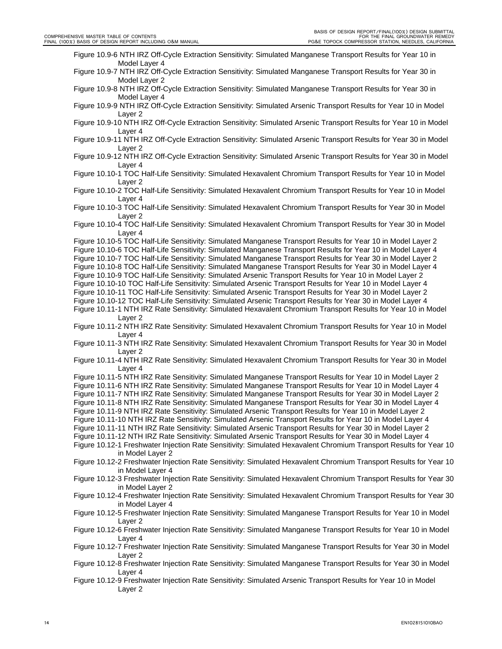Figure 10.9-6 NTH IRZ Off-Cycle Extraction Sensitivity: Simulated Manganese Transport Results for Year 10 in Model Layer 4

- Figure 10.9-7 NTH IRZ Off-Cycle Extraction Sensitivity: Simulated Manganese Transport Results for Year 30 in Model Layer 2
- Figure 10.9-8 NTH IRZ Off-Cycle Extraction Sensitivity: Simulated Manganese Transport Results for Year 30 in Model Layer 4

Figure 10.9-9 NTH IRZ Off-Cycle Extraction Sensitivity: Simulated Arsenic Transport Results for Year 10 in Model Layer 2

- Figure 10.9-10 NTH IRZ Off-Cycle Extraction Sensitivity: Simulated Arsenic Transport Results for Year 10 in Model Layer 4
- Figure 10.9-11 NTH IRZ Off-Cycle Extraction Sensitivity: Simulated Arsenic Transport Results for Year 30 in Model Layer 2
- Figure 10.9-12 NTH IRZ Off-Cycle Extraction Sensitivity: Simulated Arsenic Transport Results for Year 30 in Model Layer 4
- Figure 10.10-1 TOC Half-Life Sensitivity: Simulated Hexavalent Chromium Transport Results for Year 10 in Model Layer 2
- Figure 10.10-2 TOC Half-Life Sensitivity: Simulated Hexavalent Chromium Transport Results for Year 10 in Model Layer 4
- Figure 10.10-3 TOC Half-Life Sensitivity: Simulated Hexavalent Chromium Transport Results for Year 30 in Model Layer 2
- Figure 10.10-4 TOC Half-Life Sensitivity: Simulated Hexavalent Chromium Transport Results for Year 30 in Model Layer 4
- Figure 10.10-5 TOC Half-Life Sensitivity: Simulated Manganese Transport Results for Year 10 in Model Layer 2
- Figure 10.10-6 TOC Half-Life Sensitivity: Simulated Manganese Transport Results for Year 10 in Model Layer 4
- Figure 10.10-7 TOC Half-Life Sensitivity: Simulated Manganese Transport Results for Year 30 in Model Layer 2
- Figure 10.10-8 TOC Half-Life Sensitivity: Simulated Manganese Transport Results for Year 30 in Model Layer 4
- Figure 10.10-9 TOC Half-Life Sensitivity: Simulated Arsenic Transport Results for Year 10 in Model Layer 2
- Figure 10.10-10 TOC Half-Life Sensitivity: Simulated Arsenic Transport Results for Year 10 in Model Layer 4
- Figure 10.10-11 TOC Half-Life Sensitivity: Simulated Arsenic Transport Results for Year 30 in Model Layer 2
- Figure 10.10-12 TOC Half-Life Sensitivity: Simulated Arsenic Transport Results for Year 30 in Model Layer 4
- Figure 10.11-1 NTH IRZ Rate Sensitivity: Simulated Hexavalent Chromium Transport Results for Year 10 in Model Layer 2
- Figure 10.11-2 NTH IRZ Rate Sensitivity: Simulated Hexavalent Chromium Transport Results for Year 10 in Model Layer 4
- Figure 10.11-3 NTH IRZ Rate Sensitivity: Simulated Hexavalent Chromium Transport Results for Year 30 in Model Layer 2
- Figure 10.11-4 NTH IRZ Rate Sensitivity: Simulated Hexavalent Chromium Transport Results for Year 30 in Model Layer 4
- Figure 10.11-5 NTH IRZ Rate Sensitivity: Simulated Manganese Transport Results for Year 10 in Model Layer 2
- Figure 10.11-6 NTH IRZ Rate Sensitivity: Simulated Manganese Transport Results for Year 10 in Model Layer 4
- Figure 10.11-7 NTH IRZ Rate Sensitivity: Simulated Manganese Transport Results for Year 30 in Model Layer 2
- Figure 10.11-8 NTH IRZ Rate Sensitivity: Simulated Manganese Transport Results for Year 30 in Model Layer 4
- Figure 10.11-9 NTH IRZ Rate Sensitivity: Simulated Arsenic Transport Results for Year 10 in Model Layer 2
- Figure 10.11-10 NTH IRZ Rate Sensitivity: Simulated Arsenic Transport Results for Year 10 in Model Layer 4
- Figure 10.11-11 NTH IRZ Rate Sensitivity: Simulated Arsenic Transport Results for Year 30 in Model Layer 2

Figure 10.11-12 NTH IRZ Rate Sensitivity: Simulated Arsenic Transport Results for Year 30 in Model Layer 4

- Figure 10.12-1 Freshwater Injection Rate Sensitivity: Simulated Hexavalent Chromium Transport Results for Year 10 in Model Layer 2
- Figure 10.12-2 Freshwater Injection Rate Sensitivity: Simulated Hexavalent Chromium Transport Results for Year 10 in Model Layer 4
- Figure 10.12-3 Freshwater Injection Rate Sensitivity: Simulated Hexavalent Chromium Transport Results for Year 30 in Model Layer 2
- Figure 10.12-4 Freshwater Injection Rate Sensitivity: Simulated Hexavalent Chromium Transport Results for Year 30 in Model Layer 4
- Figure 10.12-5 Freshwater Injection Rate Sensitivity: Simulated Manganese Transport Results for Year 10 in Model Layer 2
- Figure 10.12-6 Freshwater Injection Rate Sensitivity: Simulated Manganese Transport Results for Year 10 in Model Layer 4
- Figure 10.12-7 Freshwater Injection Rate Sensitivity: Simulated Manganese Transport Results for Year 30 in Model Layer 2
- Figure 10.12-8 Freshwater Injection Rate Sensitivity: Simulated Manganese Transport Results for Year 30 in Model Layer 4
- Figure 10.12-9 Freshwater Injection Rate Sensitivity: Simulated Arsenic Transport Results for Year 10 in Model Layer 2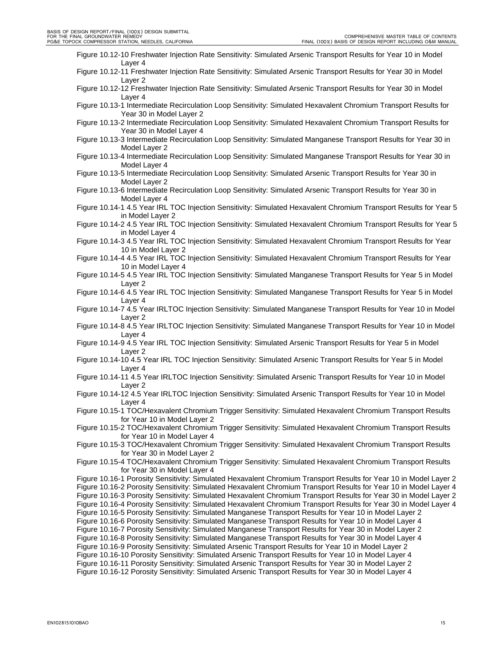|  | Figure 10.12-10 Freshwater Injection Rate Sensitivity: Simulated Arsenic Transport Results for Year 10 in Model |  |   |  |  |  |  |  |  |  |   |  |
|--|-----------------------------------------------------------------------------------------------------------------|--|---|--|--|--|--|--|--|--|---|--|
|  | Laver 4                                                                                                         |  |   |  |  |  |  |  |  |  |   |  |
|  |                                                                                                                 |  | . |  |  |  |  |  |  |  | . |  |

- Figure 10.12-11 Freshwater Injection Rate Sensitivity: Simulated Arsenic Transport Results for Year 30 in Model Layer 2
- Figure 10.12-12 Freshwater Injection Rate Sensitivity: Simulated Arsenic Transport Results for Year 30 in Model Layer 4

Figure 10.13-1 Intermediate Recirculation Loop Sensitivity: Simulated Hexavalent Chromium Transport Results for Year 30 in Model Layer 2

Figure 10.13-2 Intermediate Recirculation Loop Sensitivity: Simulated Hexavalent Chromium Transport Results for Year 30 in Model Layer 4

- Figure 10.13-3 Intermediate Recirculation Loop Sensitivity: Simulated Manganese Transport Results for Year 30 in Model Layer 2
- Figure 10.13-4 Intermediate Recirculation Loop Sensitivity: Simulated Manganese Transport Results for Year 30 in Model Layer 4
- Figure 10.13-5 Intermediate Recirculation Loop Sensitivity: Simulated Arsenic Transport Results for Year 30 in Model Layer 2
- Figure 10.13-6 Intermediate Recirculation Loop Sensitivity: Simulated Arsenic Transport Results for Year 30 in Model Layer 4
- Figure 10.14-1 4.5 Year IRL TOC Injection Sensitivity: Simulated Hexavalent Chromium Transport Results for Year 5 in Model Layer 2
- Figure 10.14-2 4.5 Year IRL TOC Injection Sensitivity: Simulated Hexavalent Chromium Transport Results for Year 5 in Model Layer 4
- Figure 10.14-3 4.5 Year IRL TOC Injection Sensitivity: Simulated Hexavalent Chromium Transport Results for Year 10 in Model Layer 2
- Figure 10.14-4 4.5 Year IRL TOC Injection Sensitivity: Simulated Hexavalent Chromium Transport Results for Year 10 in Model Layer 4
- Figure 10.14-5 4.5 Year IRL TOC Injection Sensitivity: Simulated Manganese Transport Results for Year 5 in Model Layer 2
- Figure 10.14-6 4.5 Year IRL TOC Injection Sensitivity: Simulated Manganese Transport Results for Year 5 in Model Layer 4
- Figure 10.14-7 4.5 Year IRLTOC Injection Sensitivity: Simulated Manganese Transport Results for Year 10 in Model Layer 2
- Figure 10.14-8 4.5 Year IRLTOC Injection Sensitivity: Simulated Manganese Transport Results for Year 10 in Model Layer 4
- Figure 10.14-9 4.5 Year IRL TOC Injection Sensitivity: Simulated Arsenic Transport Results for Year 5 in Model Layer 2
- Figure 10.14-10 4.5 Year IRL TOC Injection Sensitivity: Simulated Arsenic Transport Results for Year 5 in Model Layer 4
- Figure 10.14-11 4.5 Year IRLTOC Injection Sensitivity: Simulated Arsenic Transport Results for Year 10 in Model Layer 2
- Figure 10.14-12 4.5 Year IRLTOC Injection Sensitivity: Simulated Arsenic Transport Results for Year 10 in Model Layer 4
- Figure 10.15-1 TOC/Hexavalent Chromium Trigger Sensitivity: Simulated Hexavalent Chromium Transport Results for Year 10 in Model Layer 2
- Figure 10.15-2 TOC/Hexavalent Chromium Trigger Sensitivity: Simulated Hexavalent Chromium Transport Results for Year 10 in Model Layer 4
- Figure 10.15-3 TOC/Hexavalent Chromium Trigger Sensitivity: Simulated Hexavalent Chromium Transport Results for Year 30 in Model Layer 2
- Figure 10.15-4 TOC/Hexavalent Chromium Trigger Sensitivity: Simulated Hexavalent Chromium Transport Results for Year 30 in Model Layer 4
- Figure 10.16-1 Porosity Sensitivity: Simulated Hexavalent Chromium Transport Results for Year 10 in Model Layer 2
- Figure 10.16-2 Porosity Sensitivity: Simulated Hexavalent Chromium Transport Results for Year 10 in Model Layer 4
- Figure 10.16-3 Porosity Sensitivity: Simulated Hexavalent Chromium Transport Results for Year 30 in Model Layer 2
- Figure 10.16-4 Porosity Sensitivity: Simulated Hexavalent Chromium Transport Results for Year 30 in Model Layer 4
- Figure 10.16-5 Porosity Sensitivity: Simulated Manganese Transport Results for Year 10 in Model Layer 2
- Figure 10.16-6 Porosity Sensitivity: Simulated Manganese Transport Results for Year 10 in Model Layer 4
- Figure 10.16-7 Porosity Sensitivity: Simulated Manganese Transport Results for Year 30 in Model Layer 2
- Figure 10.16-8 Porosity Sensitivity: Simulated Manganese Transport Results for Year 30 in Model Layer 4
- Figure 10.16-9 Porosity Sensitivity: Simulated Arsenic Transport Results for Year 10 in Model Layer 2
- Figure 10.16-10 Porosity Sensitivity: Simulated Arsenic Transport Results for Year 10 in Model Layer 4
- Figure 10.16-11 Porosity Sensitivity: Simulated Arsenic Transport Results for Year 30 in Model Layer 2
- Figure 10.16-12 Porosity Sensitivity: Simulated Arsenic Transport Results for Year 30 in Model Layer 4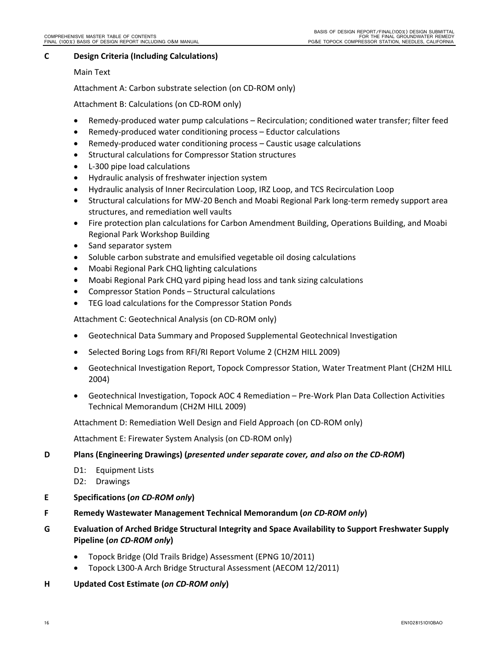# **C Design Criteria (Including Calculations)**

# Main Text

Attachment A: Carbon substrate selection (on CD‐ROM only)

Attachment B: Calculations (on CD‐ROM only)

- Remedy-produced water pump calculations Recirculation; conditioned water transfer; filter feed
- Remedy‐produced water conditioning process Eductor calculations
- Remedy-produced water conditioning process Caustic usage calculations
- **•** Structural calculations for Compressor Station structures
- L-300 pipe load calculations
- Hydraulic analysis of freshwater injection system
- Hydraulic analysis of Inner Recirculation Loop, IRZ Loop, and TCS Recirculation Loop
- Structural calculations for MW-20 Bench and Moabi Regional Park long-term remedy support area structures, and remediation well vaults
- Fire protection plan calculations for Carbon Amendment Building, Operations Building, and Moabi Regional Park Workshop Building
- Sand separator system
- Soluble carbon substrate and emulsified vegetable oil dosing calculations
- Moabi Regional Park CHQ lighting calculations
- Moabi Regional Park CHQ yard piping head loss and tank sizing calculations
- Compressor Station Ponds Structural calculations
- TEG load calculations for the Compressor Station Ponds

Attachment C: Geotechnical Analysis (on CD‐ROM only)

- Geotechnical Data Summary and Proposed Supplemental Geotechnical Investigation
- Selected Boring Logs from RFI/RI Report Volume 2 (CH2M HILL 2009)
- Geotechnical Investigation Report, Topock Compressor Station, Water Treatment Plant (CH2M HILL 2004)
- Geotechnical Investigation, Topock AOC 4 Remediation Pre‐Work Plan Data Collection Activities Technical Memorandum (CH2M HILL 2009)

Attachment D: Remediation Well Design and Field Approach (on CD‐ROM only)

Attachment E: Firewater System Analysis (on CD‐ROM only)

# **D Plans (Engineering Drawings) (***presented under separate cover, and also on the CD‐ROM***)**

- D1: Equipment Lists
- D2: Drawings
- **E Specifications (***on CD‐ROM only***)**
- **F Remedy Wastewater Management Technical Memorandum (***on CD‐ROM only***)**
- **G Evaluation of Arched Bridge Structural Integrity and Space Availability to Support Freshwater Supply Pipeline (***on CD‐ROM only***)**
	- Topock Bridge (Old Trails Bridge) Assessment (EPNG 10/2011)
	- Topock L300‐A Arch Bridge Structural Assessment (AECOM 12/2011)
- **H Updated Cost Estimate (***on CD‐ROM only***)**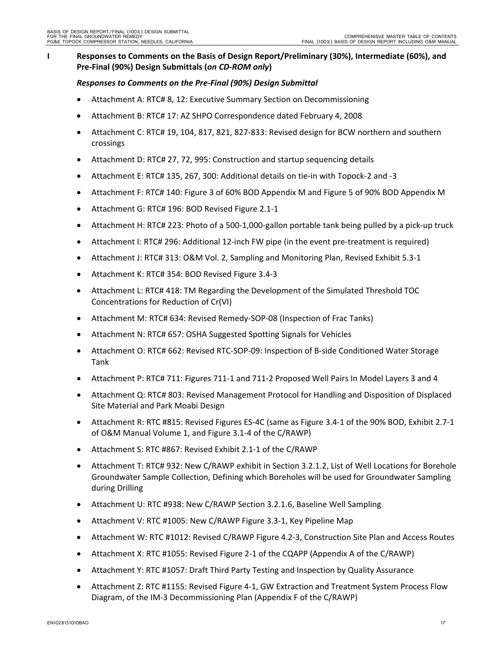# **I Responses to Comments on the Basis of Design Report/Preliminary (30%), Intermediate (60%), and Pre‐Final (90%) Design Submittals (***on CD‐ROM only***)**

#### *Responses to Comments on the Pre‐Final (90%) Design Submittal*

- Attachment A: RTC# 8, 12: Executive Summary Section on Decommissioning
- Attachment B: RTC# 17: AZ SHPO Correspondence dated February 4, 2008
- Attachment C: RTC# 19, 104, 817, 821, 827‐833: Revised design for BCW northern and southern crossings
- Attachment D: RTC# 27, 72, 995: Construction and startup sequencing details
- Attachment E: RTC# 135, 267, 300: Additional details on tie‐in with Topock‐2 and ‐3
- Attachment F: RTC# 140: Figure 3 of 60% BOD Appendix M and Figure 5 of 90% BOD Appendix M
- Attachment G: RTC# 196: BOD Revised Figure 2.1‐1
- Attachment H: RTC# 223: Photo of a 500-1,000-gallon portable tank being pulled by a pick-up truck
- Attachment I: RTC# 296: Additional 12-inch FW pipe (in the event pre-treatment is required)
- Attachment J: RTC# 313: O&M Vol. 2, Sampling and Monitoring Plan, Revised Exhibit 5.3‐1
- Attachment K: RTC# 354: BOD Revised Figure 3.4‐3
- Attachment L: RTC# 418: TM Regarding the Development of the Simulated Threshold TOC Concentrations for Reduction of Cr(VI)
- Attachment M: RTC# 634: Revised Remedy‐SOP‐08 (Inspection of Frac Tanks)
- Attachment N: RTC# 657: OSHA Suggested Spotting Signals for Vehicles
- Attachment O: RTC# 662: Revised RTC‐SOP‐09: Inspection of B‐side Conditioned Water Storage Tank
- Attachment P: RTC# 711: Figures 711-1 and 711-2 Proposed Well Pairs In Model Layers 3 and 4
- Attachment Q: RTC# 803: Revised Management Protocol for Handling and Disposition of Displaced Site Material and Park Moabi Design
- Attachment R: RTC #815: Revised Figures ES‐4C (same as Figure 3.4‐1 of the 90% BOD, Exhibit 2.7‐1 of O&M Manual Volume 1, and Figure 3.1‐4 of the C/RAWP)
- Attachment S: RTC #867: Revised Exhibit 2.1‐1 of the C/RAWP
- Attachment T: RTC# 932: New C/RAWP exhibit in Section 3.2.1.2, List of Well Locations for Borehole Groundwater Sample Collection, Defining which Boreholes will be used for Groundwater Sampling during Drilling
- Attachment U: RTC #938: New C/RAWP Section 3.2.1.6, Baseline Well Sampling
- Attachment V: RTC #1005: New C/RAWP Figure 3.3-1, Key Pipeline Map
- Attachment W: RTC #1012: Revised C/RAWP Figure 4.2-3, Construction Site Plan and Access Routes
- Attachment X: RTC #1055: Revised Figure 2‐1 of the CQAPP (Appendix A of the C/RAWP)
- Attachment Y: RTC #1057: Draft Third Party Testing and Inspection by Quality Assurance
- Attachment Z: RTC #1155: Revised Figure 4‐1, GW Extraction and Treatment System Process Flow Diagram, of the IM‐3 Decommissioning Plan (Appendix F of the C/RAWP)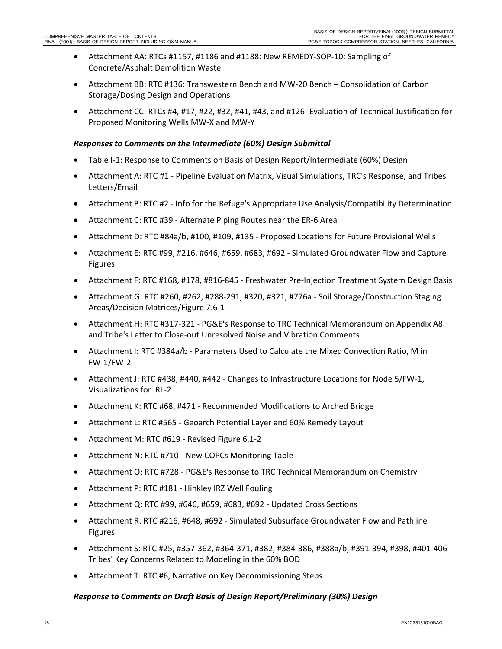- Attachment AA: RTCs #1157, #1186 and #1188: New REMEDY‐SOP‐10: Sampling of Concrete/Asphalt Demolition Waste
- Attachment BB: RTC #136: Transwestern Bench and MW‐20 Bench Consolidation of Carbon Storage/Dosing Design and Operations
- Attachment CC: RTCs #4, #17, #22, #32, #41, #43, and #126: Evaluation of Technical Justification for Proposed Monitoring Wells MW‐X and MW‐Y

# *Responses to Comments on the Intermediate (60%) Design Submittal*

- Table I‐1: Response to Comments on Basis of Design Report/Intermediate (60%) Design
- Attachment A: RTC #1 ‐ Pipeline Evaluation Matrix, Visual Simulations, TRC's Response, and Tribes' Letters/Email
- Attachment B: RTC #2 ‐ Info for the Refuge's Appropriate Use Analysis/Compatibility Determination
- Attachment C: RTC #39 ‐ Alternate Piping Routes near the ER‐6 Area
- Attachment D: RTC #84a/b, #100, #109, #135 ‐ Proposed Locations for Future Provisional Wells
- Attachment E: RTC #99, #216, #646, #659, #683, #692 ‐ Simulated Groundwater Flow and Capture Figures
- Attachment F: RTC #168, #178, #816‐845 ‐ Freshwater Pre‐Injection Treatment System Design Basis
- Attachment G: RTC #260, #262, #288‐291, #320, #321, #776a ‐ Soil Storage/Construction Staging Areas/Decision Matrices/Figure 7.6‐1
- Attachment H: RTC #317‐321 ‐ PG&E's Response to TRC Technical Memorandum on Appendix A8 and Tribe's Letter to Close‐out Unresolved Noise and Vibration Comments
- Attachment I: RTC #384a/b ‐ Parameters Used to Calculate the Mixed Convection Ratio, M in FW‐1/FW‐2
- Attachment J: RTC #438, #440, #442 ‐ Changes to Infrastructure Locations for Node 5/FW‐1, Visualizations for IRL‐2
- Attachment K: RTC #68, #471 ‐ Recommended Modifications to Arched Bridge
- Attachment L: RTC #565 ‐ Geoarch Potential Layer and 60% Remedy Layout
- Attachment M: RTC #619 ‐ Revised Figure 6.1‐2
- Attachment N: RTC #710 New COPCs Monitoring Table
- Attachment O: RTC #728 ‐ PG&E's Response to TRC Technical Memorandum on Chemistry
- Attachment P: RTC #181 Hinkley IRZ Well Fouling
- Attachment Q: RTC #99, #646, #659, #683, #692 ‐ Updated Cross Sections
- Attachment R: RTC #216, #648, #692 ‐ Simulated Subsurface Groundwater Flow and Pathline Figures
- Attachment S: RTC #25, #357‐362, #364‐371, #382, #384‐386, #388a/b, #391‐394, #398, #401‐406 ‐ Tribes' Key Concerns Related to Modeling in the 60% BOD
- Attachment T: RTC #6, Narrative on Key Decommissioning Steps

#### *Response to Comments on Draft Basis of Design Report/Preliminary (30%) Design*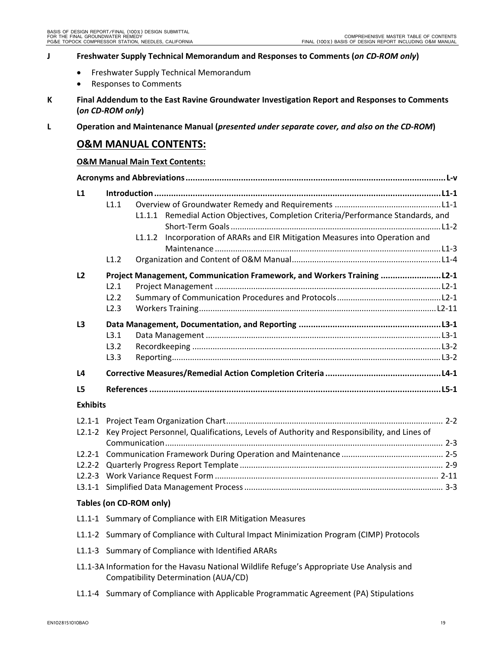# **J Freshwater Supply Technical Memorandum and Responses to Comments (***on CD‐ROM only***)**

- **•** Freshwater Supply Technical Memorandum
- Responses to Comments
- **K Final Addendum to the East Ravine Groundwater Investigation Report and Responses to Comments (***on CD‐ROM only***)**

L Operation and Maintenance Manual (presented under separate cover, and also on the CD-ROM)

# **O&M MANUAL CONTENTS:**

#### **O&M Manual Main Text Contents:**

| L1              | L1.1                 | Remedial Action Objectives, Completion Criteria/Performance Standards, and<br>L1.1.1<br>Incorporation of ARARs and EIR Mitigation Measures into Operation and<br>L1.1.2 |  |  |  |  |  |
|-----------------|----------------------|-------------------------------------------------------------------------------------------------------------------------------------------------------------------------|--|--|--|--|--|
|                 | L1.2                 |                                                                                                                                                                         |  |  |  |  |  |
| L <sub>2</sub>  | L2.1<br>L2.2<br>L2.3 | Project Management, Communication Framework, and Workers Training  L2-1                                                                                                 |  |  |  |  |  |
| L <sub>3</sub>  | L3.1<br>L3.2<br>L3.3 |                                                                                                                                                                         |  |  |  |  |  |
| L <sub>4</sub>  |                      |                                                                                                                                                                         |  |  |  |  |  |
| L5              |                      |                                                                                                                                                                         |  |  |  |  |  |
| <b>Exhibits</b> |                      |                                                                                                                                                                         |  |  |  |  |  |
| $L2.1 - 2$      |                      | Key Project Personnel, Qualifications, Levels of Authority and Responsibility, and Lines of                                                                             |  |  |  |  |  |
|                 |                      |                                                                                                                                                                         |  |  |  |  |  |
| $L2.2 - 2$      |                      |                                                                                                                                                                         |  |  |  |  |  |
| $L2.2 - 3$      |                      |                                                                                                                                                                         |  |  |  |  |  |
| $L3.1 - 1$      |                      |                                                                                                                                                                         |  |  |  |  |  |
|                 |                      | Tables (on CD-ROM only)                                                                                                                                                 |  |  |  |  |  |

- L1.1‐1 Summary of Compliance with EIR Mitigation Measures
- L1.1-2 Summary of Compliance with Cultural Impact Minimization Program (CIMP) Protocols
- L1.1‐3 Summary of Compliance with Identified ARARs
- L1.1-3A Information for the Havasu National Wildlife Refuge's Appropriate Use Analysis and Compatibility Determination (AUA/CD)
- L1.1-4 Summary of Compliance with Applicable Programmatic Agreement (PA) Stipulations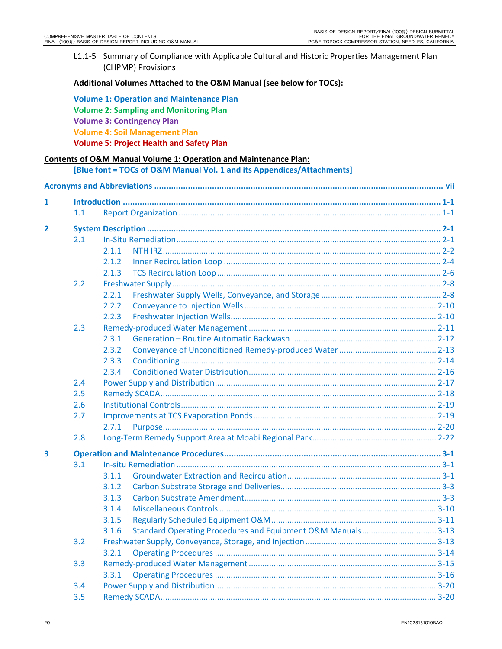L1.1-5 Summary of Compliance with Applicable Cultural and Historic Properties Management Plan (CHPMP) Provisions

#### **Additional Volumes Attached to the O&M Manual (see below for TOCs):**

| <b>Volume 1: Operation and Maintenance Plan</b> |
|-------------------------------------------------|
| <b>Volume 2: Sampling and Monitoring Plan</b>   |
| <b>Volume 3: Contingency Plan</b>               |
| <b>Volume 4: Soil Management Plan</b>           |
| <b>Volume 5: Project Health and Safety Plan</b> |

#### **Contents of O&M Manual Volume 1: Operation and Maintenance Plan:**

**[Blue font = TOCs of O&M Manual Vol. 1 and its Appendices/Attachments]**

| 1              |     |       |  |  |  |  |  |  |
|----------------|-----|-------|--|--|--|--|--|--|
|                | 1.1 |       |  |  |  |  |  |  |
| $\overline{2}$ |     |       |  |  |  |  |  |  |
|                | 2.1 |       |  |  |  |  |  |  |
|                |     | 2.1.1 |  |  |  |  |  |  |
|                |     | 2.1.2 |  |  |  |  |  |  |
|                |     | 2.1.3 |  |  |  |  |  |  |
|                | 2.2 |       |  |  |  |  |  |  |
|                |     | 2.2.1 |  |  |  |  |  |  |
|                |     | 2.2.2 |  |  |  |  |  |  |
|                |     | 2.2.3 |  |  |  |  |  |  |
|                | 2.3 |       |  |  |  |  |  |  |
|                |     | 2.3.1 |  |  |  |  |  |  |
|                |     | 2.3.2 |  |  |  |  |  |  |
|                |     | 2.3.3 |  |  |  |  |  |  |
|                |     | 2.3.4 |  |  |  |  |  |  |
|                | 2.4 |       |  |  |  |  |  |  |
|                | 2.5 |       |  |  |  |  |  |  |
|                | 2.6 |       |  |  |  |  |  |  |
|                | 2.7 |       |  |  |  |  |  |  |
|                |     | 2.7.1 |  |  |  |  |  |  |
|                | 2.8 |       |  |  |  |  |  |  |
| 3              |     |       |  |  |  |  |  |  |
|                | 3.1 |       |  |  |  |  |  |  |
|                |     | 3.1.1 |  |  |  |  |  |  |
|                |     | 3.1.2 |  |  |  |  |  |  |
|                |     | 3.1.3 |  |  |  |  |  |  |
|                |     | 3.1.4 |  |  |  |  |  |  |
|                |     | 3.1.5 |  |  |  |  |  |  |
|                |     | 3.1.6 |  |  |  |  |  |  |
|                | 3.2 |       |  |  |  |  |  |  |
|                |     | 3.2.1 |  |  |  |  |  |  |
|                | 3.3 |       |  |  |  |  |  |  |
|                |     | 3.3.1 |  |  |  |  |  |  |
|                | 3.4 |       |  |  |  |  |  |  |
|                | 3.5 |       |  |  |  |  |  |  |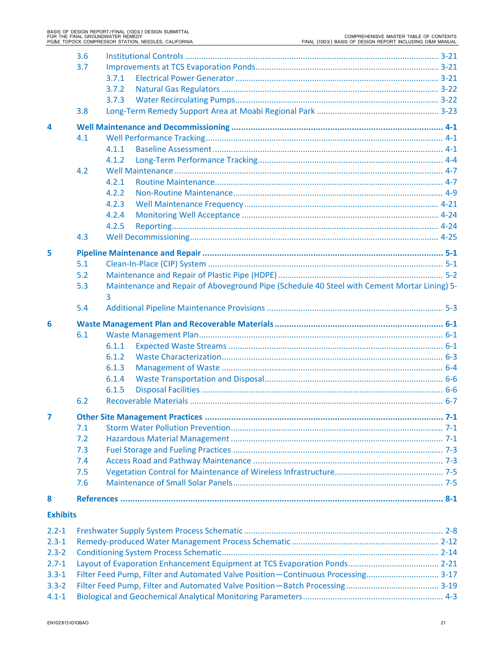| 3.7<br>3.7.1<br>3.7.2<br>3.7.3<br>3.8<br>4<br>4.1<br>4.1.1<br>4.1.2<br>4.2<br>4.2.1<br>4.2.2<br>4.2.3<br>4.2.4<br>4.2.5<br>4.3<br>5<br>5.1<br>5.2<br>Maintenance and Repair of Aboveground Pipe (Schedule 40 Steel with Cement Mortar Lining) 5-<br>5.3<br>3<br>5.4<br>6<br>6.1<br>6.1.1<br>6.1.2<br>6.1.3<br>6.1.4<br>6.1.5<br>6.2<br>7<br>7.1<br>7.2<br>7.3<br>7.4<br>7.5<br>7.6<br>8<br><b>Exhibits</b><br>$2.2 - 1$<br>$2.3 - 1$ | 3.6 |  |  |  |  |  |  |  |  |
|--------------------------------------------------------------------------------------------------------------------------------------------------------------------------------------------------------------------------------------------------------------------------------------------------------------------------------------------------------------------------------------------------------------------------------------|-----|--|--|--|--|--|--|--|--|
|                                                                                                                                                                                                                                                                                                                                                                                                                                      |     |  |  |  |  |  |  |  |  |
|                                                                                                                                                                                                                                                                                                                                                                                                                                      |     |  |  |  |  |  |  |  |  |
|                                                                                                                                                                                                                                                                                                                                                                                                                                      |     |  |  |  |  |  |  |  |  |
|                                                                                                                                                                                                                                                                                                                                                                                                                                      |     |  |  |  |  |  |  |  |  |
|                                                                                                                                                                                                                                                                                                                                                                                                                                      |     |  |  |  |  |  |  |  |  |
|                                                                                                                                                                                                                                                                                                                                                                                                                                      |     |  |  |  |  |  |  |  |  |
|                                                                                                                                                                                                                                                                                                                                                                                                                                      |     |  |  |  |  |  |  |  |  |
|                                                                                                                                                                                                                                                                                                                                                                                                                                      |     |  |  |  |  |  |  |  |  |
|                                                                                                                                                                                                                                                                                                                                                                                                                                      |     |  |  |  |  |  |  |  |  |
|                                                                                                                                                                                                                                                                                                                                                                                                                                      |     |  |  |  |  |  |  |  |  |
|                                                                                                                                                                                                                                                                                                                                                                                                                                      |     |  |  |  |  |  |  |  |  |
|                                                                                                                                                                                                                                                                                                                                                                                                                                      |     |  |  |  |  |  |  |  |  |
|                                                                                                                                                                                                                                                                                                                                                                                                                                      |     |  |  |  |  |  |  |  |  |
|                                                                                                                                                                                                                                                                                                                                                                                                                                      |     |  |  |  |  |  |  |  |  |
|                                                                                                                                                                                                                                                                                                                                                                                                                                      |     |  |  |  |  |  |  |  |  |
|                                                                                                                                                                                                                                                                                                                                                                                                                                      |     |  |  |  |  |  |  |  |  |
|                                                                                                                                                                                                                                                                                                                                                                                                                                      |     |  |  |  |  |  |  |  |  |
|                                                                                                                                                                                                                                                                                                                                                                                                                                      |     |  |  |  |  |  |  |  |  |
|                                                                                                                                                                                                                                                                                                                                                                                                                                      |     |  |  |  |  |  |  |  |  |
|                                                                                                                                                                                                                                                                                                                                                                                                                                      |     |  |  |  |  |  |  |  |  |
|                                                                                                                                                                                                                                                                                                                                                                                                                                      |     |  |  |  |  |  |  |  |  |
|                                                                                                                                                                                                                                                                                                                                                                                                                                      |     |  |  |  |  |  |  |  |  |
|                                                                                                                                                                                                                                                                                                                                                                                                                                      |     |  |  |  |  |  |  |  |  |
|                                                                                                                                                                                                                                                                                                                                                                                                                                      |     |  |  |  |  |  |  |  |  |
|                                                                                                                                                                                                                                                                                                                                                                                                                                      |     |  |  |  |  |  |  |  |  |
|                                                                                                                                                                                                                                                                                                                                                                                                                                      |     |  |  |  |  |  |  |  |  |
|                                                                                                                                                                                                                                                                                                                                                                                                                                      |     |  |  |  |  |  |  |  |  |
|                                                                                                                                                                                                                                                                                                                                                                                                                                      |     |  |  |  |  |  |  |  |  |
|                                                                                                                                                                                                                                                                                                                                                                                                                                      |     |  |  |  |  |  |  |  |  |
|                                                                                                                                                                                                                                                                                                                                                                                                                                      |     |  |  |  |  |  |  |  |  |
|                                                                                                                                                                                                                                                                                                                                                                                                                                      |     |  |  |  |  |  |  |  |  |
|                                                                                                                                                                                                                                                                                                                                                                                                                                      |     |  |  |  |  |  |  |  |  |
|                                                                                                                                                                                                                                                                                                                                                                                                                                      |     |  |  |  |  |  |  |  |  |
|                                                                                                                                                                                                                                                                                                                                                                                                                                      |     |  |  |  |  |  |  |  |  |
|                                                                                                                                                                                                                                                                                                                                                                                                                                      |     |  |  |  |  |  |  |  |  |
|                                                                                                                                                                                                                                                                                                                                                                                                                                      |     |  |  |  |  |  |  |  |  |
|                                                                                                                                                                                                                                                                                                                                                                                                                                      |     |  |  |  |  |  |  |  |  |
|                                                                                                                                                                                                                                                                                                                                                                                                                                      |     |  |  |  |  |  |  |  |  |
|                                                                                                                                                                                                                                                                                                                                                                                                                                      |     |  |  |  |  |  |  |  |  |
|                                                                                                                                                                                                                                                                                                                                                                                                                                      |     |  |  |  |  |  |  |  |  |
|                                                                                                                                                                                                                                                                                                                                                                                                                                      |     |  |  |  |  |  |  |  |  |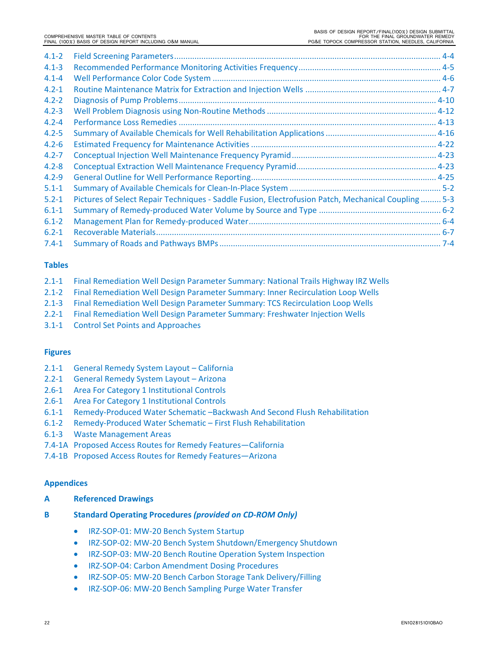| $4.1 - 2$ |                                                                                                    |  |
|-----------|----------------------------------------------------------------------------------------------------|--|
| $4.1 - 3$ |                                                                                                    |  |
| $4.1 - 4$ |                                                                                                    |  |
| $4.2 - 1$ |                                                                                                    |  |
| $4.2 - 2$ |                                                                                                    |  |
| $4.2 - 3$ |                                                                                                    |  |
| $4.2 - 4$ |                                                                                                    |  |
| $4.2 - 5$ |                                                                                                    |  |
| $4.2 - 6$ |                                                                                                    |  |
| $4.2 - 7$ |                                                                                                    |  |
| $4.2 - 8$ |                                                                                                    |  |
| $4.2 - 9$ |                                                                                                    |  |
| $5.1 - 1$ |                                                                                                    |  |
| $5.2 - 1$ | Pictures of Select Repair Techniques - Saddle Fusion, Electrofusion Patch, Mechanical Coupling 5-3 |  |
| $6.1 - 1$ |                                                                                                    |  |
| $6.1 - 2$ |                                                                                                    |  |
| $6.2 - 1$ |                                                                                                    |  |
| $7.4 - 1$ |                                                                                                    |  |

# **Tables**

| 2.1-1 Final Remediation Well Design Parameter Summary: National Trails Highway IRZ Wells |
|------------------------------------------------------------------------------------------|
| 2.1-2 Final Remediation Well Design Parameter Summary: Inner Recirculation Loop Wells    |

- 2.1‐3 Final Remediation Well Design Parameter Summary: TCS Recirculation Loop Wells
- 2.2‐1 Final Remediation Well Design Parameter Summary: Freshwater Injection Wells
- 3.1‐1 Control Set Points and Approaches

# **Figures**

- 2.1‐1 General Remedy System Layout California
- 2.2‐1 General Remedy System Layout Arizona
- 2.6‐1 Area For Category 1 Institutional Controls
- 2.6‐1 Area For Category 1 Institutional Controls
- 6.1‐1 Remedy‐Produced Water Schematic –Backwash And Second Flush Rehabilitation
- 6.1‐2 Remedy‐Produced Water Schematic First Flush Rehabilitation
- 6.1‐3 Waste Management Areas
- 7.4‐1A Proposed Access Routes for Remedy Features—California
- 7.4‐1B Proposed Access Routes for Remedy Features—Arizona

#### **Appendices**

- **A Referenced Drawings**
- **B Standard Operating Procedures** *(provided on CD‐ROM Only)*
	- IRZ-SOP-01: MW-20 Bench System Startup
	- IRZ-SOP-02: MW-20 Bench System Shutdown/Emergency Shutdown
	- IRZ-SOP-03: MW-20 Bench Routine Operation System Inspection
	- **IRZ-SOP-04: Carbon Amendment Dosing Procedures**
	- IRZ-SOP-05: MW-20 Bench Carbon Storage Tank Delivery/Filling
	- IRZ-SOP-06: MW-20 Bench Sampling Purge Water Transfer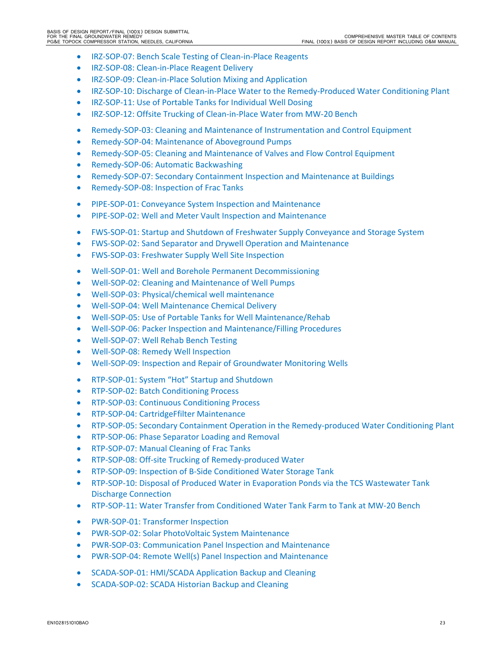- IRZ-SOP-07: Bench Scale Testing of Clean-in-Place Reagents
- IRZ-SOP-08: Clean-in-Place Reagent Delivery
- IRZ-SOP-09: Clean-in-Place Solution Mixing and Application
- IRZ-SOP-10: Discharge of Clean-in-Place Water to the Remedy-Produced Water Conditioning Plant
- IRZ-SOP-11: Use of Portable Tanks for Individual Well Dosing
- IRZ-SOP-12: Offsite Trucking of Clean-in-Place Water from MW-20 Bench
- Remedy‐SOP‐03: Cleaning and Maintenance of Instrumentation and Control Equipment
- Remedy-SOP-04: Maintenance of Aboveground Pumps
- Remedy-SOP-05: Cleaning and Maintenance of Valves and Flow Control Equipment
- Remedy-SOP-06: Automatic Backwashing
- Remedy-SOP-07: Secondary Containment Inspection and Maintenance at Buildings
- Remedy-SOP-08: Inspection of Frac Tanks
- PIPE-SOP-01: Conveyance System Inspection and Maintenance
- PIPE-SOP-02: Well and Meter Vault Inspection and Maintenance
- FWS‐SOP‐01: Startup and Shutdown of Freshwater Supply Conveyance and Storage System
- FWS‐SOP‐02: Sand Separator and Drywell Operation and Maintenance
- FWS-SOP-03: Freshwater Supply Well Site Inspection
- Well-SOP-01: Well and Borehole Permanent Decommissioning
- Well-SOP-02: Cleaning and Maintenance of Well Pumps
- Well-SOP-03: Physical/chemical well maintenance
- Well-SOP-04: Well Maintenance Chemical Delivery
- Well-SOP-05: Use of Portable Tanks for Well Maintenance/Rehab
- Well-SOP-06: Packer Inspection and Maintenance/Filling Procedures
- Well-SOP-07: Well Rehab Bench Testing
- Well-SOP-08: Remedy Well Inspection
- Well-SOP-09: Inspection and Repair of Groundwater Monitoring Wells
- RTP-SOP-01: System "Hot" Startup and Shutdown
- RTP-SOP-02: Batch Conditioning Process
- RTP-SOP-03: Continuous Conditioning Process
- RTP-SOP-04: CartridgeFfilter Maintenance
- RTP-SOP-05: Secondary Containment Operation in the Remedy-produced Water Conditioning Plant
- RTP-SOP-06: Phase Separator Loading and Removal
- RTP-SOP-07: Manual Cleaning of Frac Tanks
- RTP-SOP-08: Off-site Trucking of Remedy-produced Water
- RTP-SOP-09: Inspection of B-Side Conditioned Water Storage Tank
- RTP-SOP-10: Disposal of Produced Water in Evaporation Ponds via the TCS Wastewater Tank Discharge Connection
- RTP‐SOP‐11: Water Transfer from Conditioned Water Tank Farm to Tank at MW‐20 Bench
- PWR-SOP-01: Transformer Inspection
- PWR-SOP-02: Solar PhotoVoltaic System Maintenance
- PWR-SOP-03: Communication Panel Inspection and Maintenance
- PWR-SOP-04: Remote Well(s) Panel Inspection and Maintenance
- SCADA-SOP-01: HMI/SCADA Application Backup and Cleaning
- SCADA-SOP-02: SCADA Historian Backup and Cleaning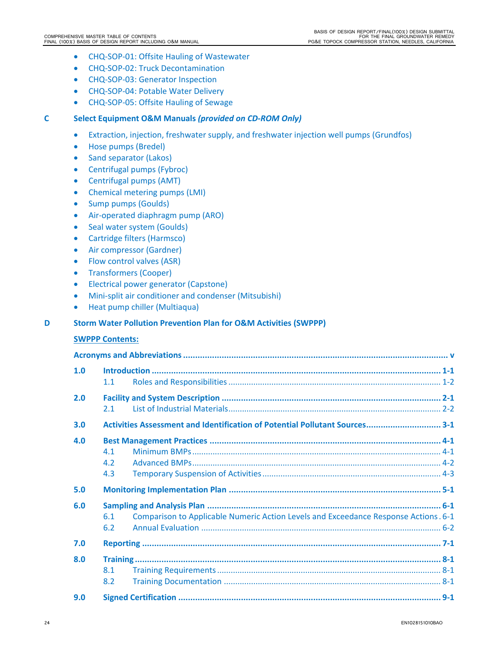- CHQ-SOP-01: Offsite Hauling of Wastewater
- CHQ-SOP-02: Truck Decontamination
- CHQ-SOP-03: Generator Inspection
- CHQ-SOP-04: Potable Water Delivery
- CHQ-SOP-05: Offsite Hauling of Sewage

# **C Select Equipment O&M Manuals** *(provided on CD‐ROM Only)*

- Extraction, injection, freshwater supply, and freshwater injection well pumps (Grundfos)
- Hose pumps (Bredel)
- Sand separator (Lakos)
- Centrifugal pumps (Fybroc)
- Centrifugal pumps (AMT)
- Chemical metering pumps (LMI)
- Sump pumps (Goulds)
- Air‐operated diaphragm pump (ARO)
- Seal water system (Goulds)
- Cartridge filters (Harmsco)
- Air compressor (Gardner)
- Flow control valves (ASR)
- Transformers (Cooper)
- **•** Electrical power generator (Capstone)
- Mini‐split air conditioner and condenser (Mitsubishi)
- Heat pump chiller (Multiaqua)

#### **D Storm Water Pollution Prevention Plan for O&M Activities (SWPPP)**

#### **SWPPP Contents:**

| 1.0 | 1.1                                                                                               |  |
|-----|---------------------------------------------------------------------------------------------------|--|
| 2.0 | $2.1 -$                                                                                           |  |
| 3.0 | Activities Assessment and Identification of Potential Pollutant Sources 3-1                       |  |
| 4.0 | 4.1<br>4.2<br>4.3                                                                                 |  |
| 5.0 |                                                                                                   |  |
| 6.0 | Comparison to Applicable Numeric Action Levels and Exceedance Response Actions. 6-1<br>6.1<br>6.2 |  |
| 7.0 |                                                                                                   |  |
| 8.0 | 8.1<br>8.2                                                                                        |  |
| 9.0 |                                                                                                   |  |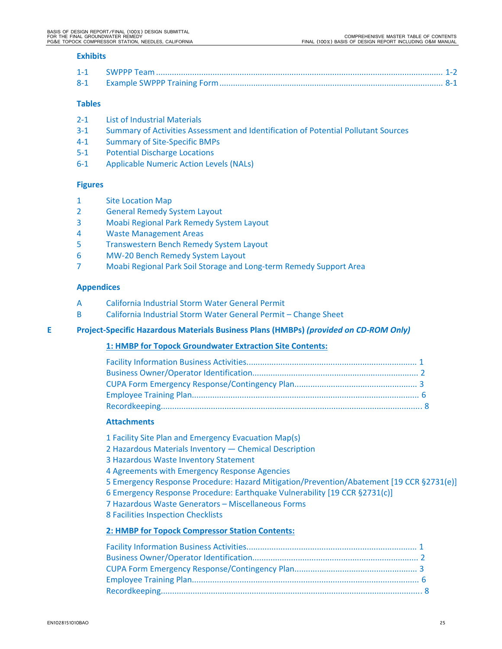#### **Exhibits**

#### **Tables**

- 2‐1 List of Industrial Materials
- 3‐1 Summary of Activities Assessment and Identification of Potential Pollutant Sources
- 4‐1 Summary of Site‐Specific BMPs
- 5‐1 Potential Discharge Locations
- 6‐1 Applicable Numeric Action Levels (NALs)

#### **Figures**

- 1 Site Location Map
- 2 General Remedy System Layout
- 3 Moabi Regional Park Remedy System Layout
- 4 Waste Management Areas
- 5 Transwestern Bench Remedy System Layout
- 6 MW‐20 Bench Remedy System Layout
- 7 Moabi Regional Park Soil Storage and Long‐term Remedy Support Area

#### **Appendices**

- A California Industrial Storm Water General Permit
- B California Industrial Storm Water General Permit Change Sheet

#### **E Project‐Specific Hazardous Materials Business Plans (HMBPs)** *(provided on CD‐ROM Only)*

#### **1: HMBP for Topock Groundwater Extraction Site Contents:**

#### **Attachments**

1 Facility Site Plan and Emergency Evacuation Map(s)

- 2 Hazardous Materials Inventory Chemical Description
- 3 Hazardous Waste Inventory Statement
- 4 Agreements with Emergency Response Agencies
- 5 Emergency Response Procedure: Hazard Mitigation/Prevention/Abatement [19 CCR §2731(e)]
- 6 Emergency Response Procedure: Earthquake Vulnerability [19 CCR §2731(c)]
- 7 Hazardous Waste Generators Miscellaneous Forms
- 8 Facilities Inspection Checklists

#### **2: HMBP for Topock Compressor Station Contents:**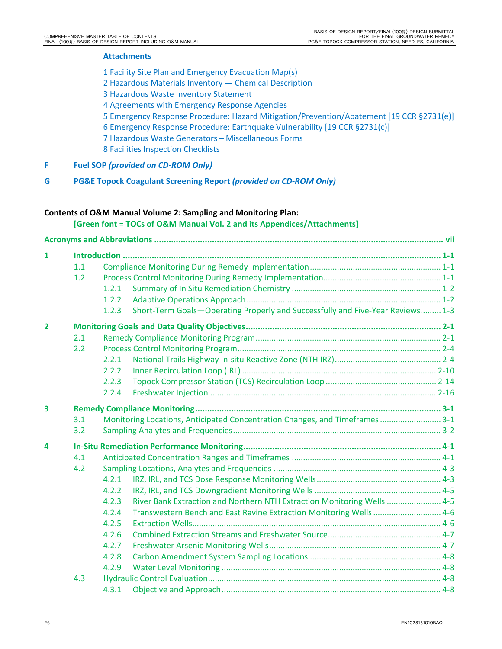# **Attachments**

- 1 Facility Site Plan and Emergency Evacuation Map(s)
- 2 Hazardous Materials Inventory Chemical Description
- 3 Hazardous Waste Inventory Statement
- 4 Agreements with Emergency Response Agencies
- 5 Emergency Response Procedure: Hazard Mitigation/Prevention/Abatement [19 CCR §2731(e)]
- 6 Emergency Response Procedure: Earthquake Vulnerability [19 CCR §2731(c)]
- 7 Hazardous Waste Generators Miscellaneous Forms
- 8 Facilities Inspection Checklists
- **F Fuel SOP** *(provided on CD‐ROM Only)*
- **G PG&E Topock Coagulant Screening Report** *(provided on CD‐ROM Only)*

# **Contents of O&M Manual Volume 2: Sampling and Monitoring Plan:**

**[Green font = TOCs of O&M Manual Vol. 2 and its Appendices/Attachments]**

| 1                       |     |       |                                                                                |  |
|-------------------------|-----|-------|--------------------------------------------------------------------------------|--|
|                         | 1.1 |       |                                                                                |  |
|                         | 1.2 |       |                                                                                |  |
|                         |     | 1.2.1 |                                                                                |  |
|                         |     | 1.2.2 |                                                                                |  |
|                         |     | 1.2.3 | Short-Term Goals-Operating Properly and Successfully and Five-Year Reviews 1-3 |  |
| $\overline{2}$          |     |       |                                                                                |  |
|                         | 2.1 |       |                                                                                |  |
|                         | 2.2 |       |                                                                                |  |
|                         |     | 2.2.1 |                                                                                |  |
|                         |     | 2.2.2 |                                                                                |  |
|                         |     | 2.2.3 |                                                                                |  |
|                         |     | 2.2.4 |                                                                                |  |
| $\overline{\mathbf{3}}$ |     |       |                                                                                |  |
|                         | 3.1 |       | Monitoring Locations, Anticipated Concentration Changes, and Timeframes 3-1    |  |
|                         | 3.2 |       |                                                                                |  |
| 4                       |     |       |                                                                                |  |
|                         | 4.1 |       |                                                                                |  |
|                         | 4.2 |       |                                                                                |  |
|                         |     | 4.2.1 |                                                                                |  |
|                         |     | 4.2.2 |                                                                                |  |
|                         |     | 4.2.3 | River Bank Extraction and Northern NTH Extraction Monitoring Wells  4-5        |  |
|                         |     | 4.2.4 | Transwestern Bench and East Ravine Extraction Monitoring Wells  4-6            |  |
|                         |     | 4.2.5 |                                                                                |  |
|                         |     | 4.2.6 |                                                                                |  |
|                         |     | 4.2.7 |                                                                                |  |
|                         |     | 4.2.8 |                                                                                |  |
|                         |     | 4.2.9 |                                                                                |  |
|                         | 4.3 |       |                                                                                |  |
|                         |     | 4.3.1 |                                                                                |  |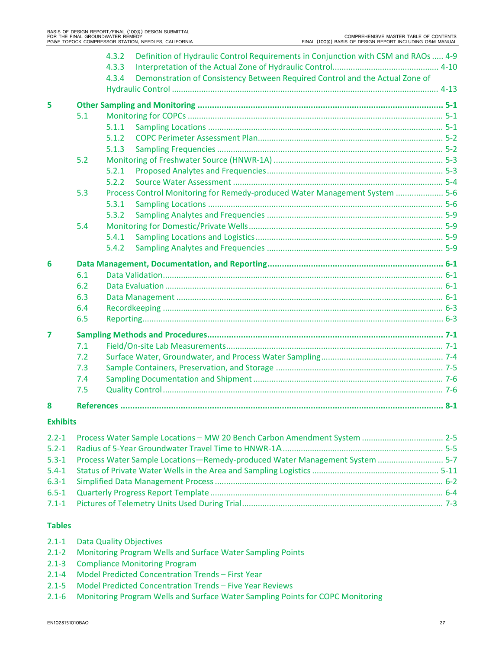|                 |     | Definition of Hydraulic Control Requirements in Conjunction with CSM and RAOs  4-9<br>4.3.2<br>4.3.3 |  |
|-----------------|-----|------------------------------------------------------------------------------------------------------|--|
|                 |     | Demonstration of Consistency Between Required Control and the Actual Zone of<br>4.3.4                |  |
| 5               |     |                                                                                                      |  |
|                 | 5.1 |                                                                                                      |  |
|                 |     | 5.1.1                                                                                                |  |
|                 |     | 5.1.2                                                                                                |  |
|                 |     | 5.1.3                                                                                                |  |
|                 | 5.2 |                                                                                                      |  |
|                 |     | 5.2.1                                                                                                |  |
|                 |     | 5.2.2                                                                                                |  |
|                 | 5.3 | Process Control Monitoring for Remedy-produced Water Management System  5-6                          |  |
|                 |     | 5.3.1                                                                                                |  |
|                 |     | 5.3.2                                                                                                |  |
|                 | 5.4 |                                                                                                      |  |
|                 |     | 5.4.1                                                                                                |  |
|                 |     | 5.4.2                                                                                                |  |
| 6               |     |                                                                                                      |  |
|                 | 6.1 |                                                                                                      |  |
|                 | 6.2 |                                                                                                      |  |
|                 | 6.3 |                                                                                                      |  |
|                 | 6.4 |                                                                                                      |  |
|                 | 6.5 |                                                                                                      |  |
| 7               |     |                                                                                                      |  |
|                 | 7.1 |                                                                                                      |  |
|                 | 7.2 |                                                                                                      |  |
|                 | 7.3 |                                                                                                      |  |
|                 | 7.4 |                                                                                                      |  |
|                 | 7.5 |                                                                                                      |  |
| 8               |     |                                                                                                      |  |
| <b>Exhibits</b> |     |                                                                                                      |  |
|                 |     |                                                                                                      |  |

| 2.2-1 Process Water Sample Locations - MW 20 Bench Carbon Amendment System  2-5 |
|---------------------------------------------------------------------------------|
|                                                                                 |
| 5-7 Englisher Sample Locations-Remedy-produced Water Management System  5-7     |
|                                                                                 |
|                                                                                 |
|                                                                                 |
|                                                                                 |
|                                                                                 |

# **Tables**

- 2.1‐1 Data Quality Objectives
- 2.1-2 Monitoring Program Wells and Surface Water Sampling Points
- 2.1‐3 Compliance Monitoring Program
- 2.1‐4 Model Predicted Concentration Trends First Year
- 2.1‐5 Model Predicted Concentration Trends Five Year Reviews
- 2.1‐6 Monitoring Program Wells and Surface Water Sampling Points for COPC Monitoring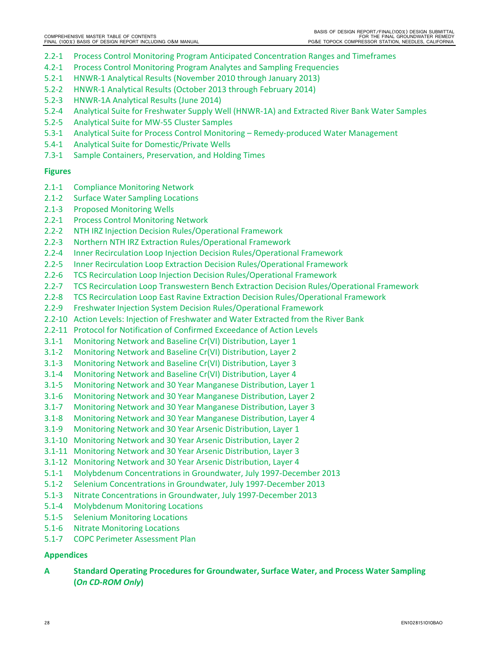- 2.2‐1 Process Control Monitoring Program Anticipated Concentration Ranges and Timeframes
- 4.2‐1 Process Control Monitoring Program Analytes and Sampling Frequencies
- 5.2‐1 HNWR‐1 Analytical Results (November 2010 through January 2013)
- 5.2‐2 HNWR‐1 Analytical Results (October 2013 through February 2014)
- 5.2‐3 HNWR‐1A Analytical Results (June 2014)
- 5.2‐4 Analytical Suite for Freshwater Supply Well (HNWR‐1A) and Extracted River Bank Water Samples
- 5.2‐5 Analytical Suite for MW‐55 Cluster Samples
- 5.3‐1 Analytical Suite for Process Control Monitoring Remedy‐produced Water Management
- 5.4‐1 Analytical Suite for Domestic/Private Wells
- 7.3‐1 Sample Containers, Preservation, and Holding Times

# **Figures**

- 2.1‐1 Compliance Monitoring Network
- 2.1‐2 Surface Water Sampling Locations
- 2.1‐3 Proposed Monitoring Wells
- 2.2‐1 Process Control Monitoring Network
- 2.2‐2 NTH IRZ Injection Decision Rules/Operational Framework
- 2.2‐3 Northern NTH IRZ Extraction Rules/Operational Framework
- 2.2‐4 Inner Recirculation Loop Injection Decision Rules/Operational Framework
- 2.2‐5 Inner Recirculation Loop Extraction Decision Rules/Operational Framework
- 2.2‐6 TCS Recirculation Loop Injection Decision Rules/Operational Framework
- 2.2-7 TCS Recirculation Loop Transwestern Bench Extraction Decision Rules/Operational Framework
- 2.2‐8 TCS Recirculation Loop East Ravine Extraction Decision Rules/Operational Framework
- 2.2‐9 Freshwater Injection System Decision Rules/Operational Framework
- 2.2‐10 Action Levels: Injection of Freshwater and Water Extracted from the River Bank
- 2.2‐11 Protocol for Notification of Confirmed Exceedance of Action Levels
- 3.1‐1 Monitoring Network and Baseline Cr(VI) Distribution, Layer 1
- 3.1‐2 Monitoring Network and Baseline Cr(VI) Distribution, Layer 2
- 3.1‐3 Monitoring Network and Baseline Cr(VI) Distribution, Layer 3
- 3.1‐4 Monitoring Network and Baseline Cr(VI) Distribution, Layer 4
- 3.1‐5 Monitoring Network and 30 Year Manganese Distribution, Layer 1
- 3.1‐6 Monitoring Network and 30 Year Manganese Distribution, Layer 2
- 3.1‐7 Monitoring Network and 30 Year Manganese Distribution, Layer 3
- 3.1‐8 Monitoring Network and 30 Year Manganese Distribution, Layer 4
- 3.1‐9 Monitoring Network and 30 Year Arsenic Distribution, Layer 1
- 3.1‐10 Monitoring Network and 30 Year Arsenic Distribution, Layer 2
- 3.1‐11 Monitoring Network and 30 Year Arsenic Distribution, Layer 3
- 3.1‐12 Monitoring Network and 30 Year Arsenic Distribution, Layer 4
- 5.1‐1 Molybdenum Concentrations in Groundwater, July 1997‐December 2013
- 5.1‐2 Selenium Concentrations in Groundwater, July 1997‐December 2013
- 5.1‐3 Nitrate Concentrations in Groundwater, July 1997‐December 2013
- 5.1‐4 Molybdenum Monitoring Locations
- 5.1‐5 Selenium Monitoring Locations
- 5.1‐6 Nitrate Monitoring Locations
- 5.1‐7 COPC Perimeter Assessment Plan

# **Appendices**

**A Standard Operating Procedures for Groundwater, Surface Water, and Process Water Sampling (***On CD‐ROM Only***)**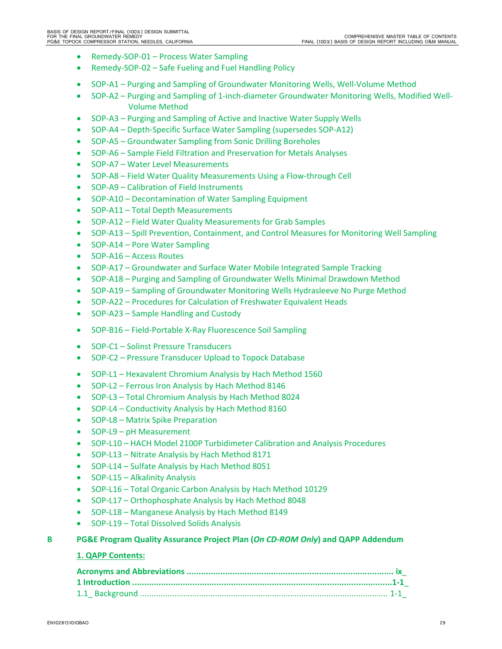- Remedy-SOP-01 Process Water Sampling
- Remedy-SOP-02 Safe Fueling and Fuel Handling Policy
- SOP-A1 Purging and Sampling of Groundwater Monitoring Wells, Well-Volume Method
- SOP-A2 Purging and Sampling of 1-inch-diameter Groundwater Monitoring Wells, Modified Well-Volume Method
- SOP-A3 Purging and Sampling of Active and Inactive Water Supply Wells
- SOP-A4 Depth-Specific Surface Water Sampling (supersedes SOP-A12)
- SOP-A5 Groundwater Sampling from Sonic Drilling Boreholes
- SOP-A6 Sample Field Filtration and Preservation for Metals Analyses
- SOP‐A7 Water Level Measurements
- SOP-A8 Field Water Quality Measurements Using a Flow-through Cell
- SOP-A9 Calibration of Field Instruments
- SOP-A10 Decontamination of Water Sampling Equipment
- SOP-A11 Total Depth Measurements
- SOP-A12 Field Water Quality Measurements for Grab Samples
- SOP-A13 Spill Prevention, Containment, and Control Measures for Monitoring Well Sampling
- SOP-A14 Pore Water Sampling
- SOP-A16 Access Routes
- SOP-A17 Groundwater and Surface Water Mobile Integrated Sample Tracking
- SOP-A18 Purging and Sampling of Groundwater Wells Minimal Drawdown Method
- SOP-A19 Sampling of Groundwater Monitoring Wells Hydrasleeve No Purge Method
- SOP-A22 Procedures for Calculation of Freshwater Equivalent Heads
- SOP-A23 Sample Handling and Custody
- SOP-B16 Field-Portable X-Ray Fluorescence Soil Sampling
- SOP-C1 Solinst Pressure Transducers
- SOP-C2 Pressure Transducer Upload to Topock Database
- SOP-L1 Hexavalent Chromium Analysis by Hach Method 1560
- SOP-L2 Ferrous Iron Analysis by Hach Method 8146
- SOP-L3 Total Chromium Analysis by Hach Method 8024
- SOP‐L4 Conductivity Analysis by Hach Method 8160
- SOP-L8 Matrix Spike Preparation
- SOP-L9 pH Measurement
- SOP-L10 HACH Model 2100P Turbidimeter Calibration and Analysis Procedures
- SOP-L13 Nitrate Analysis by Hach Method 8171
- SOP-L14 Sulfate Analysis by Hach Method 8051
- SOP-L15 Alkalinity Analysis
- SOP-L16 Total Organic Carbon Analysis by Hach Method 10129
- SOP-L17 Orthophosphate Analysis by Hach Method 8048
- SOP-L18 Manganese Analysis by Hach Method 8149
- SOP-L19 Total Dissolved Solids Analysis

# **B PG&E Program Quality Assurance Project Plan (***On CD‐ROM Only***) and QAPP Addendum**

# **1. QAPP Contents:**

| Acronyms and Abbreviations …………………………………………………………………………………… ix |  |
|----------------------------------------------------------------|--|
| 1 Introduction ……………………………………………………………………………………………1-1          |  |
|                                                                |  |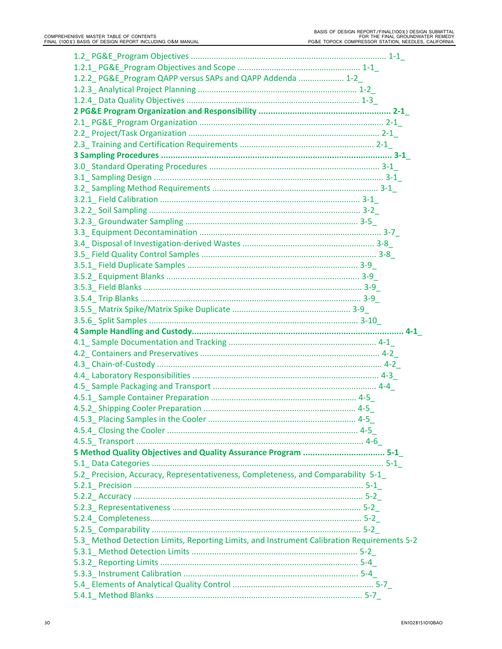| 1.2.2 PG&E Program QAPP versus SAPs and QAPP Addenda  1-2                                   |  |
|---------------------------------------------------------------------------------------------|--|
|                                                                                             |  |
|                                                                                             |  |
|                                                                                             |  |
|                                                                                             |  |
|                                                                                             |  |
|                                                                                             |  |
|                                                                                             |  |
|                                                                                             |  |
|                                                                                             |  |
|                                                                                             |  |
|                                                                                             |  |
|                                                                                             |  |
|                                                                                             |  |
|                                                                                             |  |
|                                                                                             |  |
|                                                                                             |  |
|                                                                                             |  |
|                                                                                             |  |
|                                                                                             |  |
|                                                                                             |  |
|                                                                                             |  |
|                                                                                             |  |
|                                                                                             |  |
|                                                                                             |  |
|                                                                                             |  |
|                                                                                             |  |
|                                                                                             |  |
|                                                                                             |  |
|                                                                                             |  |
|                                                                                             |  |
|                                                                                             |  |
|                                                                                             |  |
|                                                                                             |  |
|                                                                                             |  |
|                                                                                             |  |
| 5-1_5 Method Quality Objectives and Quality Assurance Program  5-1_                         |  |
|                                                                                             |  |
| 5.2 Precision, Accuracy, Representativeness, Completeness, and Comparability 5-1            |  |
|                                                                                             |  |
|                                                                                             |  |
|                                                                                             |  |
|                                                                                             |  |
|                                                                                             |  |
| 5.3_ Method Detection Limits, Reporting Limits, and Instrument Calibration Requirements 5-2 |  |
|                                                                                             |  |
|                                                                                             |  |
|                                                                                             |  |
|                                                                                             |  |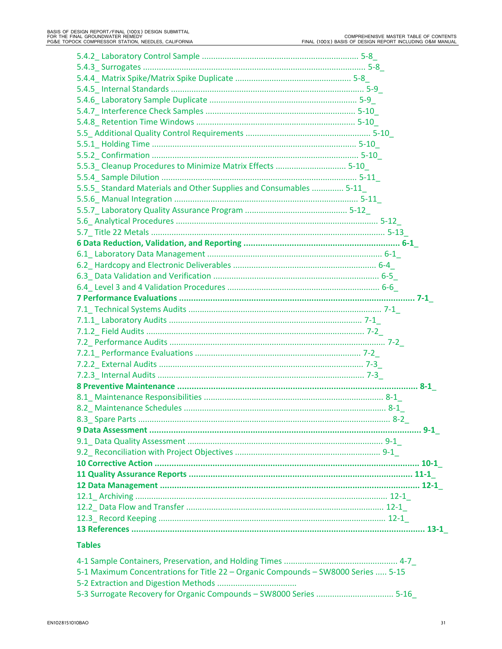| 5.5.3 Cleanup Procedures to Minimize Matrix Effects  5-10         |  |
|-------------------------------------------------------------------|--|
|                                                                   |  |
| 5.5.5 Standard Materials and Other Supplies and Consumables  5-11 |  |
|                                                                   |  |
|                                                                   |  |
|                                                                   |  |
|                                                                   |  |
|                                                                   |  |
|                                                                   |  |
|                                                                   |  |
|                                                                   |  |
|                                                                   |  |
|                                                                   |  |
|                                                                   |  |
|                                                                   |  |
|                                                                   |  |
|                                                                   |  |
|                                                                   |  |
|                                                                   |  |
|                                                                   |  |
|                                                                   |  |
|                                                                   |  |
|                                                                   |  |
|                                                                   |  |
|                                                                   |  |
|                                                                   |  |
|                                                                   |  |
|                                                                   |  |
|                                                                   |  |
|                                                                   |  |
|                                                                   |  |
|                                                                   |  |
|                                                                   |  |
|                                                                   |  |
|                                                                   |  |
|                                                                   |  |

#### **Tables**

| 5-1 Maximum Concentrations for Title 22 – Organic Compounds – SW8000 Series  5-15 |  |
|-----------------------------------------------------------------------------------|--|
|                                                                                   |  |
| 5-3 Surrogate Recovery for Organic Compounds - SW8000 Series  5-16                |  |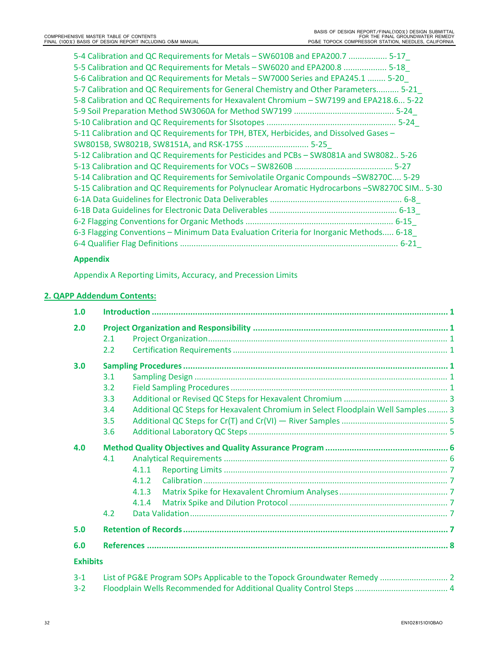| 5-4 Calibration and QC Requirements for Metals - SW6010B and EPA200.7  5-17                  |
|----------------------------------------------------------------------------------------------|
| 5-5 Calibration and QC Requirements for Metals - SW6020 and EPA200.8  5-18                   |
| 5-6 Calibration and QC Requirements for Metals - SW7000 Series and EPA245.1  5-20            |
| 5-7 Calibration and QC Requirements for General Chemistry and Other Parameters 5-21          |
| 5-8 Calibration and QC Requirements for Hexavalent Chromium - SW7199 and EPA218.6 5-22       |
|                                                                                              |
|                                                                                              |
| 5-11 Calibration and QC Requirements for TPH, BTEX, Herbicides, and Dissolved Gases -        |
| SW8015B, SW8021B, SW8151A, and RSK-175S  5-25                                                |
| 5-12 Calibration and QC Requirements for Pesticides and PCBs - SW8081A and SW8082 5-26       |
|                                                                                              |
| 5-14 Calibration and QC Requirements for Semivolatile Organic Compounds -SW8270C 5-29        |
| 5-15 Calibration and QC Requirements for Polynuclear Aromatic Hydrocarbons -SW8270C SIM 5-30 |
|                                                                                              |
|                                                                                              |
|                                                                                              |
| 6-3 Flagging Conventions - Minimum Data Evaluation Criteria for Inorganic Methods 6-18       |
|                                                                                              |

# **Appendix**

Appendix A Reporting Limits, Accuracy, and Precession Limits

# **2. QAPP Addendum Contents:**

| 1.0             |                                                                                        |  |  |
|-----------------|----------------------------------------------------------------------------------------|--|--|
| 2.0             |                                                                                        |  |  |
|                 | 2.1                                                                                    |  |  |
|                 | 2.2                                                                                    |  |  |
| 3.0             |                                                                                        |  |  |
|                 | 3.1                                                                                    |  |  |
|                 | 3.2                                                                                    |  |  |
|                 | 3.3                                                                                    |  |  |
|                 | Additional QC Steps for Hexavalent Chromium in Select Floodplain Well Samples 3<br>3.4 |  |  |
|                 | 3.5                                                                                    |  |  |
|                 | 3.6                                                                                    |  |  |
| 4.0             |                                                                                        |  |  |
|                 | 4.1                                                                                    |  |  |
|                 | 4.1.1                                                                                  |  |  |
|                 | 4.1.2                                                                                  |  |  |
|                 | 4.1.3                                                                                  |  |  |
|                 | 4.1.4                                                                                  |  |  |
|                 | 4.2                                                                                    |  |  |
| 5.0             |                                                                                        |  |  |
| 6.0             |                                                                                        |  |  |
| <b>Exhibits</b> |                                                                                        |  |  |
| $3 - 1$         | List of PG&E Program SOPs Applicable to the Topock Groundwater Remedy  2               |  |  |
| $3 - 2$         |                                                                                        |  |  |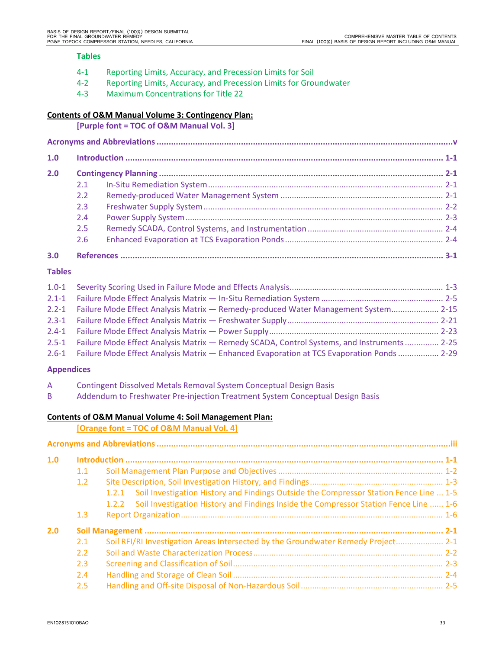#### **Tables**

- 4‐1 Reporting Limits, Accuracy, and Precession Limits for Soil
- 4‐2 Reporting Limits, Accuracy, and Precession Limits for Groundwater
- 4‐3 Maximum Concentrations for Title 22

# **Contents of O&M Manual Volume 3: Contingency Plan:**

**[Purple font = TOC of O&M Manual Vol. 3]**

| 1.0 |               |  |  |
|-----|---------------|--|--|
| 2.0 |               |  |  |
|     | 2.1           |  |  |
|     | $2.2^{\circ}$ |  |  |
|     | 2.3           |  |  |
|     | 2.4           |  |  |
|     | 2.5           |  |  |
|     | 2.6           |  |  |
|     |               |  |  |

# **Tables**

| 2.2-1 Failure Mode Effect Analysis Matrix - Remedy-produced Water Management System 2-15         |  |
|--------------------------------------------------------------------------------------------------|--|
|                                                                                                  |  |
|                                                                                                  |  |
| 2.5-1 Failure Mode Effect Analysis Matrix - Remedy SCADA, Control Systems, and Instruments  2-25 |  |
| 2.6-1 Failure Mode Effect Analysis Matrix - Enhanced Evaporation at TCS Evaporation Ponds  2-29  |  |

# **Appendices**

| <b>Contingent Dissolved Metals Removal System Conceptual Design Basis</b> |  |
|---------------------------------------------------------------------------|--|
|---------------------------------------------------------------------------|--|

B Addendum to Freshwater Pre-injection Treatment System Conceptual Design Basis

# **Contents of O&M Manual Volume 4: Soil Management Plan:**

# **[Orange font = TOC of O&M Manual Vol. 4]**

| 1.0 |     |                                                                                                 |  |
|-----|-----|-------------------------------------------------------------------------------------------------|--|
|     | 1.1 |                                                                                                 |  |
|     | 1.2 |                                                                                                 |  |
|     |     | Soil Investigation History and Findings Outside the Compressor Station Fence Line  1-5<br>1.2.1 |  |
|     |     | 1.2.2 Soil Investigation History and Findings Inside the Compressor Station Fence Line  1-6     |  |
|     | 1.3 |                                                                                                 |  |
| 2.0 |     |                                                                                                 |  |
|     | 2.1 | Soil RFI/RI Investigation Areas Intersected by the Groundwater Remedy Project 2-1               |  |
|     | 2.2 |                                                                                                 |  |
|     | 2.3 |                                                                                                 |  |
|     | 2.4 |                                                                                                 |  |
|     | 2.5 |                                                                                                 |  |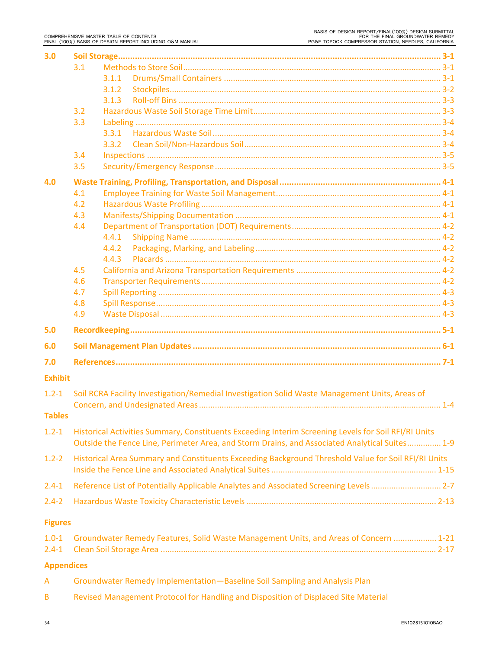| 3.0               |                                                                                                      |  |  |  |
|-------------------|------------------------------------------------------------------------------------------------------|--|--|--|
|                   | 3.1                                                                                                  |  |  |  |
|                   | 3.1.1                                                                                                |  |  |  |
|                   | 3.1.2                                                                                                |  |  |  |
|                   | 3.1.3                                                                                                |  |  |  |
|                   | 3.2                                                                                                  |  |  |  |
|                   | 3.3                                                                                                  |  |  |  |
|                   | 3.3.1                                                                                                |  |  |  |
|                   | 3.3.2                                                                                                |  |  |  |
|                   | 3.4                                                                                                  |  |  |  |
|                   | 3.5                                                                                                  |  |  |  |
| 4.0               |                                                                                                      |  |  |  |
|                   | 4.1                                                                                                  |  |  |  |
|                   | 4.2                                                                                                  |  |  |  |
|                   | 4.3                                                                                                  |  |  |  |
|                   | 4.4<br>4.4.1                                                                                         |  |  |  |
|                   | 4.4.2                                                                                                |  |  |  |
|                   | 4.4.3                                                                                                |  |  |  |
|                   | 4.5                                                                                                  |  |  |  |
|                   | 4.6                                                                                                  |  |  |  |
|                   | 4.7                                                                                                  |  |  |  |
|                   | 4.8                                                                                                  |  |  |  |
|                   | 4.9                                                                                                  |  |  |  |
| 5.0               |                                                                                                      |  |  |  |
| 6.0               |                                                                                                      |  |  |  |
| 7.0               |                                                                                                      |  |  |  |
| <b>Exhibit</b>    |                                                                                                      |  |  |  |
|                   |                                                                                                      |  |  |  |
| $1.2 - 1$         | Soil RCRA Facility Investigation/Remedial Investigation Solid Waste Management Units, Areas of       |  |  |  |
| <b>Tables</b>     |                                                                                                      |  |  |  |
| $1.2 - 1$         | Historical Activities Summary, Constituents Exceeding Interim Screening Levels for Soil RFI/RI Units |  |  |  |
|                   | Outside the Fence Line, Perimeter Area, and Storm Drains, and Associated Analytical Suites 1-9       |  |  |  |
| $1.2 - 2$         | Historical Area Summary and Constituents Exceeding Background Threshold Value for Soil RFI/RI Units  |  |  |  |
| $2.4 - 1$         | Reference List of Potentially Applicable Analytes and Associated Screening Levels 2-7                |  |  |  |
| $2.4 - 2$         |                                                                                                      |  |  |  |
| <b>Figures</b>    |                                                                                                      |  |  |  |
| $1.0 - 1$         | Groundwater Remedy Features, Solid Waste Management Units, and Areas of Concern  1-21                |  |  |  |
| $2.4 - 1$         |                                                                                                      |  |  |  |
| <b>Appendices</b> |                                                                                                      |  |  |  |
|                   |                                                                                                      |  |  |  |

| Groundwater Remedy Implementation-Baseline Soil Sampling and Analysis Plan |  |
|----------------------------------------------------------------------------|--|
|----------------------------------------------------------------------------|--|

B Revised Management Protocol for Handling and Disposition of Displaced Site Material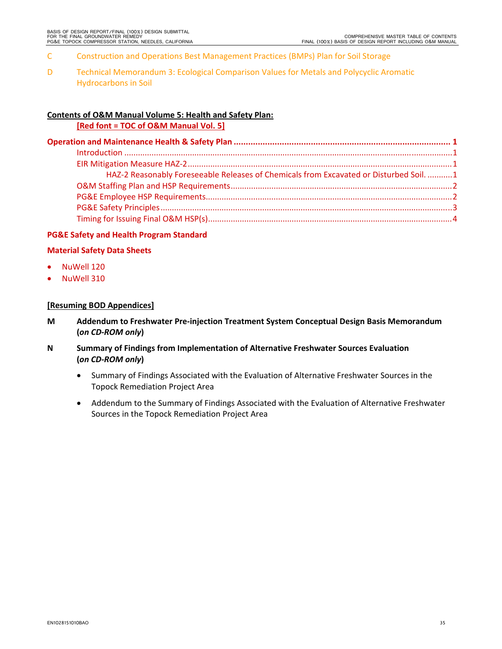- C Construction and Operations Best Management Practices (BMPs) Plan for Soil Storage
- D Technical Memorandum 3: Ecological Comparison Values for Metals and Polycyclic Aromatic Hydrocarbons in Soil

# **Contents of O&M Manual Volume 5: Health and Safety Plan:**

**[Red font = TOC of O&M Manual Vol. 5]**

| HAZ-2 Reasonably Foreseeable Releases of Chemicals from Excavated or Disturbed Soil. 1 |  |
|----------------------------------------------------------------------------------------|--|
|                                                                                        |  |
|                                                                                        |  |
|                                                                                        |  |
|                                                                                        |  |
|                                                                                        |  |

# **PG&E Safety and Health Program Standard**

# **Material Safety Data Sheets**

- NuWell 120
- NuWell 310

# **[Resuming BOD Appendices]**

- **M Addendum to Freshwater Pre‐injection Treatment System Conceptual Design Basis Memorandum (***on CD‐ROM only***)**
- **N Summary of Findings from Implementation of Alternative Freshwater Sources Evaluation (***on CD‐ROM only***)**
	- Summary of Findings Associated with the Evaluation of Alternative Freshwater Sources in the Topock Remediation Project Area
	- Addendum to the Summary of Findings Associated with the Evaluation of Alternative Freshwater Sources in the Topock Remediation Project Area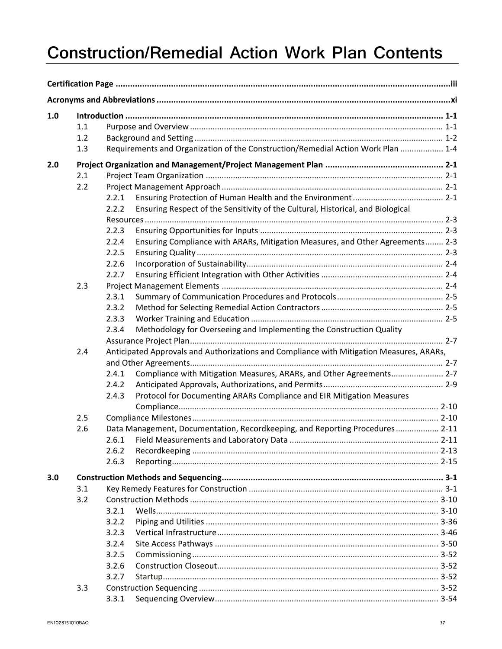# **Construction/Remedial Action Work Plan Contents**

| 1.0 |                                                                                                 |       |                                                                                  |  |  |
|-----|-------------------------------------------------------------------------------------------------|-------|----------------------------------------------------------------------------------|--|--|
|     | 1.1                                                                                             |       |                                                                                  |  |  |
|     | 1.2                                                                                             |       |                                                                                  |  |  |
|     | 1.3                                                                                             |       | Requirements and Organization of the Construction/Remedial Action Work Plan  1-4 |  |  |
| 2.0 |                                                                                                 |       |                                                                                  |  |  |
|     | 2.1                                                                                             |       |                                                                                  |  |  |
|     | 2.2                                                                                             |       |                                                                                  |  |  |
|     |                                                                                                 | 2.2.1 |                                                                                  |  |  |
|     |                                                                                                 | 2.2.2 | Ensuring Respect of the Sensitivity of the Cultural, Historical, and Biological  |  |  |
|     |                                                                                                 |       |                                                                                  |  |  |
|     |                                                                                                 | 2.2.3 |                                                                                  |  |  |
|     |                                                                                                 | 2.2.4 | Ensuring Compliance with ARARs, Mitigation Measures, and Other Agreements 2-3    |  |  |
|     |                                                                                                 | 2.2.5 |                                                                                  |  |  |
|     |                                                                                                 | 2.2.6 |                                                                                  |  |  |
|     |                                                                                                 | 2.2.7 |                                                                                  |  |  |
|     | 2.3                                                                                             |       |                                                                                  |  |  |
|     |                                                                                                 | 2.3.1 |                                                                                  |  |  |
|     |                                                                                                 | 2.3.2 |                                                                                  |  |  |
|     |                                                                                                 | 2.3.3 |                                                                                  |  |  |
|     |                                                                                                 | 2.3.4 | Methodology for Overseeing and Implementing the Construction Quality             |  |  |
|     | Anticipated Approvals and Authorizations and Compliance with Mitigation Measures, ARARs,<br>2.4 |       |                                                                                  |  |  |
|     |                                                                                                 |       |                                                                                  |  |  |
|     |                                                                                                 | 2.4.1 | Compliance with Mitigation Measures, ARARs, and Other Agreements 2-7             |  |  |
|     |                                                                                                 | 2.4.2 |                                                                                  |  |  |
|     |                                                                                                 | 2.4.3 | Protocol for Documenting ARARs Compliance and EIR Mitigation Measures            |  |  |
|     | 2.5                                                                                             |       |                                                                                  |  |  |
|     | 2.6                                                                                             |       | Data Management, Documentation, Recordkeeping, and Reporting Procedures 2-11     |  |  |
|     |                                                                                                 | 2.6.1 |                                                                                  |  |  |
|     |                                                                                                 | 2.6.2 |                                                                                  |  |  |
|     |                                                                                                 | 2.6.3 |                                                                                  |  |  |
|     |                                                                                                 |       |                                                                                  |  |  |
| 3.0 |                                                                                                 |       |                                                                                  |  |  |
|     | 3.1                                                                                             |       |                                                                                  |  |  |
|     | 3.2                                                                                             |       |                                                                                  |  |  |
|     |                                                                                                 | 3.2.1 |                                                                                  |  |  |
|     |                                                                                                 | 3.2.2 |                                                                                  |  |  |
|     |                                                                                                 | 3.2.3 |                                                                                  |  |  |
|     |                                                                                                 | 3.2.4 |                                                                                  |  |  |
|     |                                                                                                 | 3.2.5 |                                                                                  |  |  |
|     |                                                                                                 | 3.2.6 |                                                                                  |  |  |
|     |                                                                                                 | 3.2.7 |                                                                                  |  |  |
|     | 3.3                                                                                             |       |                                                                                  |  |  |
|     |                                                                                                 | 3.3.1 |                                                                                  |  |  |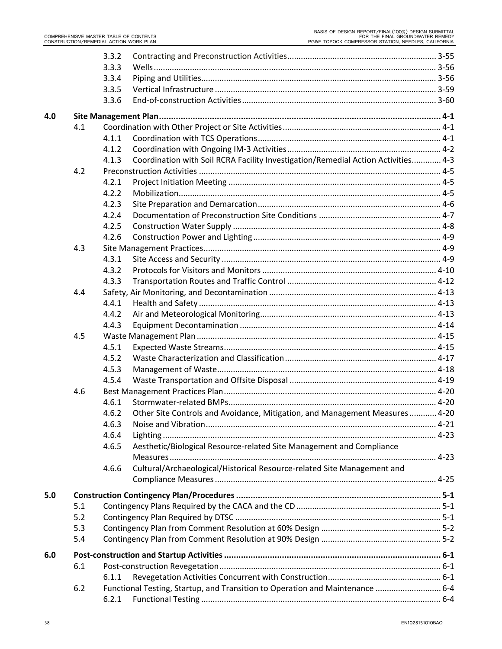|     |     | 3.3.2                                                                                      |  |
|-----|-----|--------------------------------------------------------------------------------------------|--|
|     |     | 3.3.3                                                                                      |  |
|     |     | 3.3.4                                                                                      |  |
|     |     | 3.3.5                                                                                      |  |
|     |     | 3.3.6                                                                                      |  |
| 4.0 |     |                                                                                            |  |
|     | 4.1 |                                                                                            |  |
|     |     | 4.1.1                                                                                      |  |
|     |     | 4.1.2                                                                                      |  |
|     |     | Coordination with Soil RCRA Facility Investigation/Remedial Action Activities 4-3<br>4.1.3 |  |
|     | 4.2 |                                                                                            |  |
|     |     | 4.2.1                                                                                      |  |
|     |     | 4.2.2                                                                                      |  |
|     |     | 4.2.3                                                                                      |  |
|     |     | 4.2.4                                                                                      |  |
|     |     | 4.2.5                                                                                      |  |
|     |     | 4.2.6                                                                                      |  |
|     | 4.3 |                                                                                            |  |
|     |     | 4.3.1                                                                                      |  |
|     |     | 4.3.2                                                                                      |  |
|     |     | 4.3.3                                                                                      |  |
|     | 4.4 |                                                                                            |  |
|     |     | 4.4.1                                                                                      |  |
|     |     | 4.4.2                                                                                      |  |
|     |     | 4.4.3                                                                                      |  |
|     | 4.5 |                                                                                            |  |
|     |     | 4.5.1                                                                                      |  |
|     |     | 4.5.2                                                                                      |  |
|     |     | 4.5.3                                                                                      |  |
|     |     | 4.5.4                                                                                      |  |
|     | 4.6 |                                                                                            |  |
|     |     | 4.6.1                                                                                      |  |
|     |     | Other Site Controls and Avoidance, Mitigation, and Management Measures 4-20<br>4.6.2       |  |
|     |     | 4.6.3                                                                                      |  |
|     |     | 4.6.4                                                                                      |  |
|     |     | Aesthetic/Biological Resource-related Site Management and Compliance<br>4.6.5              |  |
|     |     |                                                                                            |  |
|     |     | Cultural/Archaeological/Historical Resource-related Site Management and<br>4.6.6           |  |
|     |     |                                                                                            |  |
| 5.0 |     |                                                                                            |  |
|     | 5.1 |                                                                                            |  |
|     | 5.2 |                                                                                            |  |
|     | 5.3 |                                                                                            |  |
|     | 5.4 |                                                                                            |  |
| 6.0 |     |                                                                                            |  |
|     | 6.1 |                                                                                            |  |
|     |     | 6.1.1                                                                                      |  |
|     | 6.2 | Functional Testing, Startup, and Transition to Operation and Maintenance  6-4              |  |
|     |     | 6.2.1                                                                                      |  |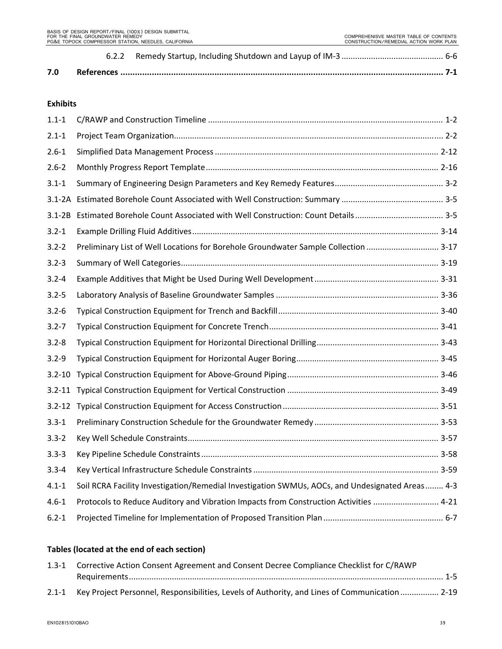# **Exhibits**

| $1.1 - 1$  |                                                                                                 |  |
|------------|-------------------------------------------------------------------------------------------------|--|
| $2.1 - 1$  |                                                                                                 |  |
| $2.6 - 1$  |                                                                                                 |  |
| $2.6 - 2$  |                                                                                                 |  |
| $3.1 - 1$  |                                                                                                 |  |
|            |                                                                                                 |  |
| $3.1 - 2B$ |                                                                                                 |  |
| $3.2 - 1$  |                                                                                                 |  |
| $3.2 - 2$  | Preliminary List of Well Locations for Borehole Groundwater Sample Collection  3-17             |  |
| $3.2 - 3$  |                                                                                                 |  |
| $3.2 - 4$  |                                                                                                 |  |
| $3.2 - 5$  |                                                                                                 |  |
| $3.2 - 6$  |                                                                                                 |  |
| $3.2 - 7$  |                                                                                                 |  |
| $3.2 - 8$  |                                                                                                 |  |
| $3.2 - 9$  |                                                                                                 |  |
|            |                                                                                                 |  |
|            |                                                                                                 |  |
|            |                                                                                                 |  |
| $3.3 - 1$  |                                                                                                 |  |
| $3.3 - 2$  |                                                                                                 |  |
| $3.3 - 3$  |                                                                                                 |  |
| $3.3 - 4$  |                                                                                                 |  |
| $4.1 - 1$  | Soil RCRA Facility Investigation/Remedial Investigation SWMUs, AOCs, and Undesignated Areas 4-3 |  |
| $4.6 - 1$  | Protocols to Reduce Auditory and Vibration Impacts from Construction Activities  4-21           |  |
| $6.2 - 1$  |                                                                                                 |  |

# **Tables (located at the end of each section)**

| 1.3-1 Corrective Action Consent Agreement and Consent Decree Compliance Checklist for C/RAWP         |  |  |
|------------------------------------------------------------------------------------------------------|--|--|
|                                                                                                      |  |  |
| 2.1-1 Key Project Personnel, Responsibilities, Levels of Authority, and Lines of Communication  2-19 |  |  |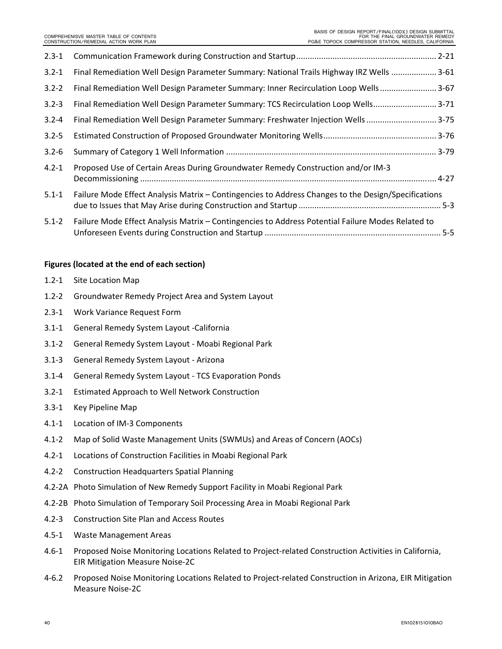| $2.3 - 1$ |                                                                                                     |  |
|-----------|-----------------------------------------------------------------------------------------------------|--|
| $3.2 - 1$ | Final Remediation Well Design Parameter Summary: National Trails Highway IRZ Wells  3-61            |  |
| $3.2 - 2$ | Final Remediation Well Design Parameter Summary: Inner Recirculation Loop Wells 3-67                |  |
| $3.2 - 3$ | Final Remediation Well Design Parameter Summary: TCS Recirculation Loop Wells 3-71                  |  |
| $3.2 - 4$ | Final Remediation Well Design Parameter Summary: Freshwater Injection Wells  3-75                   |  |
| $3.2 - 5$ |                                                                                                     |  |
| $3.2 - 6$ |                                                                                                     |  |
| $4.2 - 1$ | Proposed Use of Certain Areas During Groundwater Remedy Construction and/or IM-3                    |  |
| $5.1 - 1$ | Failure Mode Effect Analysis Matrix - Contingencies to Address Changes to the Design/Specifications |  |
| $5.1 - 2$ | Failure Mode Effect Analysis Matrix - Contingencies to Address Potential Failure Modes Related to   |  |

#### **Figures (located at the end of each section)**

- 1.2‐1 Site Location Map
- 1.2‐2 Groundwater Remedy Project Area and System Layout
- 2.3‐1 Work Variance Request Form
- 3.1‐1 General Remedy System Layout ‐California
- 3.1‐2 General Remedy System Layout ‐ Moabi Regional Park
- 3.1‐3 General Remedy System Layout ‐ Arizona
- 3.1‐4 General Remedy System Layout ‐ TCS Evaporation Ponds
- 3.2‐1 Estimated Approach to Well Network Construction
- 3.3‐1 Key Pipeline Map
- 4.1‐1 Location of IM‐3 Components
- 4.1‐2 Map of Solid Waste Management Units (SWMUs) and Areas of Concern (AOCs)
- 4.2‐1 Locations of Construction Facilities in Moabi Regional Park
- 4.2‐2 Construction Headquarters Spatial Planning
- 4.2‐2A Photo Simulation of New Remedy Support Facility in Moabi Regional Park
- 4.2‐2B Photo Simulation of Temporary Soil Processing Area in Moabi Regional Park
- 4.2‐3 Construction Site Plan and Access Routes
- 4.5‐1 Waste Management Areas
- 4.6‐1 Proposed Noise Monitoring Locations Related to Project‐related Construction Activities in California, EIR Mitigation Measure Noise‐2C
- 4‐6.2 Proposed Noise Monitoring Locations Related to Project‐related Construction in Arizona, EIR Mitigation Measure Noise‐2C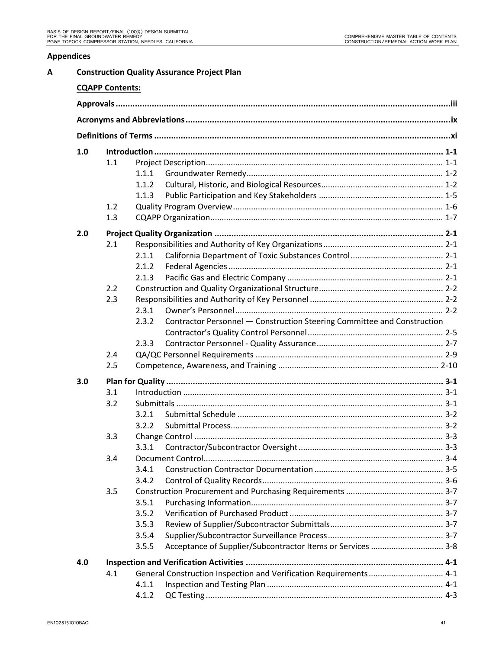# **Appendices**

| A |     |                        | <b>Construction Quality Assurance Project Plan</b> |                                                                         |  |  |  |
|---|-----|------------------------|----------------------------------------------------|-------------------------------------------------------------------------|--|--|--|
|   |     | <b>CQAPP Contents:</b> |                                                    |                                                                         |  |  |  |
|   |     |                        |                                                    |                                                                         |  |  |  |
|   |     |                        |                                                    |                                                                         |  |  |  |
|   |     |                        |                                                    |                                                                         |  |  |  |
|   | 1.0 |                        |                                                    |                                                                         |  |  |  |
|   |     | 1.1                    |                                                    |                                                                         |  |  |  |
|   |     |                        | 1.1.1                                              |                                                                         |  |  |  |
|   |     |                        | 1.1.2                                              |                                                                         |  |  |  |
|   |     |                        | 1.1.3                                              |                                                                         |  |  |  |
|   |     | 1.2                    |                                                    |                                                                         |  |  |  |
|   |     | 1.3                    |                                                    |                                                                         |  |  |  |
|   | 2.0 |                        |                                                    |                                                                         |  |  |  |
|   |     | 2.1                    |                                                    |                                                                         |  |  |  |
|   |     |                        | 2.1.1                                              |                                                                         |  |  |  |
|   |     |                        | 2.1.2                                              |                                                                         |  |  |  |
|   |     |                        | 2.1.3                                              |                                                                         |  |  |  |
|   |     | 2.2                    |                                                    |                                                                         |  |  |  |
|   |     | 2.3                    |                                                    |                                                                         |  |  |  |
|   |     |                        | 2.3.1                                              |                                                                         |  |  |  |
|   |     |                        | 2.3.2                                              | Contractor Personnel - Construction Steering Committee and Construction |  |  |  |
|   |     |                        |                                                    |                                                                         |  |  |  |
|   |     |                        | 2.3.3                                              |                                                                         |  |  |  |
|   |     | 2.4                    |                                                    |                                                                         |  |  |  |
|   |     | 2.5                    |                                                    |                                                                         |  |  |  |
|   | 3.0 |                        |                                                    |                                                                         |  |  |  |
|   |     | 3.1                    |                                                    |                                                                         |  |  |  |
|   |     | 3.2                    |                                                    |                                                                         |  |  |  |
|   |     |                        | 3.2.1                                              |                                                                         |  |  |  |
|   |     |                        | 3.2.2                                              |                                                                         |  |  |  |
|   |     | 3.3                    |                                                    |                                                                         |  |  |  |
|   |     |                        | 3.3.1                                              |                                                                         |  |  |  |
|   |     | 3.4                    |                                                    |                                                                         |  |  |  |
|   |     |                        | 3.4.1                                              |                                                                         |  |  |  |
|   |     |                        | 3.4.2                                              |                                                                         |  |  |  |
|   |     | 3.5                    |                                                    |                                                                         |  |  |  |
|   |     |                        | 3.5.1                                              |                                                                         |  |  |  |
|   |     |                        | 3.5.2                                              |                                                                         |  |  |  |
|   |     |                        | 3.5.3                                              |                                                                         |  |  |  |
|   |     |                        | 3.5.4                                              |                                                                         |  |  |  |
|   |     |                        | 3.5.5                                              | Acceptance of Supplier/Subcontractor Items or Services  3-8             |  |  |  |
|   | 4.0 |                        |                                                    |                                                                         |  |  |  |
|   |     | 4.1                    |                                                    | General Construction Inspection and Verification Requirements 4-1       |  |  |  |
|   |     |                        | 4.1.1                                              |                                                                         |  |  |  |
|   |     |                        | 4.1.2                                              |                                                                         |  |  |  |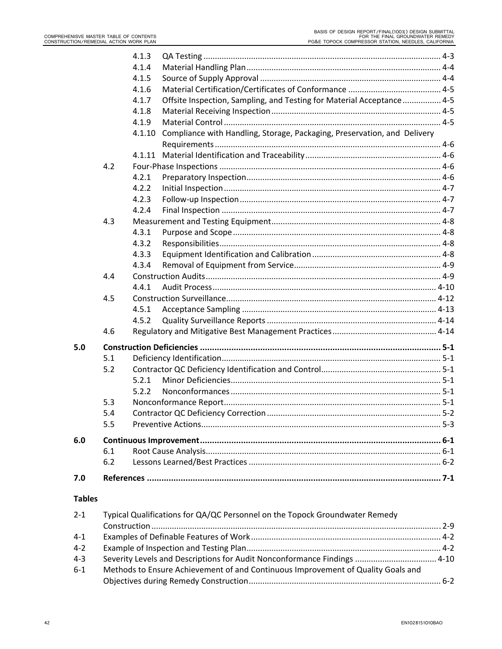|               |     | 4.1.3  |                                                                          |         |
|---------------|-----|--------|--------------------------------------------------------------------------|---------|
|               |     | 4.1.4  |                                                                          |         |
|               |     | 4.1.5  |                                                                          |         |
|               |     | 4.1.6  |                                                                          |         |
|               |     | 4.1.7  | Offsite Inspection, Sampling, and Testing for Material Acceptance  4-5   |         |
|               |     | 4.1.8  |                                                                          |         |
|               |     | 4.1.9  |                                                                          |         |
|               |     | 4.1.10 | Compliance with Handling, Storage, Packaging, Preservation, and Delivery |         |
|               |     |        |                                                                          |         |
|               |     | 4.1.11 |                                                                          |         |
|               | 4.2 |        |                                                                          |         |
|               |     | 4.2.1  |                                                                          |         |
|               |     | 4.2.2  |                                                                          |         |
|               |     | 4.2.3  |                                                                          |         |
|               |     | 4.2.4  |                                                                          |         |
|               | 4.3 |        |                                                                          |         |
|               |     | 4.3.1  |                                                                          |         |
|               |     | 4.3.2  |                                                                          |         |
|               |     | 4.3.3  |                                                                          |         |
|               |     | 4.3.4  |                                                                          |         |
|               | 4.4 |        |                                                                          |         |
|               |     | 4.4.1  |                                                                          |         |
|               | 4.5 |        |                                                                          |         |
|               |     | 4.5.1  |                                                                          |         |
|               |     | 4.5.2  |                                                                          |         |
|               | 4.6 |        |                                                                          |         |
| 5.0           |     |        |                                                                          |         |
|               | 5.1 |        |                                                                          |         |
|               | 5.2 |        |                                                                          |         |
|               |     | 5.2.1  |                                                                          |         |
|               |     | 5.2.2  |                                                                          |         |
|               | 5.3 |        |                                                                          |         |
|               | 5.4 |        |                                                                          | $5 - 2$ |
|               | 5.5 |        |                                                                          |         |
| 6.0           |     |        |                                                                          |         |
|               | 6.1 |        |                                                                          |         |
|               | 6.2 |        |                                                                          |         |
| 7.0           |     |        |                                                                          |         |
| <b>Tables</b> |     |        |                                                                          |         |
|               |     |        |                                                                          |         |

| $2 - 1$ | Typical Qualifications for QA/QC Personnel on the Topock Groundwater Remedy      |  |  |
|---------|----------------------------------------------------------------------------------|--|--|
|         |                                                                                  |  |  |
| $4 - 1$ |                                                                                  |  |  |
| $4 - 2$ |                                                                                  |  |  |
| $4 - 3$ | Severity Levels and Descriptions for Audit Nonconformance Findings  4-10         |  |  |
| $6 - 1$ | Methods to Ensure Achievement of and Continuous Improvement of Quality Goals and |  |  |
|         |                                                                                  |  |  |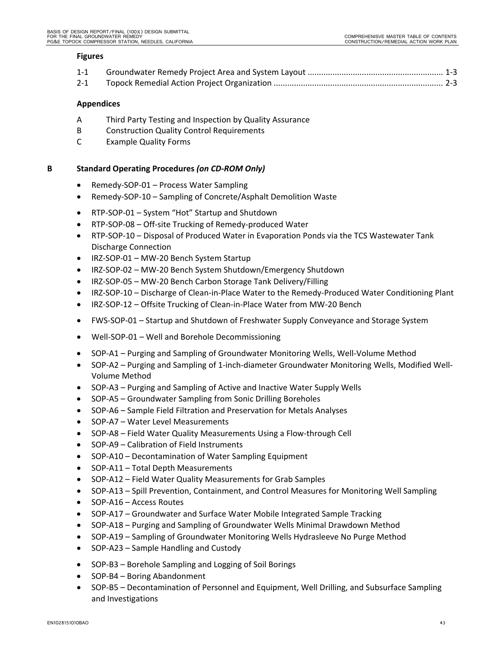#### **Figures**

- 1‐1 Groundwater Remedy Project Area and System Layout ............................................................ 1‐3
- 2‐1 Topock Remedial Action Project Organization ........................................................................... 2‐3

# **Appendices**

- A Third Party Testing and Inspection by Quality Assurance
- B Construction Quality Control Requirements
- C Example Quality Forms

# **B Standard Operating Procedures** *(on CD‐ROM Only)*

- Remedy-SOP-01 Process Water Sampling
- Remedy-SOP-10 Sampling of Concrete/Asphalt Demolition Waste
- RTP‐SOP‐01 System "Hot" Startup and Shutdown
- RTP-SOP-08 Off-site Trucking of Remedy-produced Water
- RTP-SOP-10 Disposal of Produced Water in Evaporation Ponds via the TCS Wastewater Tank Discharge Connection
- IRZ-SOP-01 MW-20 Bench System Startup
- IRZ-SOP-02 MW-20 Bench System Shutdown/Emergency Shutdown
- IRZ-SOP-05 MW-20 Bench Carbon Storage Tank Delivery/Filling
- IRZ-SOP-10 Discharge of Clean-in-Place Water to the Remedy-Produced Water Conditioning Plant
- IRZ-SOP-12 Offsite Trucking of Clean-in-Place Water from MW-20 Bench
- FWS‐SOP‐01 Startup and Shutdown of Freshwater Supply Conveyance and Storage System
- Well-SOP-01 Well and Borehole Decommissioning
- SOP-A1 Purging and Sampling of Groundwater Monitoring Wells, Well-Volume Method
- SOP-A2 Purging and Sampling of 1-inch-diameter Groundwater Monitoring Wells, Modified Well-Volume Method
- SOP-A3 Purging and Sampling of Active and Inactive Water Supply Wells
- SOP‐A5 Groundwater Sampling from Sonic Drilling Boreholes
- SOP‐A6 Sample Field Filtration and Preservation for Metals Analyses
- SOP‐A7 Water Level Measurements
- SOP‐A8 Field Water Quality Measurements Using a Flow‐through Cell
- SOP-A9 Calibration of Field Instruments
- SOP-A10 Decontamination of Water Sampling Equipment
- SOP-A11 Total Depth Measurements
- SOP-A12 Field Water Quality Measurements for Grab Samples
- SOP-A13 Spill Prevention, Containment, and Control Measures for Monitoring Well Sampling
- SOP-A16 Access Routes
- SOP-A17 Groundwater and Surface Water Mobile Integrated Sample Tracking
- SOP-A18 Purging and Sampling of Groundwater Wells Minimal Drawdown Method
- SOP-A19 Sampling of Groundwater Monitoring Wells Hydrasleeve No Purge Method
- SOP-A23 Sample Handling and Custody
- SOP-B3 Borehole Sampling and Logging of Soil Borings
- SOP-B4 Boring Abandonment
- SOP-B5 Decontamination of Personnel and Equipment, Well Drilling, and Subsurface Sampling and Investigations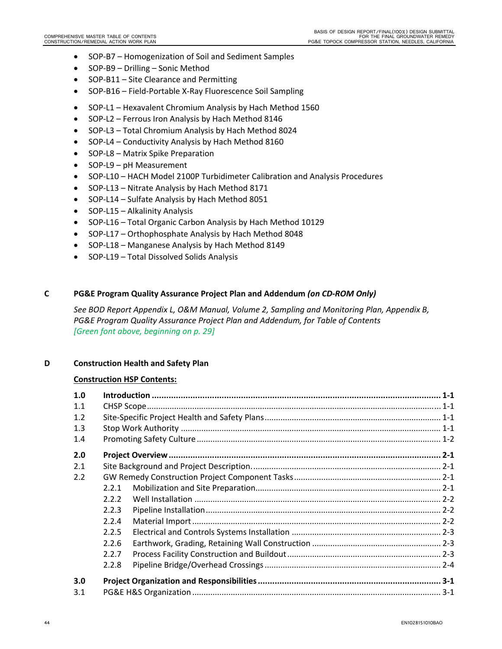- SOP-B7 Homogenization of Soil and Sediment Samples
- SOP-B9 Drilling Sonic Method
- SOP-B11 Site Clearance and Permitting
- SOP-B16 Field-Portable X-Ray Fluorescence Soil Sampling
- SOP-L1 Hexavalent Chromium Analysis by Hach Method 1560
- SOP-L2 Ferrous Iron Analysis by Hach Method 8146
- SOP-L3 Total Chromium Analysis by Hach Method 8024
- SOP-L4 Conductivity Analysis by Hach Method 8160
- SOP-L8 Matrix Spike Preparation
- SOP-L9 pH Measurement
- SOP-L10 HACH Model 2100P Turbidimeter Calibration and Analysis Procedures
- SOP-L13 Nitrate Analysis by Hach Method 8171
- SOP-L14 Sulfate Analysis by Hach Method 8051
- SOP-L15 Alkalinity Analysis
- SOP-L16 Total Organic Carbon Analysis by Hach Method 10129
- SOP-L17 Orthophosphate Analysis by Hach Method 8048
- SOP-L18 Manganese Analysis by Hach Method 8149
- SOP-L19 Total Dissolved Solids Analysis

# **C PG&E Program Quality Assurance Project Plan and Addendum** *(on CD‐ROM Only)*

*See BOD Report Appendix L, O&M Manual, Volume 2, Sampling and Monitoring Plan, Appendix B, PG&E Program Quality Assurance Project Plan and Addendum, for Table of Contents [Green font above, beginning on p. 29]*

# **D Construction Health and Safety Plan**

# **Construction HSP Contents:**

| 1.0 |       |  |  |
|-----|-------|--|--|
| 1.1 |       |  |  |
| 1.2 |       |  |  |
| 1.3 |       |  |  |
| 1.4 |       |  |  |
| 2.0 |       |  |  |
| 2.1 |       |  |  |
| 2.2 |       |  |  |
|     | 2.2.1 |  |  |
|     | 2.2.2 |  |  |
|     | 2.2.3 |  |  |
|     | 2.2.4 |  |  |
|     | 2.2.5 |  |  |
|     | 2.2.6 |  |  |
|     | 2.2.7 |  |  |
|     | 2.2.8 |  |  |
| 3.0 |       |  |  |
| 3.1 |       |  |  |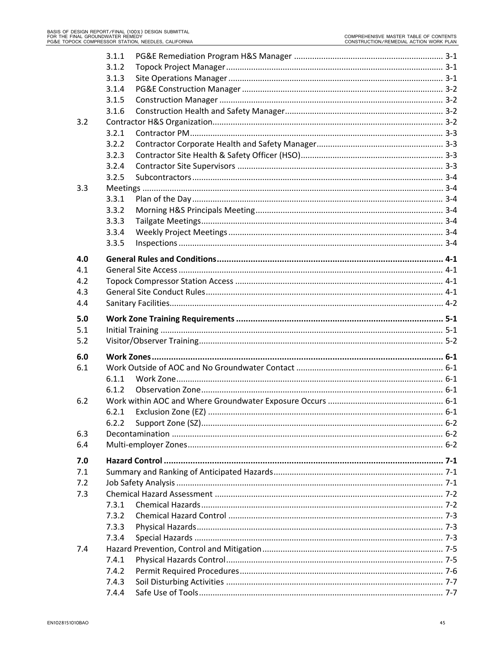|     | 3.1.1          |  |
|-----|----------------|--|
|     | 3.1.2          |  |
|     | 3.1.3          |  |
|     | 3.1.4          |  |
|     | 3.1.5          |  |
|     | 3.1.6          |  |
| 3.2 |                |  |
|     | 3.2.1          |  |
|     | 3.2.2          |  |
|     | 3.2.3          |  |
|     | 3.2.4          |  |
|     | 3.2.5          |  |
| 3.3 |                |  |
|     | 3.3.1          |  |
|     | 3.3.2          |  |
|     | 3.3.3          |  |
|     | 3.3.4          |  |
|     | 3.3.5          |  |
| 4.0 |                |  |
| 4.1 |                |  |
| 4.2 |                |  |
| 4.3 |                |  |
| 4.4 |                |  |
|     |                |  |
| 5.0 |                |  |
| 5.1 |                |  |
| 5.2 |                |  |
| 6.0 |                |  |
| 6.1 |                |  |
|     | 6.1.1          |  |
|     | 6.1.2          |  |
| 6.2 |                |  |
|     | 6.2.1          |  |
|     | 6.2.2          |  |
| 6.3 |                |  |
| 6.4 |                |  |
| 7.0 |                |  |
| 7.1 |                |  |
| 7.2 |                |  |
| 7.3 |                |  |
|     | 7.3.1          |  |
|     | 7.3.2          |  |
|     |                |  |
|     |                |  |
|     | 7.3.3<br>7.3.4 |  |
| 7.4 |                |  |
|     | 7.4.1          |  |
|     | 7.4.2          |  |
|     | 7.4.3          |  |
|     | 7.4.4          |  |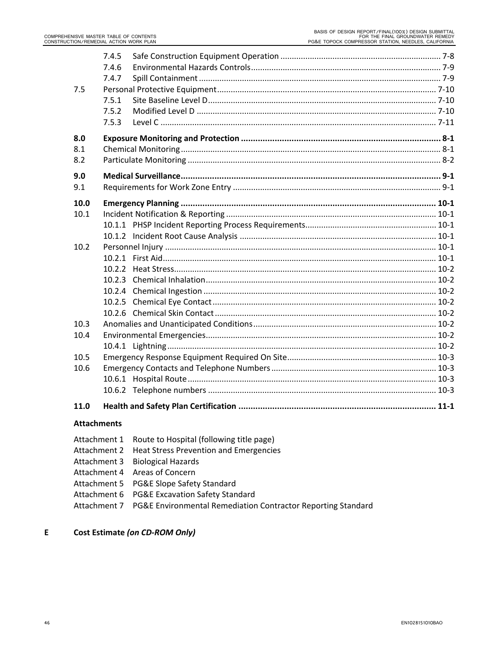| 7.5                | 7.4.5<br>7.4.6<br>7.4.7<br>7.5.1<br>7.5.2<br>7.5.3 |                                               |  |
|--------------------|----------------------------------------------------|-----------------------------------------------|--|
| 8.0<br>8.1         |                                                    |                                               |  |
| 8.2                |                                                    |                                               |  |
| 9.0                |                                                    |                                               |  |
| 9.1                |                                                    |                                               |  |
| 10.0               |                                                    |                                               |  |
| 10.1               |                                                    |                                               |  |
|                    |                                                    |                                               |  |
|                    |                                                    |                                               |  |
| 10.2               |                                                    |                                               |  |
|                    |                                                    |                                               |  |
|                    |                                                    |                                               |  |
|                    |                                                    |                                               |  |
|                    |                                                    |                                               |  |
|                    |                                                    |                                               |  |
|                    |                                                    |                                               |  |
| 10.3               |                                                    |                                               |  |
| 10.4               |                                                    |                                               |  |
|                    |                                                    |                                               |  |
| 10.5               |                                                    |                                               |  |
| 10.6               |                                                    |                                               |  |
|                    |                                                    |                                               |  |
|                    |                                                    |                                               |  |
| 11.0               |                                                    |                                               |  |
| <b>Attachments</b> |                                                    |                                               |  |
| Attachment 1       |                                                    | Route to Hospital (following title page)      |  |
| Attachment 2       |                                                    | <b>Heat Stress Prevention and Emergencies</b> |  |
| Attachment 3       |                                                    | <b>Biological Hazards</b>                     |  |

- Attachment 4 Areas of Concern
- Attachment 5 PG&E Slope Safety Standard
- Attachment 6 PG&E Excavation Safety Standard
- Attachment 7 PG&E Environmental Remediation Contractor Reporting Standard

# **E Cost Estimate** *(on CD‐ROM Only)*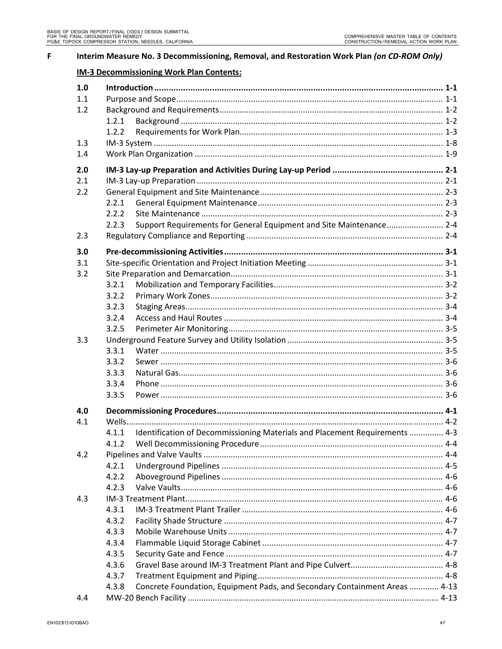| F | Interim Measure No. 3 Decommissioning, Removal, and Restoration Work Plan (on CD-ROM Only) |                                                                                      |  |  |  |
|---|--------------------------------------------------------------------------------------------|--------------------------------------------------------------------------------------|--|--|--|
|   |                                                                                            | <b>IM-3 Decommissioning Work Plan Contents:</b>                                      |  |  |  |
|   | 1.0                                                                                        |                                                                                      |  |  |  |
|   | 1.1                                                                                        |                                                                                      |  |  |  |
|   | 1.2                                                                                        |                                                                                      |  |  |  |
|   |                                                                                            | 1.2.1                                                                                |  |  |  |
|   |                                                                                            | 1.2.2                                                                                |  |  |  |
|   | 1.3                                                                                        |                                                                                      |  |  |  |
|   | 1.4                                                                                        |                                                                                      |  |  |  |
|   | 2.0                                                                                        |                                                                                      |  |  |  |
|   | 2.1                                                                                        |                                                                                      |  |  |  |
|   | 2.2                                                                                        |                                                                                      |  |  |  |
|   |                                                                                            | 2.2.1                                                                                |  |  |  |
|   |                                                                                            | 2.2.2                                                                                |  |  |  |
|   |                                                                                            | Support Requirements for General Equipment and Site Maintenance 2-4<br>2.2.3         |  |  |  |
|   | 2.3                                                                                        |                                                                                      |  |  |  |
|   | 3.0                                                                                        |                                                                                      |  |  |  |
|   | 3.1                                                                                        |                                                                                      |  |  |  |
|   | 3.2                                                                                        |                                                                                      |  |  |  |
|   |                                                                                            | 3.2.1                                                                                |  |  |  |
|   |                                                                                            | 3.2.2                                                                                |  |  |  |
|   |                                                                                            | 3.2.3                                                                                |  |  |  |
|   |                                                                                            | 3.2.4                                                                                |  |  |  |
|   |                                                                                            | 3.2.5                                                                                |  |  |  |
|   | 3.3                                                                                        |                                                                                      |  |  |  |
|   |                                                                                            | 3.3.1                                                                                |  |  |  |
|   |                                                                                            | 3.3.2                                                                                |  |  |  |
|   |                                                                                            | 3.3.3                                                                                |  |  |  |
|   |                                                                                            | 3.3.4                                                                                |  |  |  |
|   |                                                                                            | 3.3.5                                                                                |  |  |  |
|   | 4.0                                                                                        |                                                                                      |  |  |  |
|   | 4.1                                                                                        |                                                                                      |  |  |  |
|   |                                                                                            | Identification of Decommissioning Materials and Placement Requirements  4-3<br>4.1.1 |  |  |  |
|   |                                                                                            | 4.1.2                                                                                |  |  |  |
|   | 4.2                                                                                        |                                                                                      |  |  |  |
|   |                                                                                            | 4.2.1                                                                                |  |  |  |
|   |                                                                                            | 4.2.2                                                                                |  |  |  |
|   |                                                                                            | 4.2.3                                                                                |  |  |  |
|   | 4.3                                                                                        |                                                                                      |  |  |  |
|   |                                                                                            | 4.3.1                                                                                |  |  |  |
|   |                                                                                            | 4.3.2                                                                                |  |  |  |
|   |                                                                                            | 4.3.3                                                                                |  |  |  |
|   |                                                                                            | 4.3.4                                                                                |  |  |  |
|   |                                                                                            | 4.3.5                                                                                |  |  |  |
|   |                                                                                            | 4.3.6                                                                                |  |  |  |
|   |                                                                                            | 4.3.7                                                                                |  |  |  |
|   |                                                                                            | Concrete Foundation, Equipment Pads, and Secondary Containment Areas  4-13<br>4.3.8  |  |  |  |
|   | 4.4                                                                                        |                                                                                      |  |  |  |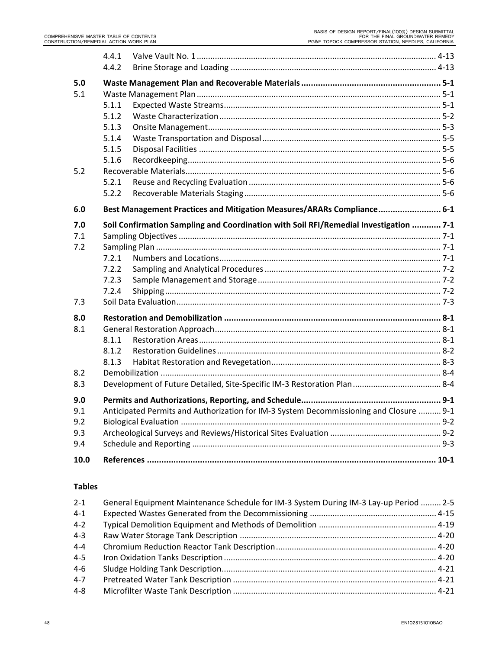|      | 4.4.1 |                                                                                        |  |
|------|-------|----------------------------------------------------------------------------------------|--|
|      | 4.4.2 |                                                                                        |  |
| 5.0  |       |                                                                                        |  |
| 5.1  |       |                                                                                        |  |
|      | 5.1.1 |                                                                                        |  |
|      | 5.1.2 |                                                                                        |  |
|      | 5.1.3 |                                                                                        |  |
|      | 5.1.4 |                                                                                        |  |
|      | 5.1.5 |                                                                                        |  |
|      | 5.1.6 |                                                                                        |  |
| 5.2  |       |                                                                                        |  |
|      | 5.2.1 |                                                                                        |  |
|      | 5.2.2 |                                                                                        |  |
| 6.0  |       | Best Management Practices and Mitigation Measures/ARARs Compliance 6-1                 |  |
| 7.0  |       | Soil Confirmation Sampling and Coordination with Soil RFI/Remedial Investigation  7-1  |  |
| 7.1  |       |                                                                                        |  |
| 7.2  |       |                                                                                        |  |
|      | 7.2.1 |                                                                                        |  |
|      | 7.2.2 |                                                                                        |  |
|      | 7.2.3 |                                                                                        |  |
|      | 7.2.4 |                                                                                        |  |
| 7.3  |       |                                                                                        |  |
| 8.0  |       |                                                                                        |  |
| 8.1  |       |                                                                                        |  |
|      | 8.1.1 |                                                                                        |  |
|      | 8.1.2 |                                                                                        |  |
|      | 8.1.3 |                                                                                        |  |
| 8.2  |       |                                                                                        |  |
| 8.3  |       |                                                                                        |  |
| 9.0  |       |                                                                                        |  |
| 9.1  |       | Anticipated Permits and Authorization for IM-3 System Decommissioning and Closure  9-1 |  |
| 9.2  |       |                                                                                        |  |
| 9.3  |       |                                                                                        |  |
| 9.4  |       |                                                                                        |  |
|      |       |                                                                                        |  |
| 10.0 |       |                                                                                        |  |

# **Tables**

| General Equipment Maintenance Schedule for IM-3 System During IM-3 Lay-up Period  2-5 |  |
|---------------------------------------------------------------------------------------|--|
|                                                                                       |  |
|                                                                                       |  |
|                                                                                       |  |
|                                                                                       |  |
|                                                                                       |  |
|                                                                                       |  |
|                                                                                       |  |
|                                                                                       |  |
|                                                                                       |  |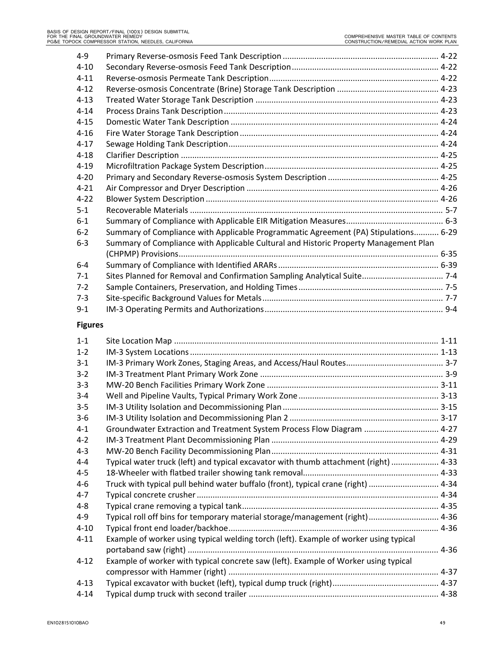| $4 - 9$  |                                                                                      |  |
|----------|--------------------------------------------------------------------------------------|--|
| $4 - 10$ |                                                                                      |  |
| $4 - 11$ |                                                                                      |  |
| $4 - 12$ |                                                                                      |  |
| $4 - 13$ |                                                                                      |  |
| $4 - 14$ |                                                                                      |  |
| $4 - 15$ |                                                                                      |  |
| $4 - 16$ |                                                                                      |  |
| $4 - 17$ |                                                                                      |  |
| $4 - 18$ |                                                                                      |  |
| $4 - 19$ |                                                                                      |  |
| $4 - 20$ |                                                                                      |  |
| $4 - 21$ |                                                                                      |  |
| $4 - 22$ |                                                                                      |  |
| $5 - 1$  |                                                                                      |  |
| $6 - 1$  |                                                                                      |  |
| $6 - 2$  | Summary of Compliance with Applicable Programmatic Agreement (PA) Stipulations 6-29  |  |
| $6 - 3$  | Summary of Compliance with Applicable Cultural and Historic Property Management Plan |  |
|          |                                                                                      |  |
| $6-4$    |                                                                                      |  |
| $7-1$    |                                                                                      |  |
| $7-2$    |                                                                                      |  |
| $7-3$    |                                                                                      |  |
| $9 - 1$  |                                                                                      |  |
|          |                                                                                      |  |

# **Figures**

| $1 - 1$  |                                                                                       |  |
|----------|---------------------------------------------------------------------------------------|--|
| $1 - 2$  |                                                                                       |  |
| $3 - 1$  |                                                                                       |  |
| $3 - 2$  |                                                                                       |  |
| $3 - 3$  |                                                                                       |  |
| $3 - 4$  |                                                                                       |  |
| $3 - 5$  |                                                                                       |  |
| $3-6$    |                                                                                       |  |
| $4 - 1$  | Groundwater Extraction and Treatment System Process Flow Diagram  4-27                |  |
| $4 - 2$  |                                                                                       |  |
| $4 - 3$  |                                                                                       |  |
| $4 - 4$  | Typical water truck (left) and typical excavator with thumb attachment (right)  4-33  |  |
| $4 - 5$  |                                                                                       |  |
| $4-6$    | Truck with typical pull behind water buffalo (front), typical crane (right)  4-34     |  |
| $4 - 7$  |                                                                                       |  |
| $4 - 8$  |                                                                                       |  |
| $4 - 9$  | Typical roll off bins for temporary material storage/management (right) 4-36          |  |
| $4 - 10$ |                                                                                       |  |
| $4 - 11$ | Example of worker using typical welding torch (left). Example of worker using typical |  |
|          |                                                                                       |  |
| $4 - 12$ | Example of worker with typical concrete saw (left). Example of Worker using typical   |  |
|          |                                                                                       |  |
| $4 - 13$ |                                                                                       |  |
| $4 - 14$ |                                                                                       |  |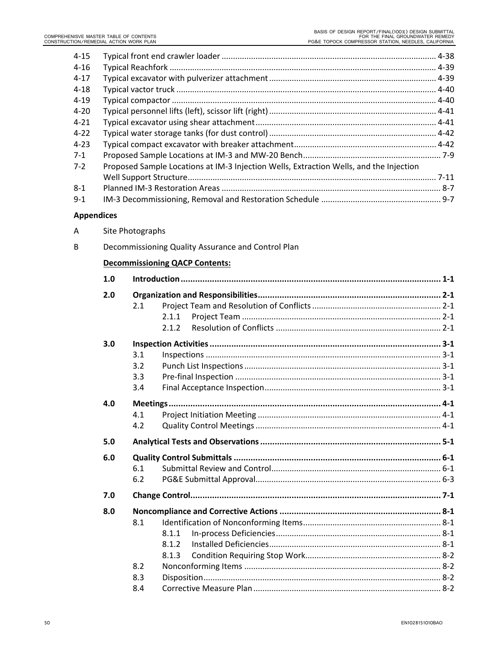| Proposed Sample Locations at IM-3 Injection Wells, Extraction Wells, and the Injection |  |
|----------------------------------------------------------------------------------------|--|
|                                                                                        |  |
|                                                                                        |  |
|                                                                                        |  |
|                                                                                        |  |

#### **Appendices**

A Site Photographs

| B |     | Decommissioning Quality Assurance and Control Plan |  |
|---|-----|----------------------------------------------------|--|
|   |     | <b>Decommissioning QACP Contents:</b>              |  |
|   | 1.0 |                                                    |  |
|   | 2.0 |                                                    |  |
|   |     | 2.1                                                |  |
|   |     | 2.1.1                                              |  |
|   |     | 2.1.2                                              |  |
|   | 3.0 |                                                    |  |
|   |     | 3.1                                                |  |
|   |     | 3.2                                                |  |
|   |     | 3.3                                                |  |
|   |     | 3.4                                                |  |
|   | 4.0 |                                                    |  |
|   |     | 4.1                                                |  |
|   |     | 4.2                                                |  |
|   | 5.0 |                                                    |  |
|   | 6.0 |                                                    |  |
|   |     | 6.1                                                |  |
|   |     | 6.2                                                |  |
|   | 7.0 |                                                    |  |
|   | 8.0 |                                                    |  |
|   |     | 8.1                                                |  |
|   |     | 8.1.1                                              |  |
|   |     | 8.1.2                                              |  |
|   |     | 8.1.3                                              |  |
|   |     | 8.2                                                |  |
|   |     | 8.3                                                |  |
|   |     | 8.4                                                |  |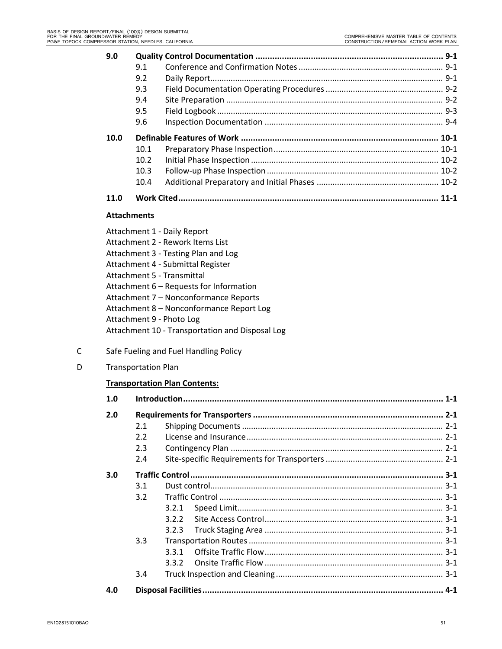| 9.0                |      |                                  |  |
|--------------------|------|----------------------------------|--|
|                    | 9.1  |                                  |  |
|                    | 9.2  |                                  |  |
|                    | 9.3  |                                  |  |
|                    | 9.4  |                                  |  |
|                    | 9.5  |                                  |  |
|                    | 9.6  |                                  |  |
| 10.0               |      |                                  |  |
|                    | 10.1 |                                  |  |
|                    | 10.2 |                                  |  |
|                    | 10.3 |                                  |  |
|                    | 10.4 |                                  |  |
| 11.0               |      |                                  |  |
| <b>Attachments</b> |      |                                  |  |
|                    |      | Attachment 1 - Daily Report      |  |
|                    |      | Attachment 2 - Rework Items List |  |

- Attachment 3 ‐ Testing Plan and Log Attachment 4 ‐ Submittal Register
- Attachment 5 ‐ Transmittal
- Attachment 6 Requests for Information
- Attachment 7 Nonconformance Reports
- Attachment 8 Nonconformance Report Log
- Attachment 9 ‐ Photo Log
- Attachment 10 ‐ Transportation and Disposal Log
- C Safe Fueling and Fuel Handling Policy
- D Transportation Plan

# **Transportation Plan Contents:**

| 1.0 |     |       |
|-----|-----|-------|
| 2.0 |     |       |
|     | 2.1 |       |
|     | 2.2 |       |
|     | 2.3 |       |
|     | 2.4 |       |
| 3.0 |     |       |
|     | 3.1 |       |
|     | 3.2 |       |
|     |     | 3.2.1 |
|     |     | 3.2.2 |
|     |     | 3.2.3 |
|     | 3.3 |       |
|     |     | 3.3.1 |
|     |     | 3.3.2 |
|     | 3.4 |       |
| 4.0 |     |       |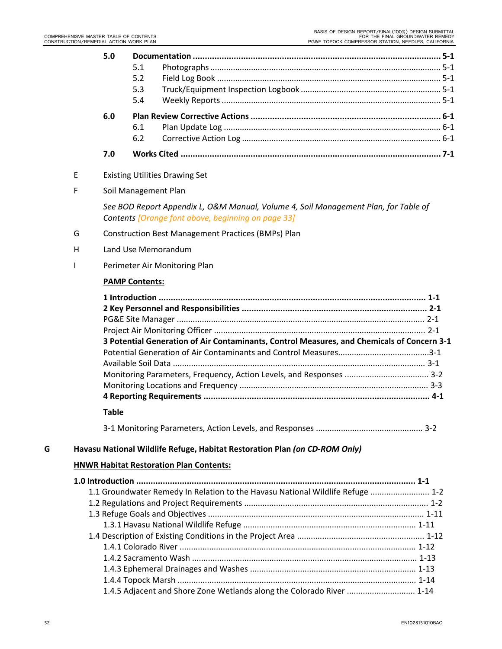|   |   | 5.0          | 5.1<br>5.2<br>5.3                                                                                                                         |  |
|---|---|--------------|-------------------------------------------------------------------------------------------------------------------------------------------|--|
|   |   |              | 5.4                                                                                                                                       |  |
|   |   | 6.0          | 6.1<br>6.2                                                                                                                                |  |
|   |   | 7.0          |                                                                                                                                           |  |
|   | E |              | <b>Existing Utilities Drawing Set</b>                                                                                                     |  |
|   | F |              | Soil Management Plan                                                                                                                      |  |
|   |   |              | See BOD Report Appendix L, O&M Manual, Volume 4, Soil Management Plan, for Table of<br>Contents [Orange font above, beginning on page 33] |  |
|   | G |              | <b>Construction Best Management Practices (BMPs) Plan</b>                                                                                 |  |
|   | H |              | Land Use Memorandum                                                                                                                       |  |
|   | ı |              | Perimeter Air Monitoring Plan                                                                                                             |  |
|   |   |              | <b>PAMP Contents:</b>                                                                                                                     |  |
|   |   | <b>Table</b> | 3 Potential Generation of Air Contaminants, Control Measures, and Chemicals of Concern 3-1                                                |  |
| G |   |              | Havasu National Wildlife Refuge, Habitat Restoration Plan (on CD-ROM Only)                                                                |  |
|   |   |              | <b>HNWR Habitat Restoration Plan Contents:</b>                                                                                            |  |
|   |   |              | 1.1 Groundwater Remedy In Relation to the Havasu National Wildlife Refuge  1-2                                                            |  |
|   |   |              |                                                                                                                                           |  |
|   |   |              |                                                                                                                                           |  |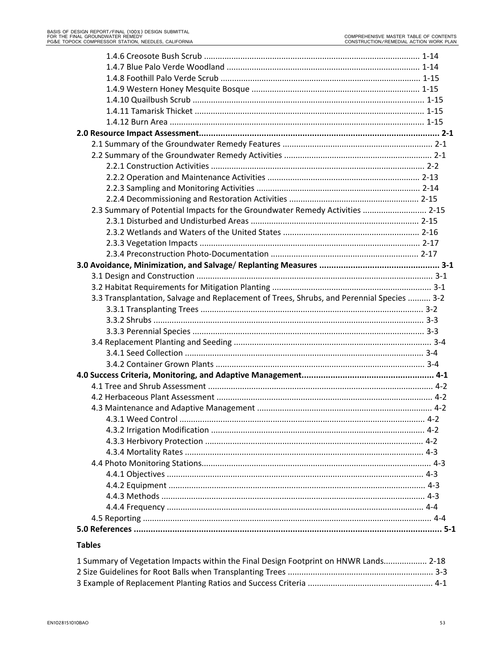| 2.3 Summary of Potential Impacts for the Groundwater Remedy Activities  2-15              |  |
|-------------------------------------------------------------------------------------------|--|
|                                                                                           |  |
|                                                                                           |  |
|                                                                                           |  |
|                                                                                           |  |
|                                                                                           |  |
|                                                                                           |  |
|                                                                                           |  |
| 3.3 Transplantation, Salvage and Replacement of Trees, Shrubs, and Perennial Species  3-2 |  |
|                                                                                           |  |
|                                                                                           |  |
|                                                                                           |  |
|                                                                                           |  |
|                                                                                           |  |
|                                                                                           |  |
|                                                                                           |  |
|                                                                                           |  |
|                                                                                           |  |
|                                                                                           |  |
|                                                                                           |  |
|                                                                                           |  |
|                                                                                           |  |
|                                                                                           |  |
|                                                                                           |  |
|                                                                                           |  |
|                                                                                           |  |
|                                                                                           |  |
|                                                                                           |  |
|                                                                                           |  |
|                                                                                           |  |

# **Tables**

| 1 Summary of Vegetation Impacts within the Final Design Footprint on HNWR Lands 2-18 |  |
|--------------------------------------------------------------------------------------|--|
|                                                                                      |  |
|                                                                                      |  |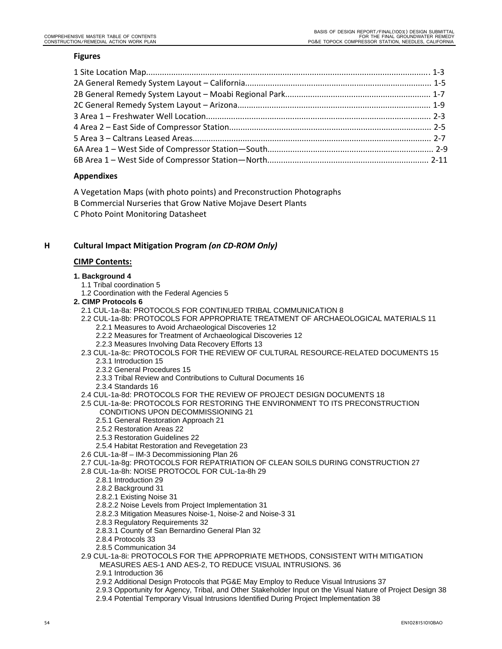#### **Figures**

#### **Appendixes**

A Vegetation Maps (with photo points) and Preconstruction Photographs B Commercial Nurseries that Grow Native Mojave Desert Plants

C Photo Point Monitoring Datasheet

#### **H Cultural Impact Mitigation Program** *(on CD‐ROM Only)*

#### **CIMP Contents:**

#### **1. Background 4**

- 1.1 Tribal coordination 5
- 1.2 Coordination with the Federal Agencies 5
- **2. CIMP Protocols 6** 
	- 2.1 CUL-1a-8a: PROTOCOLS FOR CONTINUED TRIBAL COMMUNICATION 8
	- 2.2 CUL-1a-8b: PROTOCOLS FOR APPROPRIATE TREATMENT OF ARCHAEOLOGICAL MATERIALS 11
		- 2.2.1 Measures to Avoid Archaeological Discoveries 12 2.2.2 Measures for Treatment of Archaeological Discoveries 12
		-
		- 2.2.3 Measures Involving Data Recovery Efforts 13
- 2.3 CUL-1a-8c: PROTOCOLS FOR THE REVIEW OF CULTURAL RESOURCE-RELATED DOCUMENTS 15 2.3.1 Introduction 15
	- 2.3.2 General Procedures 15
	- 2.3.3 Tribal Review and Contributions to Cultural Documents 16
	- 2.3.4 Standards 16
- 2.4 CUL-1a-8d: PROTOCOLS FOR THE REVIEW OF PROJECT DESIGN DOCUMENTS 18
- 2.5 CUL-1a-8e: PROTOCOLS FOR RESTORING THE ENVIRONMENT TO ITS PRECONSTRUCTION CONDITIONS UPON DECOMMISSIONING 21
	- 2.5.1 General Restoration Approach 21
	- 2.5.2 Restoration Areas 22
	- 2.5.3 Restoration Guidelines 22
	- 2.5.4 Habitat Restoration and Revegetation 23
- 2.6 CUL-1a-8f IM-3 Decommissioning Plan 26
- 2.7 CUL-1a-8g: PROTOCOLS FOR REPATRIATION OF CLEAN SOILS DURING CONSTRUCTION 27
- 2.8 CUL-1a-8h: NOISE PROTOCOL FOR CUL-1a-8h 29
	- 2.8.1 Introduction 29
	- 2.8.2 Background 31
	- 2.8.2.1 Existing Noise 31
	- 2.8.2.2 Noise Levels from Project Implementation 31
	- 2.8.2.3 Mitigation Measures Noise-1, Noise-2 and Noise-3 31
	- 2.8.3 Regulatory Requirements 32
	- 2.8.3.1 County of San Bernardino General Plan 32
	- 2.8.4 Protocols 33
	- 2.8.5 Communication 34
- 2.9 CUL-1a-8i: PROTOCOLS FOR THE APPROPRIATE METHODS, CONSISTENT WITH MITIGATION
	- MEASURES AES-1 AND AES-2, TO REDUCE VISUAL INTRUSIONS. 36
	- 2.9.1 Introduction 36
	- 2.9.2 Additional Design Protocols that PG&E May Employ to Reduce Visual Intrusions 37
	- 2.9.3 Opportunity for Agency, Tribal, and Other Stakeholder Input on the Visual Nature of Project Design 38
	- 2.9.4 Potential Temporary Visual Intrusions Identified During Project Implementation 38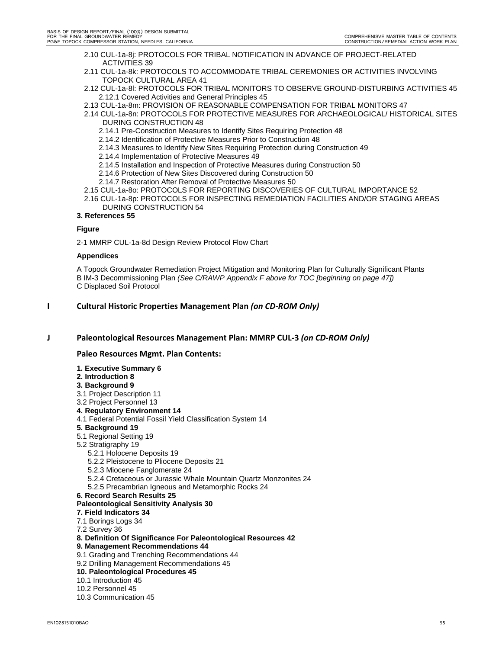- 2.10 CUL-1a-8j: PROTOCOLS FOR TRIBAL NOTIFICATION IN ADVANCE OF PROJECT-RELATED ACTIVITIES 39
- 2.11 CUL-1a-8k: PROTOCOLS TO ACCOMMODATE TRIBAL CEREMONIES OR ACTIVITIES INVOLVING TOPOCK CULTURAL AREA 41
- 2.12 CUL-1a-8l: PROTOCOLS FOR TRIBAL MONITORS TO OBSERVE GROUND-DISTURBING ACTIVITIES 45 2.12.1 Covered Activities and General Principles 45
- 2.13 CUL-1a-8m: PROVISION OF REASONABLE COMPENSATION FOR TRIBAL MONITORS 47
- 2.14 CUL-1a-8n: PROTOCOLS FOR PROTECTIVE MEASURES FOR ARCHAEOLOGICAL/ HISTORICAL SITES DURING CONSTRUCTION 48
	- 2.14.1 Pre-Construction Measures to Identify Sites Requiring Protection 48
	- 2.14.2 Identification of Protective Measures Prior to Construction 48
	- 2.14.3 Measures to Identify New Sites Requiring Protection during Construction 49
	- 2.14.4 Implementation of Protective Measures 49
	- 2.14.5 Installation and Inspection of Protective Measures during Construction 50
	- 2.14.6 Protection of New Sites Discovered during Construction 50
	- 2.14.7 Restoration After Removal of Protective Measures 50
- 2.15 CUL-1a-8o: PROTOCOLS FOR REPORTING DISCOVERIES OF CULTURAL IMPORTANCE 52
- 2.16 CUL-1a-8p: PROTOCOLS FOR INSPECTING REMEDIATION FACILITIES AND/OR STAGING AREAS DURING CONSTRUCTION 54

#### **3. References 55**

#### **Figure**

2-1 MMRP CUL-1a-8d Design Review Protocol Flow Chart

#### **Appendices**

A Topock Groundwater Remediation Project Mitigation and Monitoring Plan for Culturally Significant Plants B IM-3 Decommissioning Plan *(See C/RAWP Appendix F above for TOC [beginning on page 47])*

C Displaced Soil Protocol

#### **I Cultural Historic Properties Management Plan** *(on CD‐ROM Only)*

#### **J Paleontological Resources Management Plan: MMRP CUL‐3** *(on CD‐ROM Only)*

#### **Paleo Resources Mgmt. Plan Contents:**

- **1. Executive Summary 6**
- **2. Introduction 8**
- **3. Background 9**
- 3.1 Project Description 11
- 3.2 Project Personnel 13
- **4. Regulatory Environment 14**
- 4.1 Federal Potential Fossil Yield Classification System 14
- **5. Background 19**
- 5.1 Regional Setting 19
- 5.2 Stratigraphy 19
	- 5.2.1 Holocene Deposits 19
	- 5.2.2 Pleistocene to Pliocene Deposits 21
	- 5.2.3 Miocene Fanglomerate 24
	- 5.2.4 Cretaceous or Jurassic Whale Mountain Quartz Monzonites 24
	- 5.2.5 Precambrian Igneous and Metamorphic Rocks 24
- **6. Record Search Results 25**

#### **Paleontological Sensitivity Analysis 30**

- **7. Field Indicators 34**
- 7.1 Borings Logs 34
- 7.2 Survey 36
- **8. Definition Of Significance For Paleontological Resources 42**
- **9. Management Recommendations 44**
- 9.1 Grading and Trenching Recommendations 44
- 9.2 Drilling Management Recommendations 45
- **10. Paleontological Procedures 45**
- 10.1 Introduction 45
- 10.2 Personnel 45
- 10.3 Communication 45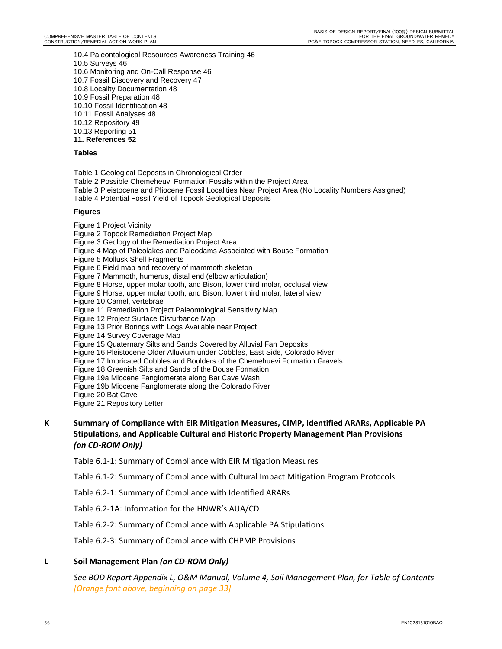10.4 Paleontological Resources Awareness Training 46 10.5 Surveys 46 10.6 Monitoring and On-Call Response 46 10.7 Fossil Discovery and Recovery 47 10.8 Locality Documentation 48 10.9 Fossil Preparation 48 10.10 Fossil Identification 48 10.11 Fossil Analyses 48 10.12 Repository 49

- 10.13 Reporting 51
- **11. References 52**

#### **Tables**

Table 1 Geological Deposits in Chronological Order

- Table 2 Possible Chemeheuvi Formation Fossils within the Project Area
- Table 3 Pleistocene and Pliocene Fossil Localities Near Project Area (No Locality Numbers Assigned)
- Table 4 Potential Fossil Yield of Topock Geological Deposits

#### **Figures**

- Figure 1 Project Vicinity
- Figure 2 Topock Remediation Project Map
- Figure 3 Geology of the Remediation Project Area
- Figure 4 Map of Paleolakes and Paleodams Associated with Bouse Formation

Figure 5 Mollusk Shell Fragments

Figure 6 Field map and recovery of mammoth skeleton

- Figure 7 Mammoth, humerus, distal end (elbow articulation)
- Figure 8 Horse, upper molar tooth, and Bison, lower third molar, occlusal view
- Figure 9 Horse, upper molar tooth, and Bison, lower third molar, lateral view
- Figure 10 Camel, vertebrae
- Figure 11 Remediation Project Paleontological Sensitivity Map
- Figure 12 Project Surface Disturbance Map
- Figure 13 Prior Borings with Logs Available near Project
- Figure 14 Survey Coverage Map
- Figure 15 Quaternary Silts and Sands Covered by Alluvial Fan Deposits
- Figure 16 Pleistocene Older Alluvium under Cobbles, East Side, Colorado River
- Figure 17 Imbricated Cobbles and Boulders of the Chemehuevi Formation Gravels
- Figure 18 Greenish Silts and Sands of the Bouse Formation
- Figure 19a Miocene Fanglomerate along Bat Cave Wash
- Figure 19b Miocene Fanglomerate along the Colorado River
- Figure 20 Bat Cave
- Figure 21 Repository Letter
- **K Summary of Compliance with EIR Mitigation Measures, CIMP, Identified ARARs, Applicable PA Stipulations, and Applicable Cultural and Historic Property Management Plan Provisions**  *(on CD‐ROM Only)*

Table 6.1‐1: Summary of Compliance with EIR Mitigation Measures

Table 6.1‐2: Summary of Compliance with Cultural Impact Mitigation Program Protocols

Table 6.2‐1: Summary of Compliance with Identified ARARs

Table 6.2‐1A: Information for the HNWR's AUA/CD

Table 6.2‐2: Summary of Compliance with Applicable PA Stipulations

Table 6.2‐3: Summary of Compliance with CHPMP Provisions

#### **L Soil Management Plan** *(on CD‐ROM Only)*

*See BOD Report Appendix L, O&M Manual, Volume 4, Soil Management Plan, for Table of Contents [Orange font above, beginning on page 33]*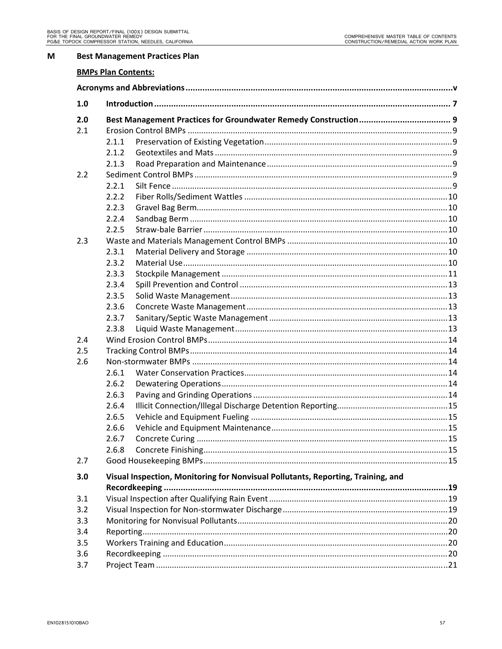#### $\mathsf{M}$ **Best Management Practices Plan**

#### **BMPs Plan Contents:**

| 1.0 |       |                                                                                  |  |
|-----|-------|----------------------------------------------------------------------------------|--|
| 2.0 |       |                                                                                  |  |
| 2.1 |       |                                                                                  |  |
|     | 2.1.1 |                                                                                  |  |
|     | 2.1.2 |                                                                                  |  |
|     | 2.1.3 |                                                                                  |  |
| 2.2 |       |                                                                                  |  |
|     | 2.2.1 |                                                                                  |  |
|     | 2.2.2 |                                                                                  |  |
|     | 2.2.3 |                                                                                  |  |
|     | 2.2.4 |                                                                                  |  |
|     | 2.2.5 |                                                                                  |  |
| 2.3 |       |                                                                                  |  |
|     | 2.3.1 |                                                                                  |  |
|     | 2.3.2 |                                                                                  |  |
|     | 2.3.3 |                                                                                  |  |
|     | 2.3.4 |                                                                                  |  |
|     | 2.3.5 |                                                                                  |  |
|     | 2.3.6 |                                                                                  |  |
|     | 2.3.7 |                                                                                  |  |
|     | 2.3.8 |                                                                                  |  |
| 2.4 |       |                                                                                  |  |
| 2.5 |       |                                                                                  |  |
| 2.6 |       |                                                                                  |  |
|     | 2.6.1 |                                                                                  |  |
|     | 2.6.2 |                                                                                  |  |
|     | 2.6.3 |                                                                                  |  |
|     | 2.6.4 |                                                                                  |  |
|     | 2.6.5 |                                                                                  |  |
|     | 2.6.6 |                                                                                  |  |
|     | 2.6.7 |                                                                                  |  |
|     | 2.6.8 | Concrete Finishing.                                                              |  |
| 2.7 |       |                                                                                  |  |
| 3.0 |       | Visual Inspection, Monitoring for Nonvisual Pollutants, Reporting, Training, and |  |
|     |       |                                                                                  |  |
| 3.1 |       |                                                                                  |  |
| 3.2 |       |                                                                                  |  |
| 3.3 |       |                                                                                  |  |
| 3.4 |       |                                                                                  |  |
| 3.5 |       |                                                                                  |  |
| 3.6 |       |                                                                                  |  |
| 3.7 |       |                                                                                  |  |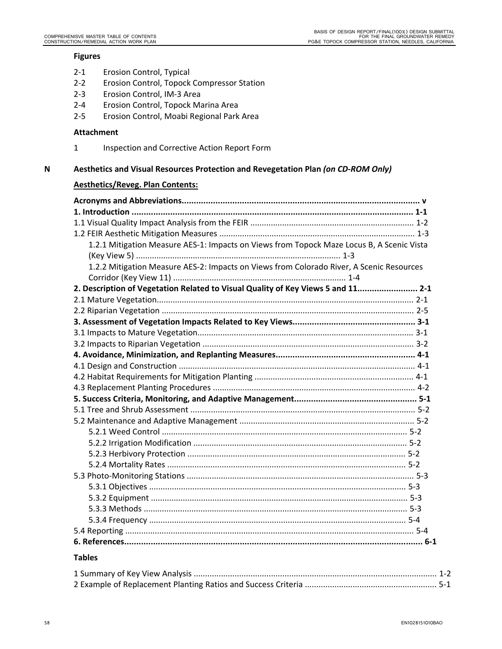#### **Figures**

- 2‐1 Erosion Control, Typical
- 2‐2 Erosion Control, Topock Compressor Station
- 2‐3 Erosion Control, IM‐3 Area
- 2‐4 Erosion Control, Topock Marina Area
- 2‐5 Erosion Control, Moabi Regional Park Area

#### **Attachment**

1 Inspection and Corrective Action Report Form

#### **N Aesthetics and Visual Resources Protection and Revegetation Plan** *(on CD‐ROM Only)*

# **Aesthetics/Reveg. Plan Contents:**

| 1.2.1 Mitigation Measure AES-1: Impacts on Views from Topock Maze Locus B, A Scenic Vista |  |
|-------------------------------------------------------------------------------------------|--|
|                                                                                           |  |
| 1.2.2 Mitigation Measure AES-2: Impacts on Views from Colorado River, A Scenic Resources  |  |
|                                                                                           |  |
| 2. Description of Vegetation Related to Visual Quality of Key Views 5 and 11 2-1          |  |
|                                                                                           |  |
|                                                                                           |  |
|                                                                                           |  |
|                                                                                           |  |
|                                                                                           |  |
|                                                                                           |  |
|                                                                                           |  |
|                                                                                           |  |
|                                                                                           |  |
|                                                                                           |  |
|                                                                                           |  |
|                                                                                           |  |
|                                                                                           |  |
|                                                                                           |  |
|                                                                                           |  |
|                                                                                           |  |
|                                                                                           |  |
|                                                                                           |  |
|                                                                                           |  |
|                                                                                           |  |
|                                                                                           |  |
|                                                                                           |  |
|                                                                                           |  |

#### **Tables**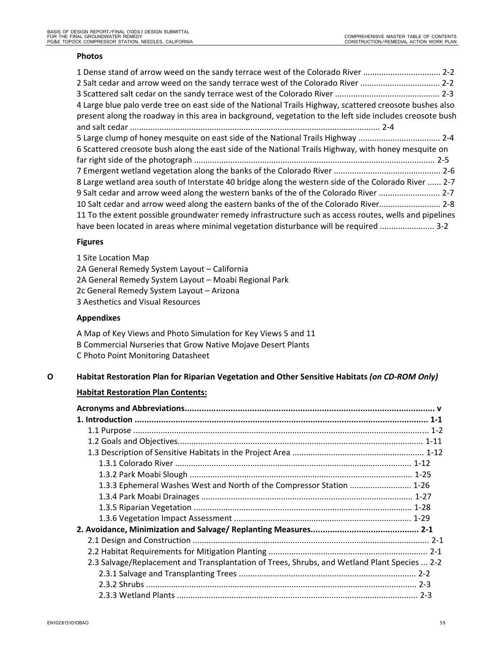#### **Photos**

| 1 Dense stand of arrow weed on the sandy terrace west of the Colorado River  2-2                         |  |
|----------------------------------------------------------------------------------------------------------|--|
| 2-2 Salt cedar and arrow weed on the sandy terrace west of the Colorado River  2-2                       |  |
|                                                                                                          |  |
| 4 Large blue palo verde tree on east side of the National Trails Highway, scattered creosote bushes also |  |
| present along the roadway in this area in background, vegetation to the left side includes creosote bush |  |
|                                                                                                          |  |
| 5 Large clump of honey mesquite on east side of the National Trails Highway  2-4                         |  |
| 6 Scattered creosote bush along the east side of the National Trails Highway, with honey mesquite on     |  |
|                                                                                                          |  |
|                                                                                                          |  |
| 8 Large wetland area south of Interstate 40 bridge along the western side of the Colorado River  2-7     |  |
| 9 Salt cedar and arrow weed along the western banks of the of the Colorado River  2-7                    |  |
| 10 Salt cedar and arrow weed along the eastern banks of the of the Colorado River 2-8                    |  |
| 11 To the extent possible groundwater remedy infrastructure such as access routes, wells and pipelines   |  |
| have been located in areas where minimal vegetation disturbance will be required  3-2                    |  |

# **Figures**

1 Site Location Map 2A General Remedy System Layout – California 2A General Remedy System Layout – Moabi Regional Park 2c General Remedy System Layout – Arizona 3 Aesthetics and Visual Resources

# **Appendixes**

A Map of Key Views and Photo Simulation for Key Views 5 and 11 B Commercial Nurseries that Grow Native Mojave Desert Plants C Photo Point Monitoring Datasheet

# **O Habitat Restoration Plan for Riparian Vegetation and Other Sensitive Habitats** *(on CD‐ROM Only)*

# **Habitat Restoration Plan Contents:**

| 1.3.3 Ephemeral Washes West and North of the Compressor Station  1-26                        |         |
|----------------------------------------------------------------------------------------------|---------|
|                                                                                              |         |
|                                                                                              |         |
|                                                                                              |         |
|                                                                                              |         |
|                                                                                              |         |
|                                                                                              |         |
| 2.3 Salvage/Replacement and Transplantation of Trees, Shrubs, and Wetland Plant Species  2-2 |         |
|                                                                                              |         |
|                                                                                              |         |
|                                                                                              | $2 - 3$ |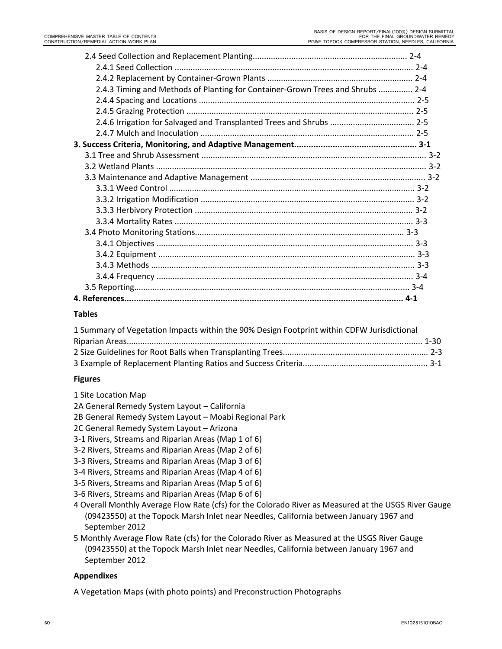| 2.4.3 Timing and Methods of Planting for Container-Grown Trees and Shrubs  2-4 |  |
|--------------------------------------------------------------------------------|--|
|                                                                                |  |
|                                                                                |  |
|                                                                                |  |
|                                                                                |  |

#### **Tables**

| 1 Summary of Vegetation Impacts within the 90% Design Footprint within CDFW Jurisdictional |  |
|--------------------------------------------------------------------------------------------|--|
|                                                                                            |  |
|                                                                                            |  |
|                                                                                            |  |

#### **Figures**

- 1 Site Location Map
- 2A General Remedy System Layout California
- 2B General Remedy System Layout Moabi Regional Park
- 2C General Remedy System Layout Arizona
- 3‐1 Rivers, Streams and Riparian Areas (Map 1 of 6)
- 3‐2 Rivers, Streams and Riparian Areas (Map 2 of 6)
- 3‐3 Rivers, Streams and Riparian Areas (Map 3 of 6)
- 3‐4 Rivers, Streams and Riparian Areas (Map 4 of 6)
- 3‐5 Rivers, Streams and Riparian Areas (Map 5 of 6)
- 3‐6 Rivers, Streams and Riparian Areas (Map 6 of 6)
- 4 Overall Monthly Average Flow Rate (cfs) for the Colorado River as Measured at the USGS River Gauge (09423550) at the Topock Marsh Inlet near Needles, California between January 1967 and September 2012
- 5 Monthly Average Flow Rate (cfs) for the Colorado River as Measured at the USGS River Gauge (09423550) at the Topock Marsh Inlet near Needles, California between January 1967 and September 2012

#### **Appendixes**

A Vegetation Maps (with photo points) and Preconstruction Photographs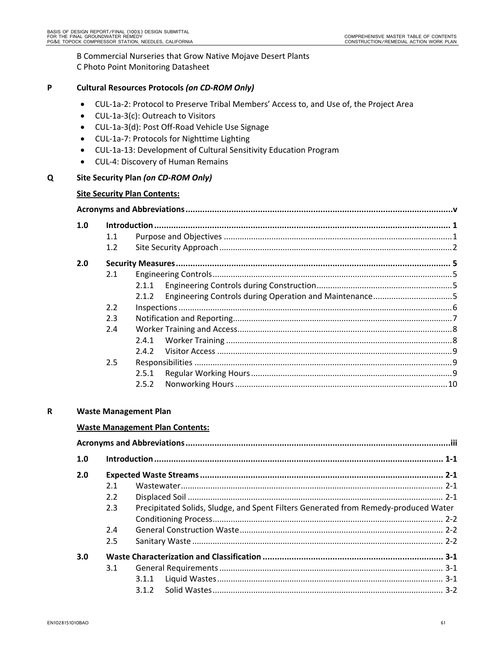B Commercial Nurseries that Grow Native Mojave Desert Plants

C Photo Point Monitoring Datasheet

| P |  | <b>Cultural Resources Protocols (on CD-ROM Only)</b> |
|---|--|------------------------------------------------------|
|---|--|------------------------------------------------------|

- CUL-1a-2: Protocol to Preserve Tribal Members' Access to, and Use of, the Project Area
- CUL-1a-3(c): Outreach to Visitors
- CUL‐1a‐3(d): Post Off‐Road Vehicle Use Signage
- CUL-1a-7: Protocols for Nighttime Lighting
- CUL‐1a‐13: Development of Cultural Sensitivity Education Program
- CUL‐4: Discovery of Human Remains

# **Q Site Security Plan** *(on CD‐ROM Only)*

# **Site Security Plan Contents:**

| 1.0 |     |       |  |  |
|-----|-----|-------|--|--|
|     | 1.1 |       |  |  |
|     | 1.2 |       |  |  |
| 2.0 |     |       |  |  |
|     | 2.1 |       |  |  |
|     |     | 2.1.1 |  |  |
|     |     | 2.1.2 |  |  |
|     | 2.2 |       |  |  |
|     | 2.3 |       |  |  |
|     | 2.4 |       |  |  |
|     |     | 2.4.1 |  |  |
|     |     | 2.4.2 |  |  |
|     | 2.5 |       |  |  |
|     |     | 2.5.1 |  |  |
|     |     | 2.5.2 |  |  |

# **R Waste Management Plan**

# **Waste Management Plan Contents:**

| 1.0 |     |                                                                                     |  |  |  |  |
|-----|-----|-------------------------------------------------------------------------------------|--|--|--|--|
| 2.0 |     |                                                                                     |  |  |  |  |
|     | 2.1 |                                                                                     |  |  |  |  |
|     | 2.2 |                                                                                     |  |  |  |  |
|     | 2.3 | Precipitated Solids, Sludge, and Spent Filters Generated from Remedy-produced Water |  |  |  |  |
|     |     |                                                                                     |  |  |  |  |
|     | 2.4 |                                                                                     |  |  |  |  |
|     | 2.5 |                                                                                     |  |  |  |  |
| 3.0 |     |                                                                                     |  |  |  |  |
|     | 3.1 |                                                                                     |  |  |  |  |
|     |     | 3.1.1                                                                               |  |  |  |  |
|     |     | 3.1.2                                                                               |  |  |  |  |
|     |     |                                                                                     |  |  |  |  |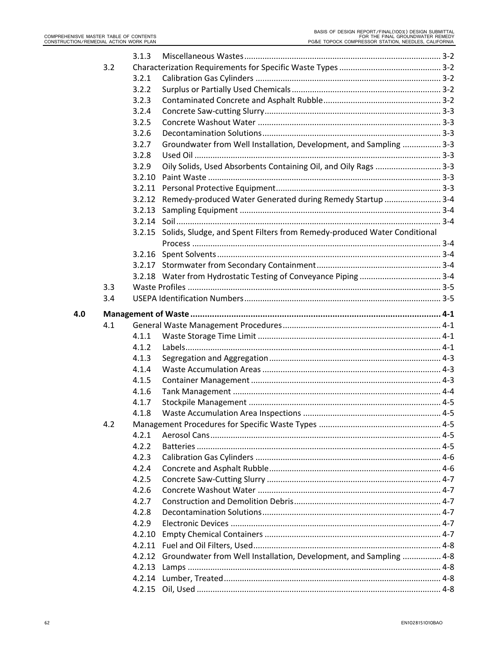|     |     | 3.1.3  |                                                                           |  |
|-----|-----|--------|---------------------------------------------------------------------------|--|
|     | 3.2 |        |                                                                           |  |
|     |     | 3.2.1  |                                                                           |  |
|     |     | 3.2.2  |                                                                           |  |
|     |     | 3.2.3  |                                                                           |  |
|     |     | 3.2.4  |                                                                           |  |
|     |     | 3.2.5  |                                                                           |  |
|     |     | 3.2.6  |                                                                           |  |
|     |     | 3.2.7  | Groundwater from Well Installation, Development, and Sampling  3-3        |  |
|     |     | 3.2.8  |                                                                           |  |
|     |     | 3.2.9  | Oily Solids, Used Absorbents Containing Oil, and Oily Rags  3-3           |  |
|     |     | 3.2.10 |                                                                           |  |
|     |     | 3.2.11 |                                                                           |  |
|     |     |        | 3.2.12 Remedy-produced Water Generated during Remedy Startup  3-4         |  |
|     |     | 3.2.13 |                                                                           |  |
|     |     |        |                                                                           |  |
|     |     | 3.2.15 | Solids, Sludge, and Spent Filters from Remedy-produced Water Conditional  |  |
|     |     |        |                                                                           |  |
|     |     |        |                                                                           |  |
|     |     |        |                                                                           |  |
|     |     |        |                                                                           |  |
|     | 3.3 |        |                                                                           |  |
|     | 3.4 |        |                                                                           |  |
| 4.0 |     |        |                                                                           |  |
|     | 4.1 |        |                                                                           |  |
|     |     | 4.1.1  |                                                                           |  |
|     |     | 4.1.2  |                                                                           |  |
|     |     | 4.1.3  |                                                                           |  |
|     |     | 4.1.4  |                                                                           |  |
|     |     | 4.1.5  |                                                                           |  |
|     |     | 4.1.6  |                                                                           |  |
|     |     | 4.1.7  |                                                                           |  |
|     |     | 4.1.8  |                                                                           |  |
|     | 4.2 |        |                                                                           |  |
|     |     | 4.2.1  |                                                                           |  |
|     |     | 4.2.2  |                                                                           |  |
|     |     | 4.2.3  |                                                                           |  |
|     |     | 4.2.4  |                                                                           |  |
|     |     |        |                                                                           |  |
|     |     | 4.2.5  |                                                                           |  |
|     |     | 4.2.6  |                                                                           |  |
|     |     | 4.2.7  |                                                                           |  |
|     |     | 4.2.8  |                                                                           |  |
|     |     | 4.2.9  |                                                                           |  |
|     |     | 4.2.10 |                                                                           |  |
|     |     |        |                                                                           |  |
|     |     |        |                                                                           |  |
|     |     | 4.2.13 | 4.2.12 Groundwater from Well Installation, Development, and Sampling  4-8 |  |
|     |     |        |                                                                           |  |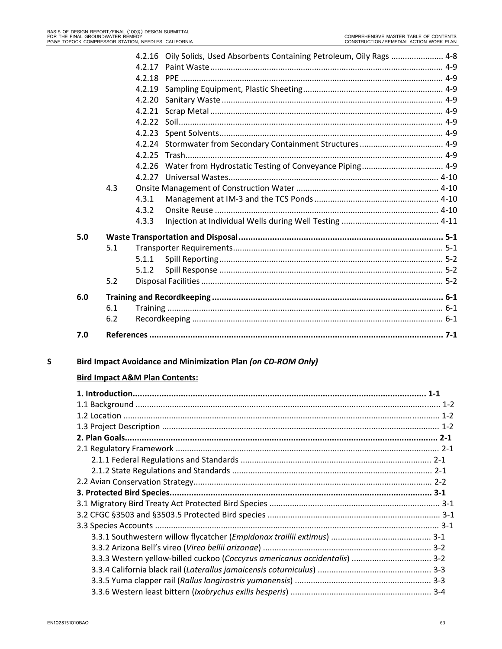|     |     |        | 4.2.16 Oily Solids, Used Absorbents Containing Petroleum, Oily Rags  4-8 |  |
|-----|-----|--------|--------------------------------------------------------------------------|--|
|     |     | 4.2.17 |                                                                          |  |
|     |     |        |                                                                          |  |
|     |     | 4.2.19 |                                                                          |  |
|     |     | 4.2.20 |                                                                          |  |
|     |     | 4.2.21 |                                                                          |  |
|     |     | 4.2.22 |                                                                          |  |
|     |     | 4.2.23 |                                                                          |  |
|     |     |        |                                                                          |  |
|     |     | 4.2.25 |                                                                          |  |
|     |     | 4.2.26 |                                                                          |  |
|     |     |        |                                                                          |  |
|     | 4.3 |        |                                                                          |  |
|     |     | 4.3.1  |                                                                          |  |
|     |     | 4.3.2  |                                                                          |  |
|     |     | 4.3.3  |                                                                          |  |
| 5.0 |     |        |                                                                          |  |
|     | 5.1 |        |                                                                          |  |
|     |     | 5.1.1  |                                                                          |  |
|     |     | 5.1.2  |                                                                          |  |
|     | 5.2 |        |                                                                          |  |
| 6.0 |     |        |                                                                          |  |
|     | 6.1 |        |                                                                          |  |
|     | 6.2 |        |                                                                          |  |
| 7.0 |     |        |                                                                          |  |
|     |     |        |                                                                          |  |

#### Bird Impact Avoidance and Minimization Plan (on CD-ROM Only)  $\mathsf{s}$

# **Bird Impact A&M Plan Contents:**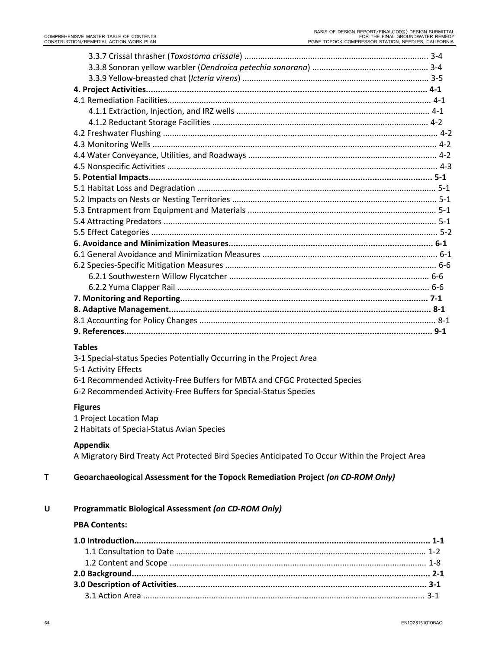# **Tables**

- 3‐1 Special‐status Species Potentially Occurring in the Project Area
- 5‐1 Activity Effects
- 6‐1 Recommended Activity‐Free Buffers for MBTA and CFGC Protected Species
- 6‐2 Recommended Activity‐Free Buffers for Special‐Status Species

#### **Figures**

- 1 Project Location Map
- 2 Habitats of Special‐Status Avian Species

# **Appendix**

A Migratory Bird Treaty Act Protected Bird Species Anticipated To Occur Within the Project Area

# **T Geoarchaeological Assessment for the Topock Remediation Project** *(on CD‐ROM Only)*

# **U Programmatic Biological Assessment** *(on CD‐ROM Only)*

#### **PBA Contents:**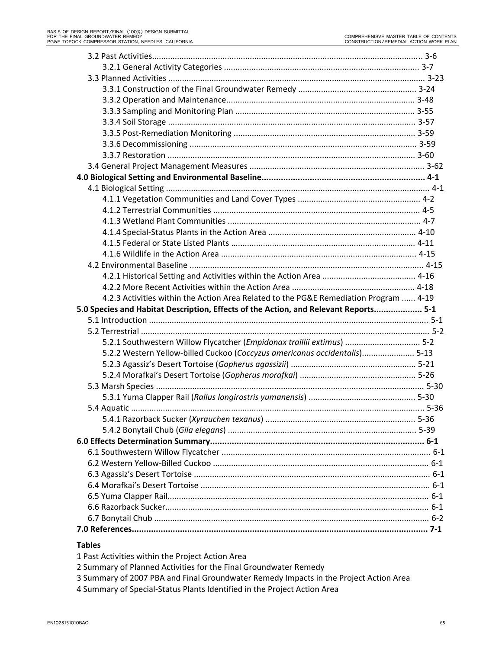| 4.2.3 Activities within the Action Area Related to the PG&E Remediation Program  4-19 |
|---------------------------------------------------------------------------------------|
| 5.0 Species and Habitat Description, Effects of the Action, and Relevant Reports 5-1  |
|                                                                                       |
|                                                                                       |
| 5-2.1 Southwestern Willow Flycatcher (Empidonax traillii extimus)  5-2                |
| 5.2.2 Western Yellow-billed Cuckoo (Coccyzus americanus occidentalis) 5-13            |
|                                                                                       |
|                                                                                       |
|                                                                                       |
|                                                                                       |
|                                                                                       |
|                                                                                       |
|                                                                                       |
|                                                                                       |
|                                                                                       |
|                                                                                       |
|                                                                                       |
|                                                                                       |
|                                                                                       |
|                                                                                       |
|                                                                                       |
|                                                                                       |

#### **Tables**

- 1 Past Activities within the Project Action Area
- 2 Summary of Planned Activities for the Final Groundwater Remedy
- 3 Summary of 2007 PBA and Final Groundwater Remedy Impacts in the Project Action Area
- 4 Summary of Special‐Status Plants Identified in the Project Action Area